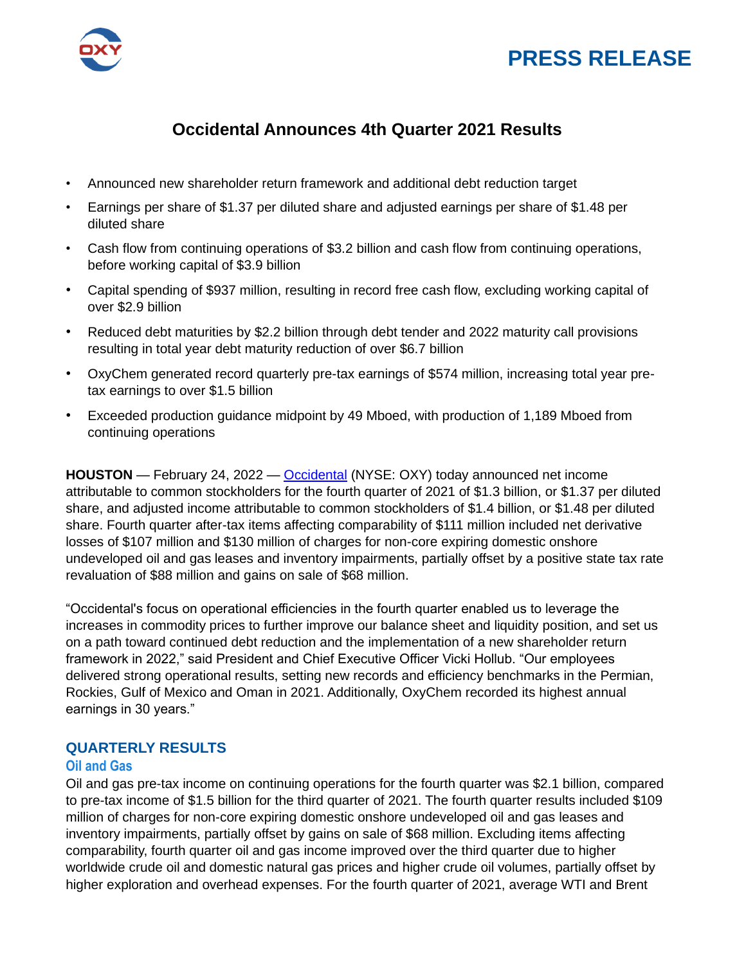



# **Occidental Announces 4th Quarter 2021 Results**

- Announced new shareholder return framework and additional debt reduction target
- Earnings per share of \$1.37 per diluted share and adjusted earnings per share of \$1.48 per diluted share
- Cash flow from continuing operations of \$3.2 billion and cash flow from continuing operations, before working capital of \$3.9 billion
- Capital spending of \$937 million, resulting in record free cash flow, excluding working capital of over \$2.9 billion
- Reduced debt maturities by \$2.2 billion through debt tender and 2022 maturity call provisions resulting in total year debt maturity reduction of over \$6.7 billion
- OxyChem generated record quarterly pre-tax earnings of \$574 million, increasing total year pretax earnings to over \$1.5 billion
- Exceeded production guidance midpoint by 49 Mboed, with production of 1,189 Mboed from continuing operations

**HOUSTON** — February 24, 2022 — Occidental (NYSE: OXY) today announced net income attributable to common stockholders for the fourth quarter of 2021 of \$1.3 billion, or \$1.37 per diluted share, and adjusted income attributable to common stockholders of \$1.4 billion, or \$1.48 per diluted share. Fourth quarter after-tax items affecting comparability of \$111 million included net derivative losses of \$107 million and \$130 million of charges for non-core expiring domestic onshore undeveloped oil and gas leases and inventory impairments, partially offset by a positive state tax rate revaluation of \$88 million and gains on sale of \$68 million.

"Occidental's focus on operational efficiencies in the fourth quarter enabled us to leverage the increases in commodity prices to further improve our balance sheet and liquidity position, and set us on a path toward continued debt reduction and the implementation of a new shareholder return framework in 2022," said President and Chief Executive Officer Vicki Hollub. "Our employees delivered strong operational results, setting new records and efficiency benchmarks in the Permian, Rockies, Gulf of Mexico and Oman in 2021. Additionally, OxyChem recorded its highest annual earnings in 30 years."

# **QUARTERLY RESULTS**

# **Oil and Gas**

Oil and gas pre-tax income on continuing operations for the fourth quarter was \$2.1 billion, compared to pre-tax income of \$1.5 billion for the third quarter of 2021. The fourth quarter results included \$109 million of charges for non-core expiring domestic onshore undeveloped oil and gas leases and inventory impairments, partially offset by gains on sale of \$68 million. Excluding items affecting comparability, fourth quarter oil and gas income improved over the third quarter due to higher worldwide crude oil and domestic natural gas prices and higher crude oil volumes, partially offset by higher exploration and overhead expenses. For the fourth quarter of 2021, average WTI and Brent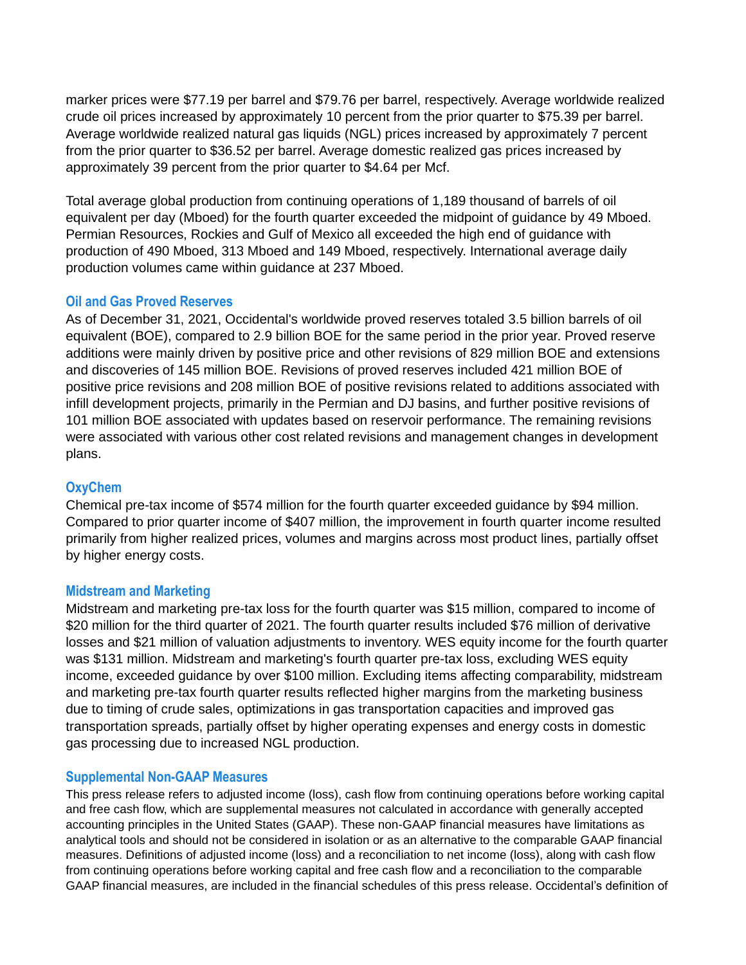marker prices were \$77.19 per barrel and \$79.76 per barrel, respectively. Average worldwide realized crude oil prices increased by approximately 10 percent from the prior quarter to \$75.39 per barrel. Average worldwide realized natural gas liquids (NGL) prices increased by approximately 7 percent from the prior quarter to \$36.52 per barrel. Average domestic realized gas prices increased by approximately 39 percent from the prior quarter to \$4.64 per Mcf.

Total average global production from continuing operations of 1,189 thousand of barrels of oil equivalent per day (Mboed) for the fourth quarter exceeded the midpoint of guidance by 49 Mboed. Permian Resources, Rockies and Gulf of Mexico all exceeded the high end of guidance with production of 490 Mboed, 313 Mboed and 149 Mboed, respectively. International average daily production volumes came within guidance at 237 Mboed.

# **Oil and Gas Proved Reserves**

As of December 31, 2021, Occidental's worldwide proved reserves totaled 3.5 billion barrels of oil equivalent (BOE), compared to 2.9 billion BOE for the same period in the prior year. Proved reserve additions were mainly driven by positive price and other revisions of 829 million BOE and extensions and discoveries of 145 million BOE. Revisions of proved reserves included 421 million BOE of positive price revisions and 208 million BOE of positive revisions related to additions associated with infill development projects, primarily in the Permian and DJ basins, and further positive revisions of 101 million BOE associated with updates based on reservoir performance. The remaining revisions were associated with various other cost related revisions and management changes in development plans.

# **OxyChem**

Chemical pre-tax income of \$574 million for the fourth quarter exceeded guidance by \$94 million. Compared to prior quarter income of \$407 million, the improvement in fourth quarter income resulted primarily from higher realized prices, volumes and margins across most product lines, partially offset by higher energy costs.

# **Midstream and Marketing**

Midstream and marketing pre-tax loss for the fourth quarter was \$15 million, compared to income of \$20 million for the third quarter of 2021. The fourth quarter results included \$76 million of derivative losses and \$21 million of valuation adjustments to inventory. WES equity income for the fourth quarter was \$131 million. Midstream and marketing's fourth quarter pre-tax loss, excluding WES equity income, exceeded guidance by over \$100 million. Excluding items affecting comparability, midstream and marketing pre-tax fourth quarter results reflected higher margins from the marketing business due to timing of crude sales, optimizations in gas transportation capacities and improved gas transportation spreads, partially offset by higher operating expenses and energy costs in domestic gas processing due to increased NGL production.

# **Supplemental Non-GAAP Measures**

This press release refers to adjusted income (loss), cash flow from continuing operations before working capital and free cash flow, which are supplemental measures not calculated in accordance with generally accepted accounting principles in the United States (GAAP). These non-GAAP financial measures have limitations as analytical tools and should not be considered in isolation or as an alternative to the comparable GAAP financial measures. Definitions of adjusted income (loss) and a reconciliation to net income (loss), along with cash flow from continuing operations before working capital and free cash flow and a reconciliation to the comparable GAAP financial measures, are included in the financial schedules of this press release. Occidental's definition of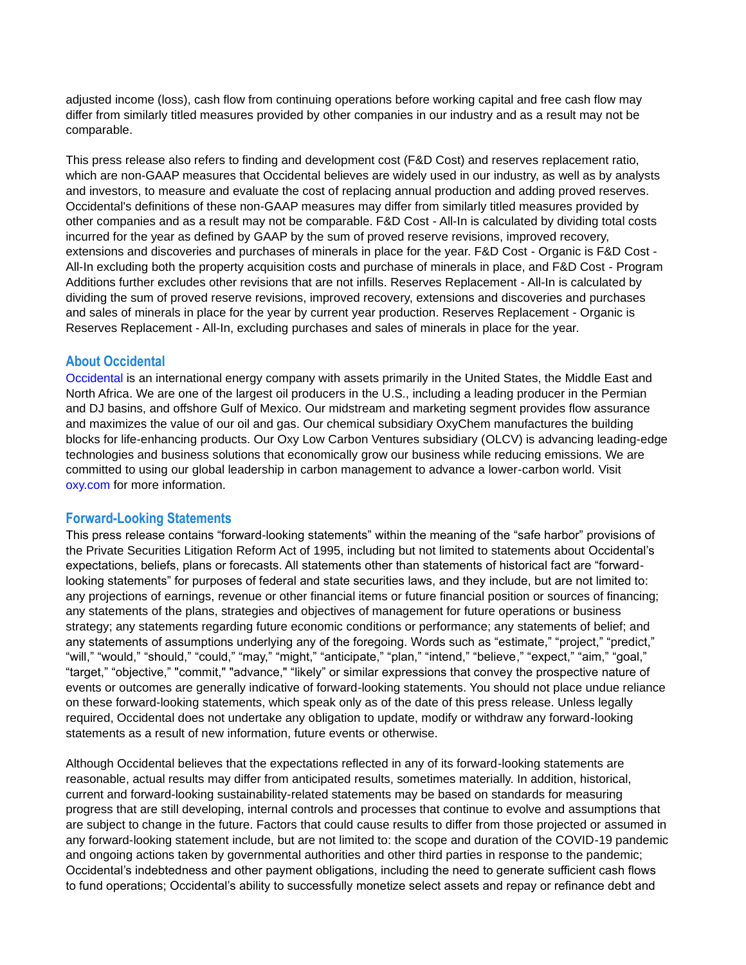adjusted income (loss), cash flow from continuing operations before working capital and free cash flow may differ from similarly titled measures provided by other companies in our industry and as a result may not be comparable.

This press release also refers to finding and development cost (F&D Cost) and reserves replacement ratio, which are non-GAAP measures that Occidental believes are widely used in our industry, as well as by analysts and investors, to measure and evaluate the cost of replacing annual production and adding proved reserves. Occidental's definitions of these non-GAAP measures may differ from similarly titled measures provided by other companies and as a result may not be comparable. F&D Cost - All-In is calculated by dividing total costs incurred for the year as defined by GAAP by the sum of proved reserve revisions, improved recovery, extensions and discoveries and purchases of minerals in place for the year. F&D Cost - Organic is F&D Cost - All-In excluding both the property acquisition costs and purchase of minerals in place, and F&D Cost - Program Additions further excludes other revisions that are not infills. Reserves Replacement - All-In is calculated by dividing the sum of proved reserve revisions, improved recovery, extensions and discoveries and purchases and sales of minerals in place for the year by current year production. Reserves Replacement - Organic is Reserves Replacement - All-In, excluding purchases and sales of minerals in place for the year.

# **About Occidental**

Occidental is an international energy company with assets primarily in the United States, the Middle East and North Africa. We are one of the largest oil producers in the U.S., including a leading producer in the Permian and DJ basins, and offshore Gulf of Mexico. Our midstream and marketing segment provides flow assurance and maximizes the value of our oil and gas. Our chemical subsidiary OxyChem manufactures the building blocks for life-enhancing products. Our Oxy Low Carbon Ventures subsidiary (OLCV) is advancing leading-edge technologies and business solutions that economically grow our business while reducing emissions. We are committed to using our global leadership in carbon management to advance a lower-carbon world. Visit oxy.com for more information.

# **Forward-Looking Statements**

This press release contains "forward-looking statements" within the meaning of the "safe harbor" provisions of the Private Securities Litigation Reform Act of 1995, including but not limited to statements about Occidental's expectations, beliefs, plans or forecasts. All statements other than statements of historical fact are "forwardlooking statements" for purposes of federal and state securities laws, and they include, but are not limited to: any projections of earnings, revenue or other financial items or future financial position or sources of financing; any statements of the plans, strategies and objectives of management for future operations or business strategy; any statements regarding future economic conditions or performance; any statements of belief; and any statements of assumptions underlying any of the foregoing. Words such as "estimate," "project," "predict," "will," "would," "should," "could," "may," "might," "anticipate," "plan," "intend," "believe," "expect," "aim," "goal," "target," "objective," "commit," "advance," "likely" or similar expressions that convey the prospective nature of events or outcomes are generally indicative of forward-looking statements. You should not place undue reliance on these forward-looking statements, which speak only as of the date of this press release. Unless legally required, Occidental does not undertake any obligation to update, modify or withdraw any forward-looking statements as a result of new information, future events or otherwise.

Although Occidental believes that the expectations reflected in any of its forward-looking statements are reasonable, actual results may differ from anticipated results, sometimes materially. In addition, historical, current and forward-looking sustainability-related statements may be based on standards for measuring progress that are still developing, internal controls and processes that continue to evolve and assumptions that are subject to change in the future. Factors that could cause results to differ from those projected or assumed in any forward-looking statement include, but are not limited to: the scope and duration of the COVID-19 pandemic and ongoing actions taken by governmental authorities and other third parties in response to the pandemic; Occidental's indebtedness and other payment obligations, including the need to generate sufficient cash flows to fund operations; Occidental's ability to successfully monetize select assets and repay or refinance debt and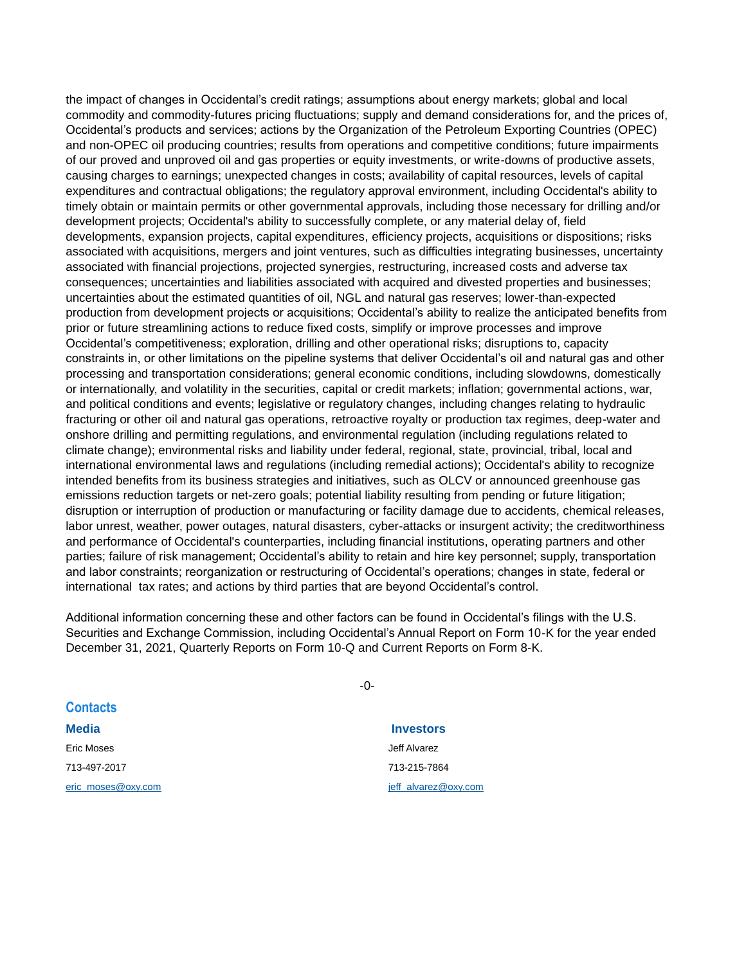the impact of changes in Occidental's credit ratings; assumptions about energy markets; global and local commodity and commodity-futures pricing fluctuations; supply and demand considerations for, and the prices of, Occidental's products and services; actions by the Organization of the Petroleum Exporting Countries (OPEC) and non-OPEC oil producing countries; results from operations and competitive conditions; future impairments of our proved and unproved oil and gas properties or equity investments, or write-downs of productive assets, causing charges to earnings; unexpected changes in costs; availability of capital resources, levels of capital expenditures and contractual obligations; the regulatory approval environment, including Occidental's ability to timely obtain or maintain permits or other governmental approvals, including those necessary for drilling and/or development projects; Occidental's ability to successfully complete, or any material delay of, field developments, expansion projects, capital expenditures, efficiency projects, acquisitions or dispositions; risks associated with acquisitions, mergers and joint ventures, such as difficulties integrating businesses, uncertainty associated with financial projections, projected synergies, restructuring, increased costs and adverse tax consequences; uncertainties and liabilities associated with acquired and divested properties and businesses; uncertainties about the estimated quantities of oil, NGL and natural gas reserves; lower-than-expected production from development projects or acquisitions; Occidental's ability to realize the anticipated benefits from prior or future streamlining actions to reduce fixed costs, simplify or improve processes and improve Occidental's competitiveness; exploration, drilling and other operational risks; disruptions to, capacity constraints in, or other limitations on the pipeline systems that deliver Occidental's oil and natural gas and other processing and transportation considerations; general economic conditions, including slowdowns, domestically or internationally, and volatility in the securities, capital or credit markets; inflation; governmental actions, war, and political conditions and events; legislative or regulatory changes, including changes relating to hydraulic fracturing or other oil and natural gas operations, retroactive royalty or production tax regimes, deep-water and onshore drilling and permitting regulations, and environmental regulation (including regulations related to climate change); environmental risks and liability under federal, regional, state, provincial, tribal, local and international environmental laws and regulations (including remedial actions); Occidental's ability to recognize intended benefits from its business strategies and initiatives, such as OLCV or announced greenhouse gas emissions reduction targets or net-zero goals; potential liability resulting from pending or future litigation; disruption or interruption of production or manufacturing or facility damage due to accidents, chemical releases, labor unrest, weather, power outages, natural disasters, cyber-attacks or insurgent activity; the creditworthiness and performance of Occidental's counterparties, including financial institutions, operating partners and other parties; failure of risk management; Occidental's ability to retain and hire key personnel; supply, transportation and labor constraints; reorganization or restructuring of Occidental's operations; changes in state, federal or international tax rates; and actions by third parties that are beyond Occidental's control.

Additional information concerning these and other factors can be found in Occidental's filings with the U.S. Securities and Exchange Commission, including Occidental's Annual Report on Form 10-K for the year ended December 31, 2021, Quarterly Reports on Form 10-Q and Current Reports on Form 8-K.

| <b>Contacts</b>    |                      |
|--------------------|----------------------|
| <b>Media</b>       | <b>Investors</b>     |
| Eric Moses         | Jeff Alvarez         |
| 713-497-2017       | 713-215-7864         |
| eric moses@oxy.com | jeff alvarez@oxy.com |

-0-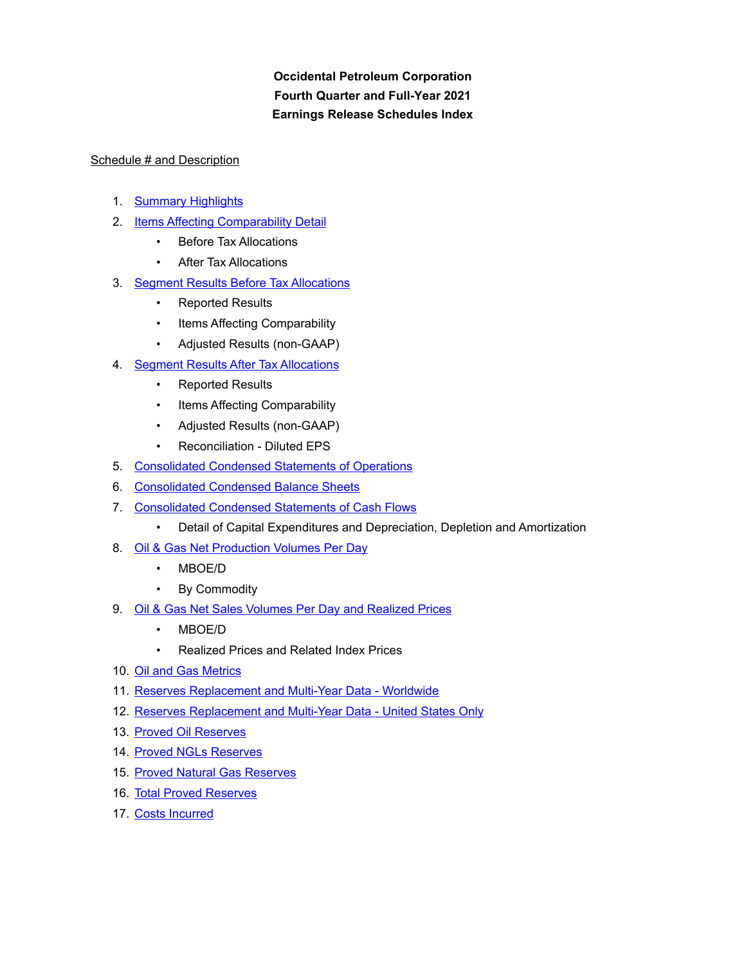**Occidental Petroleum Corporation Fourth Quarter and Full-Year 2021 Earnings Release Schedules Index**

# Schedule # and Description

- 1. [Summary Highlights](#page-5-0)
- 2. [Items Affecting Comparability Detail](#page-6-0)
	- Before Tax Allocations
	- **After Tax Allocations**
- 3. [Segment Results Before Tax Allocations](#page-7-0)
	- Reported Results
	- Items Affecting Comparability
	- Adjusted Results (non-GAAP)
- 4. [Segment Results After Tax Allocations](#page-8-0)
	- Reported Results
	- Items Affecting Comparability
	- Adjusted Results (non-GAAP)
	- Reconciliation Diluted EPS
- 5. [Consolidated Condensed Statements of Operations](#page-9-0)
- 6. [Consolidated Condensed Balance Sheets](#page-10-0)
- 7. [Consolidated Condensed Statements of Cash Flows](#page-11-0)
	- Detail of Capital Expenditures and Depreciation, Depletion and Amortization
- 8. [Oil & Gas Net Production Volumes Per Day](#page-12-0)
	- MBOE/D
	- By Commodity
- 9. [Oil & Gas Net Sales Volumes Per Day and Realized Prices](#page-13-0)
	- MBOE/D
	- Realized Prices and Related Index Prices
- 10. [Oil and Gas Metrics](#page-14-0)
- 11. [Reserves Replacement and Multi-Year Data Worldwide](#page-15-0)
- 12. [Reserves Replacement and Multi-Year Data United States Only](#page-16-0)
- 13. [Proved Oil Reserves](#page-17-0)
- 14. [Proved NGLs Reserves](#page-18-0)
- 15. [Proved Natural Gas Reserves](#page-19-0)
- 16. [Total Proved Reserves](#page-20-0)
- 17. [Costs Incurred](#page-21-0)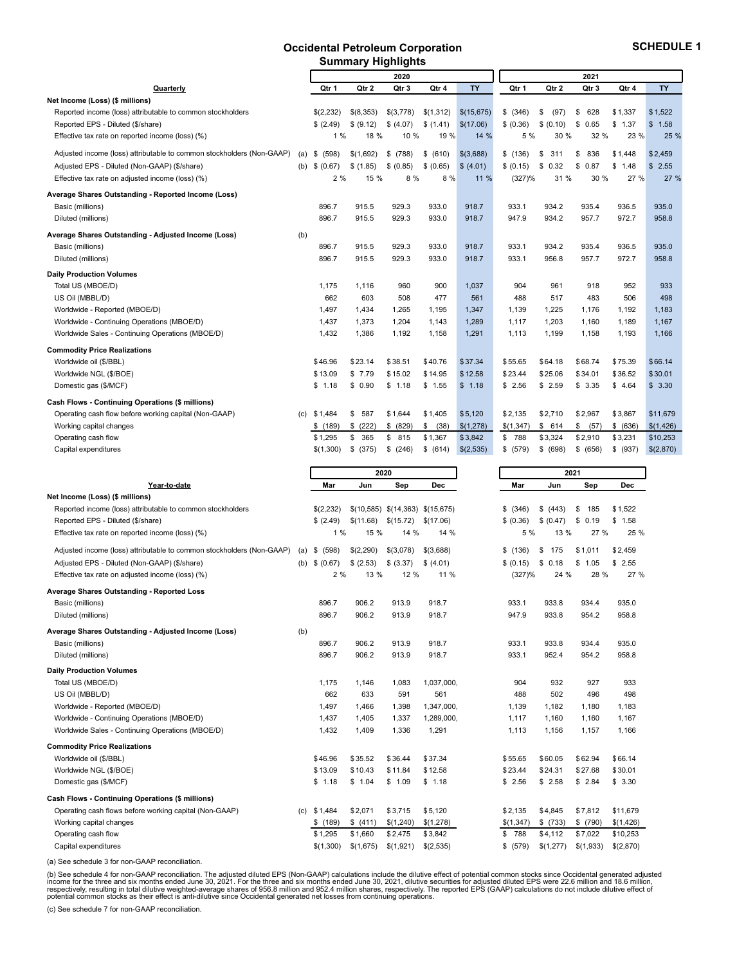#### **Occidental Petroleum Corporation Summary Highlights**

<span id="page-5-0"></span>

|                                                                       |     |             | Summary Fightynes |           |            |            |           |            |            |          |           |
|-----------------------------------------------------------------------|-----|-------------|-------------------|-----------|------------|------------|-----------|------------|------------|----------|-----------|
|                                                                       |     |             |                   | 2020      |            |            |           |            | 2021       |          |           |
| Quarterly                                                             |     | Qtr 1       | Qtr 2             | Qtr 3     | Qtr 4      | <b>TY</b>  | Qtr 1     | Qtr 2      | Qtr 3      | Qtr 4    | <b>TY</b> |
| Net Income (Loss) (\$ millions)                                       |     |             |                   |           |            |            |           |            |            |          |           |
| Reported income (loss) attributable to common stockholders            |     | \$(2,232)   | \$(8,353)         | \$(3,778) | \$(1,312)  | \$(15,675) | \$ (346)  | \$<br>(97) | 628<br>\$  | \$1.337  | \$1.522   |
| Reported EPS - Diluted (\$/share)                                     |     | \$(2.49)    | \$ (9.12)         | \$ (4.07) | \$(1.41)   | \$(17.06)  | \$ (0.36) | \$ (0.10)  | \$<br>0.65 | \$1.37   | \$1.58    |
| Effective tax rate on reported income (loss) (%)                      |     | 1%          | 18 %              | 10 %      | 19 %       | 14 %       | 5 %       | 30 %       | 32 %       | 23 %     | 25 %      |
| Adjusted income (loss) attributable to common stockholders (Non-GAAP) | (a) | (598)<br>\$ | \$(1,692)         | \$ (788)  | \$ (610)   | \$(3,688)  | \$(136)   | \$<br>311  | 836<br>\$  | \$1,448  | \$2,459   |
| Adjusted EPS - Diluted (Non-GAAP) (\$/share)                          | (b) | \$ (0.67)   | \$(1.85)          | \$ (0.85) | \$ (0.65)  | \$ (4.01)  | \$ (0.15) | \$<br>0.32 | \$<br>0.87 | \$1.48   | \$2.55    |
| Effective tax rate on adjusted income (loss) (%)                      |     | 2%          | 15 %              | 8 %       | 8 %        | 11 %       | (327)%    | 31 %       | 30 %       | 27 %     | 27 %      |
| Average Shares Outstanding - Reported Income (Loss)                   |     |             |                   |           |            |            |           |            |            |          |           |
| Basic (millions)                                                      |     | 896.7       | 915.5             | 929.3     | 933.0      | 918.7      | 933.1     | 934.2      | 935.4      | 936.5    | 935.0     |
| Diluted (millions)                                                    |     | 896.7       | 915.5             | 929.3     | 933.0      | 918.7      | 947.9     | 934.2      | 957.7      | 972.7    | 958.8     |
| Average Shares Outstanding - Adjusted Income (Loss)                   | (b) |             |                   |           |            |            |           |            |            |          |           |
| Basic (millions)                                                      |     | 896.7       | 915.5             | 929.3     | 933.0      | 918.7      | 933.1     | 934.2      | 935.4      | 936.5    | 935.0     |
| Diluted (millions)                                                    |     | 896.7       | 915.5             | 929.3     | 933.0      | 918.7      | 933.1     | 956.8      | 957.7      | 972.7    | 958.8     |
| <b>Daily Production Volumes</b>                                       |     |             |                   |           |            |            |           |            |            |          |           |
| Total US (MBOE/D)                                                     |     | 1.175       | 1.116             | 960       | 900        | 1.037      | 904       | 961        | 918        | 952      | 933       |
| US Oil (MBBL/D)                                                       |     | 662         | 603               | 508       | 477        | 561        | 488       | 517        | 483        | 506      | 498       |
| Worldwide - Reported (MBOE/D)                                         |     | 1,497       | 1,434             | 1.265     | 1,195      | 1,347      | 1,139     | 1,225      | 1.176      | 1,192    | 1,183     |
| Worldwide - Continuing Operations (MBOE/D)                            |     | 1,437       | 1,373             | 1,204     | 1,143      | 1,289      | 1,117     | 1,203      | 1,160      | 1,189    | 1,167     |
| Worldwide Sales - Continuing Operations (MBOE/D)                      |     | 1,432       | 1,386             | 1,192     | 1,158      | 1,291      | 1,113     | 1,199      | 1,158      | 1,193    | 1,166     |
| <b>Commodity Price Realizations</b>                                   |     |             |                   |           |            |            |           |            |            |          |           |
| Worldwide oil (\$/BBL)                                                |     | \$46.96     | \$23.14           | \$38.51   | \$40.76    | \$37.34    | \$55.65   | \$64.18    | \$68.74    | \$75.39  | \$66.14   |
| Worldwide NGL (\$/BOE)                                                |     | \$13.09     | \$7.79            | \$15.02   | \$14.95    | \$12.58    | \$23.44   | \$25.06    | \$34.01    | \$36.52  | \$30.01   |
| Domestic gas (\$/MCF)                                                 |     | \$1.18      | \$0.90            | \$1.18    | \$1.55     | \$1.18     | \$2.56    | \$2.59     | \$3.35     | \$4.64   | \$3.30    |
| Cash Flows - Continuing Operations (\$ millions)                      |     |             |                   |           |            |            |           |            |            |          |           |
| Operating cash flow before working capital (Non-GAAP)                 | (c) | \$1.484     | \$<br>587         | \$1,644   | \$1,405    | \$5,120    | \$2,135   | \$2,710    | \$2,967    | \$3,867  | \$11,679  |
| Working capital changes                                               |     | \$(189)     | \$<br>(222)       | \$ (829)  | \$<br>(38) | \$(1,278)  | \$(1,347) | \$614      | (57)<br>\$ | \$ (636) | \$(1,426) |
| Operating cash flow                                                   |     | \$1.295     | \$<br>365         | \$815     | \$1,367    | \$3,842    | \$ 788    | \$3,324    | \$2,910    | \$3,231  | \$10,253  |
| Capital expenditures                                                  |     | \$(1,300)   | \$<br>(375)       | \$ (246)  | \$ (614)   | \$(2,535)  | \$ (579)  | \$ (698)   | \$ (656)   | \$ (937) | \$(2,870) |

|                                                                       |     |             | 2020      |                                  |            |           |           | 2021      |            |
|-----------------------------------------------------------------------|-----|-------------|-----------|----------------------------------|------------|-----------|-----------|-----------|------------|
| Year-to-date                                                          |     | Mar         | Jun       | Sep                              | <b>Dec</b> | Mar       | Jun       | Sep       | <b>Dec</b> |
| Net Income (Loss) (\$ millions)                                       |     |             |           |                                  |            |           |           |           |            |
| Reported income (loss) attributable to common stockholders            |     | \$(2,232)   |           | \$(10,585) \$(14,363) \$(15,675) |            | \$ (346)  | \$ (443)  | \$<br>185 | \$1.522    |
| Reported EPS - Diluted (\$/share)                                     |     | \$(2.49)    | \$(11.68) | \$(15.72)                        | \$(17.06)  | \$ (0.36) | \$ (0.47) | \$0.19    | \$1.58     |
| Effective tax rate on reported income (loss) (%)                      |     | 1%          | 15 %      | 14 %                             | 14 %       | 5 %       | 13 %      | 27 %      | 25 %       |
| Adjusted income (loss) attributable to common stockholders (Non-GAAP) | (a) | \$<br>(598) | \$(2,290) | \$(3,078)                        | \$(3,688)  | \$(136)   | \$<br>175 | \$1,011   | \$2,459    |
| Adjusted EPS - Diluted (Non-GAAP) (\$/share)                          | (b) | \$ (0.67)   | \$ (2.53) | \$ (3.37)                        | \$(4.01)   | \$ (0.15) | \$0.18    | \$1.05    | \$2.55     |
| Effective tax rate on adjusted income (loss) (%)                      |     | 2%          | 13 %      | 12 %                             | 11 %       | (327)%    | 24 %      | 28 %      | 27 %       |
| Average Shares Outstanding - Reported Loss                            |     |             |           |                                  |            |           |           |           |            |
| Basic (millions)                                                      |     | 896.7       | 906.2     | 913.9                            | 918.7      | 933.1     | 933.8     | 934.4     | 935.0      |
| Diluted (millions)                                                    |     | 896.7       | 906.2     | 913.9                            | 918.7      | 947.9     | 933.8     | 954.2     | 958.8      |
| Average Shares Outstanding - Adjusted Income (Loss)                   | (b) |             |           |                                  |            |           |           |           |            |
| Basic (millions)                                                      |     | 896.7       | 906.2     | 913.9                            | 918.7      | 933.1     | 933.8     | 934.4     | 935.0      |
| Diluted (millions)                                                    |     | 896.7       | 906.2     | 913.9                            | 918.7      | 933.1     | 952.4     | 954.2     | 958.8      |
| <b>Daily Production Volumes</b>                                       |     |             |           |                                  |            |           |           |           |            |
| Total US (MBOE/D)                                                     |     | 1.175       | 1.146     | 1,083                            | 1,037,000  | 904       | 932       | 927       | 933        |
| US Oil (MBBL/D)                                                       |     | 662         | 633       | 591                              | 561        | 488       | 502       | 496       | 498        |
| Worldwide - Reported (MBOE/D)                                         |     | 1,497       | 1,466     | 1.398                            | 1,347,000. | 1,139     | 1,182     | 1.180     | 1,183      |
| Worldwide - Continuing Operations (MBOE/D)                            |     | 1,437       | 1.405     | 1.337                            | 1,289,000. | 1,117     | 1,160     | 1.160     | 1,167      |
| Worldwide Sales - Continuing Operations (MBOE/D)                      |     | 1,432       | 1,409     | 1,336                            | 1,291      | 1,113     | 1,156     | 1.157     | 1,166      |
| <b>Commodity Price Realizations</b>                                   |     |             |           |                                  |            |           |           |           |            |
| Worldwide oil (\$/BBL)                                                |     | \$46.96     | \$35.52   | \$36.44                          | \$37.34    | \$55.65   | \$60.05   | \$62.94   | \$66.14    |
| Worldwide NGL (\$/BOE)                                                |     | \$13.09     | \$10.43   | \$11.84                          | \$12.58    | \$23.44   | \$24.31   | \$27.68   | \$30.01    |
| Domestic gas (\$/MCF)                                                 |     | \$1.18      | \$1.04    | \$1.09                           | \$1.18     | \$2.56    | \$2.58    | \$2.84    | \$3.30     |
| Cash Flows - Continuing Operations (\$ millions)                      |     |             |           |                                  |            |           |           |           |            |
| Operating cash flows before working capital (Non-GAAP)                | (c) | \$1,484     | \$2,071   | \$3,715                          | \$5,120    | \$2,135   | \$4,845   | \$7,812   | \$11,679   |
| Working capital changes                                               |     | \$ (189)    | \$(411)   | \$(1,240)                        | \$(1,278)  | \$(1,347) | \$ (733)  | \$ (790)  | \$(1,426)  |
| Operating cash flow                                                   |     | \$1,295     | \$1,660   | \$2,475                          | \$3,842    | \$ 788    | \$4,112   | \$7,022   | \$10,253   |
| Capital expenditures                                                  |     | \$(1,300)   | \$(1,675) | \$(1,921)                        | \$(2,535)  | \$ (579)  | \$(1,277) | \$(1,933) | \$(2,870)  |

(a) See schedule 3 for non-GAAP reconciliation.

(b) See schedule 4 for non-GAAP reconciliation. The adjusted diluted EPS (Non-GAAP) calculations include the dilutive effect of potential common stocks since Occidental generated adjusted<br>income for the three and six month

(c) See schedule 7 for non-GAAP reconciliation.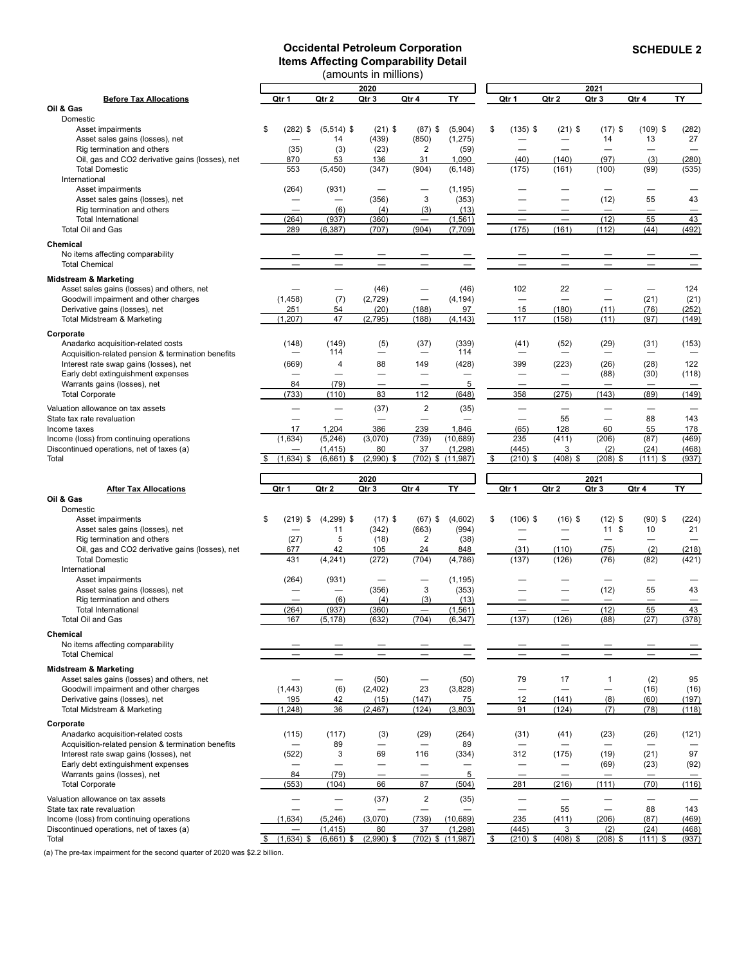#### **Occidental Petroleum Corporation Items Affecting Comparability Detail**

<span id="page-6-0"></span>

| (amounts in millions)                                                                 |                          |                          |                                 |                          |                                   |    |                                 |                                   |                          |                    |                          |
|---------------------------------------------------------------------------------------|--------------------------|--------------------------|---------------------------------|--------------------------|-----------------------------------|----|---------------------------------|-----------------------------------|--------------------------|--------------------|--------------------------|
|                                                                                       |                          |                          | 2020                            |                          |                                   |    |                                 |                                   | 2021                     |                    |                          |
| <b>Before Tax Allocations</b>                                                         | Qtr 1                    | Qtr 2                    | Qtr 3                           | Qtr 4                    | TY                                |    | Qtr 1                           | Qtr 2                             | Qtr 3                    | Qtr 4              | <b>TY</b>                |
| Oil & Gas                                                                             |                          |                          |                                 |                          |                                   |    |                                 |                                   |                          |                    |                          |
| Domestic                                                                              |                          |                          |                                 |                          |                                   |    |                                 |                                   |                          |                    |                          |
| Asset impairments                                                                     | \$<br>$(282)$ \$         | $(5,514)$ \$             | $(21)$ \$                       | $(87)$ \$                | (5,904)                           | \$ | $(135)$ \$                      | $(21)$ \$                         | $(17)$ \$                | $(109)$ \$         | (282)                    |
| Asset sales gains (losses), net                                                       |                          | 14                       | (439)                           | (850)                    | (1, 275)                          |    |                                 |                                   | 14                       | 13                 | 27                       |
| Rig termination and others                                                            | (35)                     | (3)                      | (23)                            | 2                        | (59)                              |    |                                 |                                   |                          |                    |                          |
| Oil, gas and CO2 derivative gains (losses), net<br><b>Total Domestic</b>              | 870<br>553               | 53<br>(5, 450)           | 136<br>(347)                    | 31<br>(904)              | 1,090<br>(6, 148)                 |    | (40)<br>(175)                   | (140)<br>(161)                    | (97)<br>(100)            | (3)<br>(99)        | (280)<br>(535)           |
| International                                                                         |                          |                          |                                 |                          |                                   |    |                                 |                                   |                          |                    |                          |
| Asset impairments                                                                     | (264)                    | (931)                    |                                 |                          | (1, 195)                          |    |                                 |                                   |                          |                    |                          |
| Asset sales gains (losses), net                                                       |                          | $\overline{\phantom{0}}$ | (356)                           | 3                        | (353)                             |    |                                 |                                   | (12)                     | 55                 | 43                       |
| Rig termination and others                                                            | $\sim$                   | (6)                      | (4)                             | (3)                      | (13)                              |    |                                 | $\overline{\phantom{0}}$          | $\overline{\phantom{0}}$ |                    |                          |
| <b>Total International</b>                                                            | (264)                    | (937)                    | (360)                           |                          | (1, 561)                          |    |                                 |                                   | (12)                     | 55                 | 43                       |
| Total Oil and Gas                                                                     | 289                      | (6, 387)                 | (707)                           | (904)                    | (7,709)                           |    | (175)                           | (161)                             | (112)                    | (44)               | (492)                    |
| <b>Chemical</b>                                                                       |                          |                          |                                 |                          |                                   |    |                                 |                                   |                          |                    |                          |
| No items affecting comparability                                                      |                          |                          |                                 |                          |                                   |    |                                 |                                   |                          |                    |                          |
| <b>Total Chemical</b>                                                                 | $\overline{\phantom{0}}$ | $\overline{\phantom{0}}$ | $\overline{\phantom{0}}$        | $\overline{\phantom{0}}$ | $\qquad \qquad -$                 |    | $\qquad \qquad -$               | $\equiv$                          | $\qquad \qquad -$        | $\qquad \qquad -$  | $\overline{\phantom{m}}$ |
|                                                                                       |                          |                          |                                 |                          |                                   |    |                                 |                                   |                          |                    |                          |
| <b>Midstream &amp; Marketing</b>                                                      |                          |                          |                                 |                          |                                   |    |                                 |                                   |                          |                    |                          |
| Asset sales gains (losses) and others, net<br>Goodwill impairment and other charges   | (1, 458)                 | (7)                      | (46)<br>(2,729)                 | ÷                        | (46)<br>(4, 194)                  |    | 102<br>$\overline{\phantom{0}}$ | 22<br>$\qquad \qquad$             | $\overline{\phantom{0}}$ | (21)               | 124<br>(21)              |
| Derivative gains (losses), net                                                        | 251                      | 54                       | (20)                            | (188)                    | 97                                |    | 15                              | (180)                             | (11)                     | (76)               | (252)                    |
| Total Midstream & Marketing                                                           | (1, 207)                 | 47                       | (2,795)                         | (188)                    | (4, 143)                          |    | 117                             | (158)                             | (11)                     | (97)               | (149)                    |
|                                                                                       |                          |                          |                                 |                          |                                   |    |                                 |                                   |                          |                    |                          |
| Corporate                                                                             |                          |                          |                                 |                          |                                   |    |                                 |                                   |                          |                    |                          |
| Anadarko acquisition-related costs                                                    | (148)                    | (149)<br>114             | (5)<br>$\overline{\phantom{0}}$ | (37)                     | (339)<br>114                      |    | (41)                            | (52)                              | (29)                     | (31)               | (153)                    |
| Acquisition-related pension & termination benefits                                    |                          | $\overline{4}$           |                                 |                          |                                   |    |                                 |                                   |                          |                    |                          |
| Interest rate swap gains (losses), net<br>Early debt extinguishment expenses          | (669)                    |                          | 88                              | 149                      | (428)                             |    | 399                             | (223)<br>$\overline{\phantom{0}}$ | (26)<br>(88)             | (28)<br>(30)       | 122<br>(118)             |
| Warrants gains (losses), net                                                          | 84                       | (79)                     |                                 |                          | 5                                 |    |                                 |                                   |                          |                    |                          |
| <b>Total Corporate</b>                                                                | (733)                    | (110)                    | 83                              | 112                      | (648)                             |    | 358                             | (275)                             | (143)                    | (89)               | (149)                    |
|                                                                                       |                          |                          |                                 |                          |                                   |    |                                 |                                   |                          |                    |                          |
| Valuation allowance on tax assets                                                     |                          |                          | (37)                            | $\overline{\mathbf{c}}$  | (35)                              |    |                                 |                                   |                          |                    |                          |
| State tax rate revaluation                                                            |                          |                          |                                 |                          |                                   |    |                                 | 55                                |                          | 88                 | 143                      |
| Income taxes                                                                          | 17<br>(1,634)            | 1,204<br>(5, 246)        | 386<br>(3,070)                  | 239<br>(739)             | 1,846                             |    | (65)<br>235                     | 128                               | 60<br>(206)              | 55<br>(87)         | 178<br>(469)             |
| Income (loss) from continuing operations<br>Discontinued operations, net of taxes (a) |                          | (1, 415)                 | 80                              | 37                       | (10, 689)<br>(1, 298)             |    | (445)                           | (411)<br>3                        | (2)                      | (24)               | (468)                    |
|                                                                                       |                          |                          |                                 |                          |                                   |    |                                 |                                   |                          |                    |                          |
|                                                                                       |                          |                          |                                 |                          |                                   |    |                                 |                                   |                          |                    |                          |
| Total                                                                                 | $(1,634)$ \$<br>\$       | $(6,661)$ \$             | $(2,990)$ \$                    |                          | $(702)$ \$ $(11,987)$             | \$ | $(210)$ \$                      | $(408)$ \$                        | $(208)$ \$               | $(111)$ \$         | (937)                    |
|                                                                                       |                          |                          | 2020                            |                          |                                   |    |                                 |                                   | 2021                     |                    |                          |
| <b>After Tax Allocations</b>                                                          | Qtr 1                    | Qtr 2                    | Qtr 3                           | Qtr 4                    | TY                                |    | Qtr 1                           | Qtr 2                             | Qtr 3                    | Qtr 4              | TY                       |
| Oil & Gas                                                                             |                          |                          |                                 |                          |                                   |    |                                 |                                   |                          |                    |                          |
| Domestic                                                                              |                          |                          |                                 |                          |                                   |    |                                 |                                   |                          |                    |                          |
| Asset impairments                                                                     | \$<br>$(219)$ \$         | $(4,299)$ \$             | $(17)$ \$                       | $(67)$ \$                | (4,602)                           | \$ | $(106)$ \$                      | $(16)$ \$                         | $(12)$ \$                | $(90)$ \$          | (224)                    |
| Asset sales gains (losses), net                                                       |                          | 11                       | (342)                           | (663)                    | (994)                             |    |                                 |                                   | 11S                      | 10                 | 21                       |
| Rig termination and others                                                            | (27)                     | 5                        | (18)                            | 2                        | (38)                              |    |                                 |                                   |                          |                    |                          |
| Oil, gas and CO2 derivative gains (losses), net                                       | 677                      | 42                       | 105                             | 24                       | 848                               |    | (31)                            | (110)                             | (75)                     | (2)                | (218)                    |
| <b>Total Domestic</b>                                                                 | 431                      | (4, 241)                 | (272)                           | (704)                    | (4,786)                           |    | (137)                           | (126)                             | (76)                     | (82)               | (421)                    |
| International                                                                         |                          |                          |                                 |                          |                                   |    |                                 |                                   |                          |                    |                          |
| Asset impairments                                                                     | (264)                    | (931)                    |                                 |                          | (1, 195)                          |    |                                 |                                   |                          |                    |                          |
| Asset sales gains (losses), net                                                       |                          | $\overline{\phantom{0}}$ | (356)                           | 3                        | (353)                             |    |                                 |                                   | (12)                     | 55                 | 43                       |
| Rig termination and others                                                            |                          | (6)                      | (4)                             | (3)                      | (13)                              |    | $\overline{\phantom{0}}$        |                                   |                          | 55                 |                          |
| <b>Total International</b>                                                            | (264)                    | (937)                    | (360)                           |                          | (1, 561)                          |    |                                 |                                   | (12)                     |                    | 43                       |
| Total Oil and Gas                                                                     | 167                      | (5, 178)                 | (632)                           | (704)                    | (6, 347)                          |    | (137)                           | (126)                             | (88)                     | (27)               | (378)                    |
| Chemical                                                                              |                          |                          |                                 |                          |                                   |    |                                 |                                   |                          |                    |                          |
| No items affecting comparability                                                      |                          |                          |                                 |                          |                                   |    |                                 |                                   |                          |                    |                          |
| <b>Total Chemical</b>                                                                 |                          |                          |                                 |                          |                                   |    |                                 |                                   |                          |                    | -                        |
| <b>Midstream &amp; Marketing</b>                                                      |                          |                          |                                 |                          |                                   |    |                                 |                                   |                          |                    |                          |
| Asset sales gains (losses) and others, net                                            |                          |                          | (50)                            |                          | (50)                              |    | 79                              | 17                                | $\mathbf{1}$             | (2)                | 95                       |
| Goodwill impairment and other charges                                                 | (1, 443)                 | (6)                      | (2, 402)                        | 23                       | (3,828)                           |    | $\overline{\phantom{0}}$        | $\overbrace{\phantom{12322111}}$  | $\overline{\phantom{0}}$ | (16)               | (16)                     |
| Derivative gains (losses), net                                                        | 195                      | 42                       | (15)                            | (147)                    | 75                                |    | 12                              | (141)                             | (8)                      | (60)               | (197)                    |
| Total Midstream & Marketing                                                           | (1, 248)                 | 36                       | (2, 467)                        | (124)                    | (3,803)                           |    | 91                              | (124)                             | (7)                      | (78)               | (118)                    |
| Corporate                                                                             |                          |                          |                                 |                          |                                   |    |                                 |                                   |                          |                    |                          |
| Anadarko acquisition-related costs                                                    | (115)                    | (117)                    | (3)                             | (29)                     | (264)                             |    | (31)                            | (41)                              | (23)                     | (26)               | (121)                    |
| Acquisition-related pension & termination benefits                                    |                          | 89                       | $\overline{\phantom{0}}$        |                          | 89                                |    |                                 |                                   |                          |                    |                          |
| Interest rate swap gains (losses), net                                                | (522)                    | 3                        | 69                              | 116                      | (334)                             |    | 312                             | (175)                             | (19)                     | (21)               | 97                       |
| Early debt extinguishment expenses                                                    | $\qquad \qquad$          |                          |                                 |                          | —                                 |    | —<br>—                          |                                   | (69)                     | (23)               | (92)                     |
| Warrants gains (losses), net                                                          | 84                       | (79)                     |                                 |                          | 5                                 |    |                                 |                                   |                          |                    |                          |
| <b>Total Corporate</b>                                                                | (553)                    | (104)                    | 66                              | 87                       | (504)                             |    | 281                             | (216)                             | (111)                    | (70)               | (116)                    |
| Valuation allowance on tax assets                                                     | —                        | $\overline{\phantom{0}}$ | (37)                            | $\overline{2}$           | (35)                              |    | $\overline{\phantom{0}}$        |                                   | $\overline{\phantom{0}}$ | $\qquad \qquad -$  |                          |
| State tax rate revaluation                                                            | $\overline{\phantom{0}}$ | ÷,                       |                                 |                          |                                   |    | $\overline{\phantom{0}}$        | 55                                | $\overline{\phantom{0}}$ | 88                 | 143                      |
| Income (loss) from continuing operations                                              | (1,634)                  | (5, 246)                 | (3,070)                         | (739)                    | (10, 689)                         |    | 235                             | (411)                             | (206)                    | (87)               | (469)                    |
| Discontinued operations, net of taxes (a)<br>Total                                    | $(1,634)$ \$<br>\$       | (1, 415)<br>$(6,661)$ \$ | 80<br>$(2,990)$ \$              | 37                       | (1, 298)<br>$(702)$ \$ $(11,987)$ | \$ | (445)<br>$(210)$ \$             | 3<br>(408) \$                     | (2)<br>$(208)$ \$        | (24)<br>$(111)$ \$ | (468)<br>(937)           |

(a) The pre-tax impairment for the second quarter of 2020 was \$2.2 billion.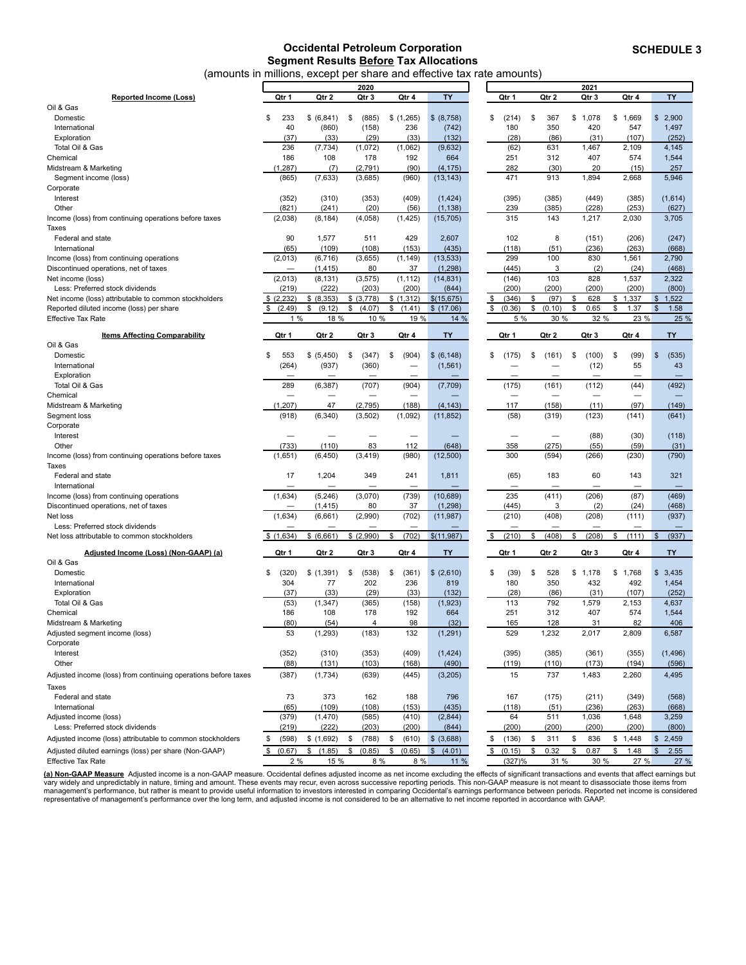#### **Occidental Petroleum Corporation Segment Results Before Tax Allocations** (amounts in millions, except p

Oil & Gas

<span id="page-7-0"></span>

|                                                       |                                                                        |            |               | segment resents servic rax rinceations |            |             |          |            |            |              |
|-------------------------------------------------------|------------------------------------------------------------------------|------------|---------------|----------------------------------------|------------|-------------|----------|------------|------------|--------------|
|                                                       | (amounts in millions, except per share and effective tax rate amounts) |            |               |                                        |            |             |          |            |            |              |
|                                                       |                                                                        |            | 2020          |                                        |            |             |          | 2021       |            |              |
| <b>Reported Income (Loss)</b>                         | Qtr 1                                                                  | Qtr 2      | Qtr 3         | Qtr 4                                  | <b>TY</b>  | Qtr 1       | Qtr 2    | Qtr 3      | Qtr 4      | <b>TY</b>    |
| Oil & Gas                                             |                                                                        |            |               |                                        |            |             |          |            |            |              |
| Domestic                                              | \$<br>233                                                              | \$ (6,841) | (885)<br>- \$ | \$(1,265)                              | \$ (8,758) | \$<br>(214) | 367<br>S | 078<br>\$1 | 1,669<br>S | 2,900<br>\$. |
| International                                         | 40                                                                     | (860)      | (158)         | 236                                    | (742)      | 180         | 350      | 420        | 547        | 1,497        |
| Exploration                                           | (37)                                                                   | (33)       | (29)          | (33)                                   | (132)      | (28)        | (86)     | (31)       | (107)      | (252)        |
| Total Oil & Gas                                       | 236                                                                    | (7, 734)   | (1,072)       | (1,062)                                | (9,632)    | (62)        | 631      | 1,467      | 2,109      | 4,145        |
| Chemical                                              | 186                                                                    | 108        | 178           | 192                                    | 664        | 251         | 312      | 407        | 574        | 1,544        |
| Midstream & Marketing                                 | 1,287)                                                                 | (7)        | (2,791)       | (90)                                   | (4, 175)   | 282         | (30)     | 20         | (15)       | 257          |
| Segment income (loss)                                 | (865)                                                                  | (7,633)    | (3,685)       | (960)                                  | (13, 143)  | 471         | 913      | 1,894      | 2,668      | 5,946        |
| Corporate                                             |                                                                        |            |               |                                        |            |             |          |            |            |              |
| Interest                                              | (352)                                                                  | (310)      | (353)         | (409)                                  | (1, 424)   | (395)       | (385)    | (449)      | (385)      | (1,614)      |
| Other                                                 | (821)                                                                  | (241)      | (20)          | (56)                                   | (1, 138)   | 239         | (385)    | (228)      | (253)      | (627)        |
| Income (loss) from continuing operations before taxes | (2,038)                                                                | (8, 184)   | (4,058)       | (1, 425)                               | (15, 705)  | 315         | 143      | 1.217      | 2,030      | 3,705        |
| Taxes                                                 |                                                                        |            |               |                                        |            |             |          |            |            |              |
| Federal and state                                     | 90                                                                     | 1,577      | 511           | 429                                    | 2,607      | 102         | 8        | (151)      | (206)      | (247)        |
| International                                         | (65)                                                                   | (109)      | (108)         | (153)                                  | (435)      | (118)       | (51)     | (236)      | (263)      | (668)        |
| Income (loss) from continuing operations              | (2,013)                                                                | (6,716)    | (3,655)       | (1, 149)                               | (13, 533)  | 299         | 100      | 830        | 1,561      | 2,790        |
| Discontinued operations, net of taxes                 |                                                                        | (1, 415)   | 80            | 37                                     | (1,298)    | (445)       | 3        | (2)        | (24)       | (468)        |
|                                                       |                                                                        |            |               |                                        |            |             |          |            |            |              |

| 103<br>2,322<br>(2,013)<br>(8, 131)<br>(1, 112)<br>(14, 831)<br>(146)<br>828<br>1,537<br>(3, 575)<br>Net income (loss)<br>(200)<br>Less: Preferred stock dividends<br>(219)<br>(222)<br>(203)<br>(200)<br>(844)<br>(200)<br>(200)<br>(200)<br>(800)<br>\$<br>(2, 232)<br>\$ (8,353)<br>\$ (3,778)<br>\$(1,312)<br>\$(15,675)<br>\$<br>\$<br>(97)<br>\$<br>1,337<br>$\sqrt{2}$<br>1,522<br>Net income (loss) attributable to common stockholders<br>(346)<br>628<br>\$<br>$\mathfrak{S}$<br>(2.49)<br>\$<br>(9.12)<br>\$<br>(4.07)<br>\$<br>(1.41)<br>\$(17.06)<br>\$<br>(0.36)<br>\$<br>\$<br>0.65<br>\$<br>1.37<br>1.58<br>\$<br>(0.10)<br>Reported diluted income (loss) per share<br>1%<br>32 %<br>23 %<br>25 %<br><b>Effective Tax Rate</b><br>18 %<br>10 %<br>19 %<br>14 %<br>5 %<br>30 %<br>Qtr 1<br>TY<br><b>Items Affecting Comparability</b><br>Qtr 1<br>Qtr 2<br>Qtr 3<br>Qtr 4<br><b>TY</b><br>Qtr 2<br>Qtr 3<br>Qtr 4<br>Oil & Gas<br>\$<br>553<br>\$<br>\$<br>(904)<br>\$ (6, 148)<br>\$<br>\$<br>(100)<br>\$<br>(99)<br>\$<br>Domestic<br>\$ (5,450)<br>(347)<br>\$<br>(161)<br>(535)<br>(175)<br>(264)<br>(937)<br>(360)<br>55<br>43<br>International<br>(1,561)<br>(12)<br>$\overline{\phantom{0}}$<br>Exploration<br>(492)<br>289<br>(6, 387)<br>(707)<br>(904)<br>(7,709)<br>(175)<br>(161)<br>(112)<br>(44)<br>Total Oil & Gas<br>Chemical<br>$\equiv$<br>$\overline{\phantom{0}}$<br>-<br>$\overline{\phantom{0}}$<br>-<br>47<br>(188)<br>Midstream & Marketing<br>(1, 207)<br>(2,795)<br>(4, 143)<br>117<br>(158)<br>(11)<br>(97)<br>(149)<br>(918)<br>(6, 340)<br>(3,502)<br>(1,092)<br>(11, 852)<br>(58)<br>(123)<br>(641)<br>Segment loss<br>(319)<br>(141)<br>Corporate<br>(30)<br>Interest<br>(88)<br>(118)<br>$\overline{\phantom{0}}$<br>-<br>$\overline{\phantom{0}}$<br>83<br>112<br>(275)<br>(31)<br>Other<br>(733)<br>(110)<br>(648)<br>358<br>(55)<br>(59)<br>(980)<br>(12,500)<br>(790)<br>(1,651)<br>(6, 450)<br>(3, 419)<br>300<br>(594)<br>(266)<br>(230)<br>Income (loss) from continuing operations before taxes<br>Taxes<br>17<br>Federal and state<br>1,204<br>349<br>241<br>1,811<br>(65)<br>183<br>60<br>143<br>321<br>International<br>-<br>-<br>$\overline{\phantom{0}}$<br>(1,634)<br>(3,070)<br>(739)<br>(10, 689)<br>235<br>(411)<br>(206)<br>(469)<br>(5, 246)<br>(87)<br>Income (loss) from continuing operations<br>(2)<br>Discontinued operations, net of taxes<br>(1, 415)<br>80<br>37<br>(1,298)<br>(445)<br>3<br>(24)<br>(468)<br>(1,634)<br>(2,990)<br>(702)<br>(210)<br>(408)<br>(208)<br>(937)<br>Net loss<br>(6,661)<br>(11, 987)<br>(111)<br>Less: Preferred stock dividends<br>\$ (6,661)<br>\$(2,990)<br>\$<br>(702)<br>(210)<br>(408)<br>\$<br>(208)<br>(937)<br>\$(1,634)<br>\$(11,987)<br>\$<br>\$<br>\$<br>(111)<br>$\mathfrak{s}$<br>Net loss attributable to common stockholders<br>TY<br>Qtr 4<br>TY<br>Qtr 3<br>Qtr 4<br>Adjusted Income (Loss) (Non-GAAP) (a)<br>Qtr 1<br>Qtr 2<br>Qtr 3<br>Qtr 1<br>Qtr 2<br>Oil & Gas<br>\$3,435<br>\$<br>(320)<br>\$(1,391)<br>\$<br>\$<br>\$ (2,610)<br>\$<br>\$1,768<br>Domestic<br>(538)<br>(361)<br>\$<br>(39)<br>528<br>\$<br>1,178<br>236<br>304<br>77<br>202<br>180<br>350<br>432<br>492<br>1,454<br>International<br>819<br>(33)<br>(29)<br>(132)<br>(28)<br>(86)<br>(252)<br>Exploration<br>(37)<br>(33)<br>(31)<br>(107)<br>(53)<br>(1, 347)<br>(365)<br>113<br>792<br>1,579<br>2,153<br>4,637<br>Total Oil & Gas<br>(158)<br>(1,923)<br>186<br>108<br>251<br>312<br>407<br>574<br>1,544<br>Chemical<br>178<br>192<br>664<br>98<br>Midstream & Marketing<br>(80)<br>(54)<br>$\overline{4}$<br>(32)<br>165<br>128<br>31<br>82<br>406<br>529<br>53<br>(183)<br>132<br>1,232<br>2,017<br>2,809<br>6,587<br>Adjusted segment income (loss)<br>(1, 293)<br>(1, 291)<br>Corporate<br>Interest<br>(352)<br>(310)<br>(353)<br>(409)<br>(1, 424)<br>(395)<br>(385)<br>(355)<br>(1, 496)<br>(361)<br>Other<br>(88)<br>(131)<br>(103)<br>(168)<br>(490)<br>(119)<br>(110)<br>(173)<br>(194)<br>(596)<br>15<br>737<br>1,483<br>Adjusted income (loss) from continuing operations before taxes<br>(387)<br>(1,734)<br>(639)<br>(445)<br>(3,205)<br>2,260<br>4,495<br><b>Taxes</b><br>73<br>373<br>188<br>Federal and state<br>162<br>796<br>167<br>(175)<br>(211)<br>(349)<br>(568)<br>(109)<br>(435)<br>(236)<br>(263)<br>International<br>(65)<br>(108)<br>(153)<br>(118)<br>(51)<br>(668)<br>64<br>511<br>Adjusted income (loss)<br>(379)<br>(1,470)<br>(585)<br>(410)<br>(2,844)<br>1,036<br>1,648<br>3,259<br>(222)<br>(200)<br>Less: Preferred stock dividends<br>(219)<br>(203)<br>(200)<br>(844)<br>(200)<br>(200)<br>(200)<br>(800)<br>\$<br>\$ (3,688)<br>\$<br>\$<br>\$1,448<br>\$<br>(598)<br>\$(1,692)<br>(788)<br>\$<br>(610)<br>\$<br>(136)<br>311<br>836<br>$\$\$<br>2,459<br>Adjusted income (loss) attributable to common stockholders<br>0.32<br>\$<br>2.55<br>\$<br>(0.67)<br>\$<br>(1.85)<br>\$<br>(0.85)<br>\$<br>(0.65)<br>$\mathfrak{S}$<br>(4.01)<br>\$<br>(0.15)<br>\$<br>0.87<br>\$<br>1.48<br>$\mathsf{\$}$<br>Adjusted diluted earnings (loss) per share (Non-GAAP)<br>2%<br>15 %<br>8 %<br>8 %<br>11 %<br>(327)%<br>31 %<br>30 %<br>27 %<br>27 %<br><b>Effective Tax Rate</b> | Discontinued operations, net of taxes | (1, 415) | 80 | 37 | (1,298) | (445) | 3 | (2) | (24) | (468) |
|--------------------------------------------------------------------------------------------------------------------------------------------------------------------------------------------------------------------------------------------------------------------------------------------------------------------------------------------------------------------------------------------------------------------------------------------------------------------------------------------------------------------------------------------------------------------------------------------------------------------------------------------------------------------------------------------------------------------------------------------------------------------------------------------------------------------------------------------------------------------------------------------------------------------------------------------------------------------------------------------------------------------------------------------------------------------------------------------------------------------------------------------------------------------------------------------------------------------------------------------------------------------------------------------------------------------------------------------------------------------------------------------------------------------------------------------------------------------------------------------------------------------------------------------------------------------------------------------------------------------------------------------------------------------------------------------------------------------------------------------------------------------------------------------------------------------------------------------------------------------------------------------------------------------------------------------------------------------------------------------------------------------------------------------------------------------------------------------------------------------------------------------------------------------------------------------------------------------------------------------------------------------------------------------------------------------------------------------------------------------------------------------------------------------------------------------------------------------------------------------------------------------------------------------------------------------------------------------------------------------------------------------------------------------------------------------------------------------------------------------------------------------------------------------------------------------------------------------------------------------------------------------------------------------------------------------------------------------------------------------------------------------------------------------------------------------------------------------------------------------------------------------------------------------------------------------------------------------------------------------------------------------------------------------------------------------------------------------------------------------------------------------------------------------------------------------------------------------------------------------------------------------------------------------------------------------------------------------------------------------------------------------------------------------------------------------------------------------------------------------------------------------------------------------------------------------------------------------------------------------------------------------------------------------------------------------------------------------------------------------------------------------------------------------------------------------------------------------------------------------------------------------------------------------------------------------------------------------------------------------------------------------------------------------------------------------------------------------------------------------------------------------------------------------------------------------------------------------------------------------------------------------------------------------------------------------------------------------------------------------------------------------------------------------------------------------------------------------------------------------------------------------------------------------------------------------------------------------------------------------------------------------------------------------------------------------------------------------------------------------------------------------------------------------------------------------------------------------------------------------------------------------------------------------------------------------------------------------|---------------------------------------|----------|----|----|---------|-------|---|-----|------|-------|
|                                                                                                                                                                                                                                                                                                                                                                                                                                                                                                                                                                                                                                                                                                                                                                                                                                                                                                                                                                                                                                                                                                                                                                                                                                                                                                                                                                                                                                                                                                                                                                                                                                                                                                                                                                                                                                                                                                                                                                                                                                                                                                                                                                                                                                                                                                                                                                                                                                                                                                                                                                                                                                                                                                                                                                                                                                                                                                                                                                                                                                                                                                                                                                                                                                                                                                                                                                                                                                                                                                                                                                                                                                                                                                                                                                                                                                                                                                                                                                                                                                                                                                                                                                                                                                                                                                                                                                                                                                                                                                                                                                                                                                                                                                                                                                                                                                                                                                                                                                                                                                                                                                                                                                                                                    |                                       |          |    |    |         |       |   |     |      |       |
|                                                                                                                                                                                                                                                                                                                                                                                                                                                                                                                                                                                                                                                                                                                                                                                                                                                                                                                                                                                                                                                                                                                                                                                                                                                                                                                                                                                                                                                                                                                                                                                                                                                                                                                                                                                                                                                                                                                                                                                                                                                                                                                                                                                                                                                                                                                                                                                                                                                                                                                                                                                                                                                                                                                                                                                                                                                                                                                                                                                                                                                                                                                                                                                                                                                                                                                                                                                                                                                                                                                                                                                                                                                                                                                                                                                                                                                                                                                                                                                                                                                                                                                                                                                                                                                                                                                                                                                                                                                                                                                                                                                                                                                                                                                                                                                                                                                                                                                                                                                                                                                                                                                                                                                                                    |                                       |          |    |    |         |       |   |     |      |       |
|                                                                                                                                                                                                                                                                                                                                                                                                                                                                                                                                                                                                                                                                                                                                                                                                                                                                                                                                                                                                                                                                                                                                                                                                                                                                                                                                                                                                                                                                                                                                                                                                                                                                                                                                                                                                                                                                                                                                                                                                                                                                                                                                                                                                                                                                                                                                                                                                                                                                                                                                                                                                                                                                                                                                                                                                                                                                                                                                                                                                                                                                                                                                                                                                                                                                                                                                                                                                                                                                                                                                                                                                                                                                                                                                                                                                                                                                                                                                                                                                                                                                                                                                                                                                                                                                                                                                                                                                                                                                                                                                                                                                                                                                                                                                                                                                                                                                                                                                                                                                                                                                                                                                                                                                                    |                                       |          |    |    |         |       |   |     |      |       |
|                                                                                                                                                                                                                                                                                                                                                                                                                                                                                                                                                                                                                                                                                                                                                                                                                                                                                                                                                                                                                                                                                                                                                                                                                                                                                                                                                                                                                                                                                                                                                                                                                                                                                                                                                                                                                                                                                                                                                                                                                                                                                                                                                                                                                                                                                                                                                                                                                                                                                                                                                                                                                                                                                                                                                                                                                                                                                                                                                                                                                                                                                                                                                                                                                                                                                                                                                                                                                                                                                                                                                                                                                                                                                                                                                                                                                                                                                                                                                                                                                                                                                                                                                                                                                                                                                                                                                                                                                                                                                                                                                                                                                                                                                                                                                                                                                                                                                                                                                                                                                                                                                                                                                                                                                    |                                       |          |    |    |         |       |   |     |      |       |
|                                                                                                                                                                                                                                                                                                                                                                                                                                                                                                                                                                                                                                                                                                                                                                                                                                                                                                                                                                                                                                                                                                                                                                                                                                                                                                                                                                                                                                                                                                                                                                                                                                                                                                                                                                                                                                                                                                                                                                                                                                                                                                                                                                                                                                                                                                                                                                                                                                                                                                                                                                                                                                                                                                                                                                                                                                                                                                                                                                                                                                                                                                                                                                                                                                                                                                                                                                                                                                                                                                                                                                                                                                                                                                                                                                                                                                                                                                                                                                                                                                                                                                                                                                                                                                                                                                                                                                                                                                                                                                                                                                                                                                                                                                                                                                                                                                                                                                                                                                                                                                                                                                                                                                                                                    |                                       |          |    |    |         |       |   |     |      |       |
|                                                                                                                                                                                                                                                                                                                                                                                                                                                                                                                                                                                                                                                                                                                                                                                                                                                                                                                                                                                                                                                                                                                                                                                                                                                                                                                                                                                                                                                                                                                                                                                                                                                                                                                                                                                                                                                                                                                                                                                                                                                                                                                                                                                                                                                                                                                                                                                                                                                                                                                                                                                                                                                                                                                                                                                                                                                                                                                                                                                                                                                                                                                                                                                                                                                                                                                                                                                                                                                                                                                                                                                                                                                                                                                                                                                                                                                                                                                                                                                                                                                                                                                                                                                                                                                                                                                                                                                                                                                                                                                                                                                                                                                                                                                                                                                                                                                                                                                                                                                                                                                                                                                                                                                                                    |                                       |          |    |    |         |       |   |     |      |       |
|                                                                                                                                                                                                                                                                                                                                                                                                                                                                                                                                                                                                                                                                                                                                                                                                                                                                                                                                                                                                                                                                                                                                                                                                                                                                                                                                                                                                                                                                                                                                                                                                                                                                                                                                                                                                                                                                                                                                                                                                                                                                                                                                                                                                                                                                                                                                                                                                                                                                                                                                                                                                                                                                                                                                                                                                                                                                                                                                                                                                                                                                                                                                                                                                                                                                                                                                                                                                                                                                                                                                                                                                                                                                                                                                                                                                                                                                                                                                                                                                                                                                                                                                                                                                                                                                                                                                                                                                                                                                                                                                                                                                                                                                                                                                                                                                                                                                                                                                                                                                                                                                                                                                                                                                                    |                                       |          |    |    |         |       |   |     |      |       |
|                                                                                                                                                                                                                                                                                                                                                                                                                                                                                                                                                                                                                                                                                                                                                                                                                                                                                                                                                                                                                                                                                                                                                                                                                                                                                                                                                                                                                                                                                                                                                                                                                                                                                                                                                                                                                                                                                                                                                                                                                                                                                                                                                                                                                                                                                                                                                                                                                                                                                                                                                                                                                                                                                                                                                                                                                                                                                                                                                                                                                                                                                                                                                                                                                                                                                                                                                                                                                                                                                                                                                                                                                                                                                                                                                                                                                                                                                                                                                                                                                                                                                                                                                                                                                                                                                                                                                                                                                                                                                                                                                                                                                                                                                                                                                                                                                                                                                                                                                                                                                                                                                                                                                                                                                    |                                       |          |    |    |         |       |   |     |      |       |
|                                                                                                                                                                                                                                                                                                                                                                                                                                                                                                                                                                                                                                                                                                                                                                                                                                                                                                                                                                                                                                                                                                                                                                                                                                                                                                                                                                                                                                                                                                                                                                                                                                                                                                                                                                                                                                                                                                                                                                                                                                                                                                                                                                                                                                                                                                                                                                                                                                                                                                                                                                                                                                                                                                                                                                                                                                                                                                                                                                                                                                                                                                                                                                                                                                                                                                                                                                                                                                                                                                                                                                                                                                                                                                                                                                                                                                                                                                                                                                                                                                                                                                                                                                                                                                                                                                                                                                                                                                                                                                                                                                                                                                                                                                                                                                                                                                                                                                                                                                                                                                                                                                                                                                                                                    |                                       |          |    |    |         |       |   |     |      |       |
|                                                                                                                                                                                                                                                                                                                                                                                                                                                                                                                                                                                                                                                                                                                                                                                                                                                                                                                                                                                                                                                                                                                                                                                                                                                                                                                                                                                                                                                                                                                                                                                                                                                                                                                                                                                                                                                                                                                                                                                                                                                                                                                                                                                                                                                                                                                                                                                                                                                                                                                                                                                                                                                                                                                                                                                                                                                                                                                                                                                                                                                                                                                                                                                                                                                                                                                                                                                                                                                                                                                                                                                                                                                                                                                                                                                                                                                                                                                                                                                                                                                                                                                                                                                                                                                                                                                                                                                                                                                                                                                                                                                                                                                                                                                                                                                                                                                                                                                                                                                                                                                                                                                                                                                                                    |                                       |          |    |    |         |       |   |     |      |       |
|                                                                                                                                                                                                                                                                                                                                                                                                                                                                                                                                                                                                                                                                                                                                                                                                                                                                                                                                                                                                                                                                                                                                                                                                                                                                                                                                                                                                                                                                                                                                                                                                                                                                                                                                                                                                                                                                                                                                                                                                                                                                                                                                                                                                                                                                                                                                                                                                                                                                                                                                                                                                                                                                                                                                                                                                                                                                                                                                                                                                                                                                                                                                                                                                                                                                                                                                                                                                                                                                                                                                                                                                                                                                                                                                                                                                                                                                                                                                                                                                                                                                                                                                                                                                                                                                                                                                                                                                                                                                                                                                                                                                                                                                                                                                                                                                                                                                                                                                                                                                                                                                                                                                                                                                                    |                                       |          |    |    |         |       |   |     |      |       |
|                                                                                                                                                                                                                                                                                                                                                                                                                                                                                                                                                                                                                                                                                                                                                                                                                                                                                                                                                                                                                                                                                                                                                                                                                                                                                                                                                                                                                                                                                                                                                                                                                                                                                                                                                                                                                                                                                                                                                                                                                                                                                                                                                                                                                                                                                                                                                                                                                                                                                                                                                                                                                                                                                                                                                                                                                                                                                                                                                                                                                                                                                                                                                                                                                                                                                                                                                                                                                                                                                                                                                                                                                                                                                                                                                                                                                                                                                                                                                                                                                                                                                                                                                                                                                                                                                                                                                                                                                                                                                                                                                                                                                                                                                                                                                                                                                                                                                                                                                                                                                                                                                                                                                                                                                    |                                       |          |    |    |         |       |   |     |      |       |
|                                                                                                                                                                                                                                                                                                                                                                                                                                                                                                                                                                                                                                                                                                                                                                                                                                                                                                                                                                                                                                                                                                                                                                                                                                                                                                                                                                                                                                                                                                                                                                                                                                                                                                                                                                                                                                                                                                                                                                                                                                                                                                                                                                                                                                                                                                                                                                                                                                                                                                                                                                                                                                                                                                                                                                                                                                                                                                                                                                                                                                                                                                                                                                                                                                                                                                                                                                                                                                                                                                                                                                                                                                                                                                                                                                                                                                                                                                                                                                                                                                                                                                                                                                                                                                                                                                                                                                                                                                                                                                                                                                                                                                                                                                                                                                                                                                                                                                                                                                                                                                                                                                                                                                                                                    |                                       |          |    |    |         |       |   |     |      |       |
|                                                                                                                                                                                                                                                                                                                                                                                                                                                                                                                                                                                                                                                                                                                                                                                                                                                                                                                                                                                                                                                                                                                                                                                                                                                                                                                                                                                                                                                                                                                                                                                                                                                                                                                                                                                                                                                                                                                                                                                                                                                                                                                                                                                                                                                                                                                                                                                                                                                                                                                                                                                                                                                                                                                                                                                                                                                                                                                                                                                                                                                                                                                                                                                                                                                                                                                                                                                                                                                                                                                                                                                                                                                                                                                                                                                                                                                                                                                                                                                                                                                                                                                                                                                                                                                                                                                                                                                                                                                                                                                                                                                                                                                                                                                                                                                                                                                                                                                                                                                                                                                                                                                                                                                                                    |                                       |          |    |    |         |       |   |     |      |       |
|                                                                                                                                                                                                                                                                                                                                                                                                                                                                                                                                                                                                                                                                                                                                                                                                                                                                                                                                                                                                                                                                                                                                                                                                                                                                                                                                                                                                                                                                                                                                                                                                                                                                                                                                                                                                                                                                                                                                                                                                                                                                                                                                                                                                                                                                                                                                                                                                                                                                                                                                                                                                                                                                                                                                                                                                                                                                                                                                                                                                                                                                                                                                                                                                                                                                                                                                                                                                                                                                                                                                                                                                                                                                                                                                                                                                                                                                                                                                                                                                                                                                                                                                                                                                                                                                                                                                                                                                                                                                                                                                                                                                                                                                                                                                                                                                                                                                                                                                                                                                                                                                                                                                                                                                                    |                                       |          |    |    |         |       |   |     |      |       |
|                                                                                                                                                                                                                                                                                                                                                                                                                                                                                                                                                                                                                                                                                                                                                                                                                                                                                                                                                                                                                                                                                                                                                                                                                                                                                                                                                                                                                                                                                                                                                                                                                                                                                                                                                                                                                                                                                                                                                                                                                                                                                                                                                                                                                                                                                                                                                                                                                                                                                                                                                                                                                                                                                                                                                                                                                                                                                                                                                                                                                                                                                                                                                                                                                                                                                                                                                                                                                                                                                                                                                                                                                                                                                                                                                                                                                                                                                                                                                                                                                                                                                                                                                                                                                                                                                                                                                                                                                                                                                                                                                                                                                                                                                                                                                                                                                                                                                                                                                                                                                                                                                                                                                                                                                    |                                       |          |    |    |         |       |   |     |      |       |
|                                                                                                                                                                                                                                                                                                                                                                                                                                                                                                                                                                                                                                                                                                                                                                                                                                                                                                                                                                                                                                                                                                                                                                                                                                                                                                                                                                                                                                                                                                                                                                                                                                                                                                                                                                                                                                                                                                                                                                                                                                                                                                                                                                                                                                                                                                                                                                                                                                                                                                                                                                                                                                                                                                                                                                                                                                                                                                                                                                                                                                                                                                                                                                                                                                                                                                                                                                                                                                                                                                                                                                                                                                                                                                                                                                                                                                                                                                                                                                                                                                                                                                                                                                                                                                                                                                                                                                                                                                                                                                                                                                                                                                                                                                                                                                                                                                                                                                                                                                                                                                                                                                                                                                                                                    |                                       |          |    |    |         |       |   |     |      |       |
|                                                                                                                                                                                                                                                                                                                                                                                                                                                                                                                                                                                                                                                                                                                                                                                                                                                                                                                                                                                                                                                                                                                                                                                                                                                                                                                                                                                                                                                                                                                                                                                                                                                                                                                                                                                                                                                                                                                                                                                                                                                                                                                                                                                                                                                                                                                                                                                                                                                                                                                                                                                                                                                                                                                                                                                                                                                                                                                                                                                                                                                                                                                                                                                                                                                                                                                                                                                                                                                                                                                                                                                                                                                                                                                                                                                                                                                                                                                                                                                                                                                                                                                                                                                                                                                                                                                                                                                                                                                                                                                                                                                                                                                                                                                                                                                                                                                                                                                                                                                                                                                                                                                                                                                                                    |                                       |          |    |    |         |       |   |     |      |       |
|                                                                                                                                                                                                                                                                                                                                                                                                                                                                                                                                                                                                                                                                                                                                                                                                                                                                                                                                                                                                                                                                                                                                                                                                                                                                                                                                                                                                                                                                                                                                                                                                                                                                                                                                                                                                                                                                                                                                                                                                                                                                                                                                                                                                                                                                                                                                                                                                                                                                                                                                                                                                                                                                                                                                                                                                                                                                                                                                                                                                                                                                                                                                                                                                                                                                                                                                                                                                                                                                                                                                                                                                                                                                                                                                                                                                                                                                                                                                                                                                                                                                                                                                                                                                                                                                                                                                                                                                                                                                                                                                                                                                                                                                                                                                                                                                                                                                                                                                                                                                                                                                                                                                                                                                                    |                                       |          |    |    |         |       |   |     |      |       |
|                                                                                                                                                                                                                                                                                                                                                                                                                                                                                                                                                                                                                                                                                                                                                                                                                                                                                                                                                                                                                                                                                                                                                                                                                                                                                                                                                                                                                                                                                                                                                                                                                                                                                                                                                                                                                                                                                                                                                                                                                                                                                                                                                                                                                                                                                                                                                                                                                                                                                                                                                                                                                                                                                                                                                                                                                                                                                                                                                                                                                                                                                                                                                                                                                                                                                                                                                                                                                                                                                                                                                                                                                                                                                                                                                                                                                                                                                                                                                                                                                                                                                                                                                                                                                                                                                                                                                                                                                                                                                                                                                                                                                                                                                                                                                                                                                                                                                                                                                                                                                                                                                                                                                                                                                    |                                       |          |    |    |         |       |   |     |      |       |
|                                                                                                                                                                                                                                                                                                                                                                                                                                                                                                                                                                                                                                                                                                                                                                                                                                                                                                                                                                                                                                                                                                                                                                                                                                                                                                                                                                                                                                                                                                                                                                                                                                                                                                                                                                                                                                                                                                                                                                                                                                                                                                                                                                                                                                                                                                                                                                                                                                                                                                                                                                                                                                                                                                                                                                                                                                                                                                                                                                                                                                                                                                                                                                                                                                                                                                                                                                                                                                                                                                                                                                                                                                                                                                                                                                                                                                                                                                                                                                                                                                                                                                                                                                                                                                                                                                                                                                                                                                                                                                                                                                                                                                                                                                                                                                                                                                                                                                                                                                                                                                                                                                                                                                                                                    |                                       |          |    |    |         |       |   |     |      |       |
|                                                                                                                                                                                                                                                                                                                                                                                                                                                                                                                                                                                                                                                                                                                                                                                                                                                                                                                                                                                                                                                                                                                                                                                                                                                                                                                                                                                                                                                                                                                                                                                                                                                                                                                                                                                                                                                                                                                                                                                                                                                                                                                                                                                                                                                                                                                                                                                                                                                                                                                                                                                                                                                                                                                                                                                                                                                                                                                                                                                                                                                                                                                                                                                                                                                                                                                                                                                                                                                                                                                                                                                                                                                                                                                                                                                                                                                                                                                                                                                                                                                                                                                                                                                                                                                                                                                                                                                                                                                                                                                                                                                                                                                                                                                                                                                                                                                                                                                                                                                                                                                                                                                                                                                                                    |                                       |          |    |    |         |       |   |     |      |       |
|                                                                                                                                                                                                                                                                                                                                                                                                                                                                                                                                                                                                                                                                                                                                                                                                                                                                                                                                                                                                                                                                                                                                                                                                                                                                                                                                                                                                                                                                                                                                                                                                                                                                                                                                                                                                                                                                                                                                                                                                                                                                                                                                                                                                                                                                                                                                                                                                                                                                                                                                                                                                                                                                                                                                                                                                                                                                                                                                                                                                                                                                                                                                                                                                                                                                                                                                                                                                                                                                                                                                                                                                                                                                                                                                                                                                                                                                                                                                                                                                                                                                                                                                                                                                                                                                                                                                                                                                                                                                                                                                                                                                                                                                                                                                                                                                                                                                                                                                                                                                                                                                                                                                                                                                                    |                                       |          |    |    |         |       |   |     |      |       |
|                                                                                                                                                                                                                                                                                                                                                                                                                                                                                                                                                                                                                                                                                                                                                                                                                                                                                                                                                                                                                                                                                                                                                                                                                                                                                                                                                                                                                                                                                                                                                                                                                                                                                                                                                                                                                                                                                                                                                                                                                                                                                                                                                                                                                                                                                                                                                                                                                                                                                                                                                                                                                                                                                                                                                                                                                                                                                                                                                                                                                                                                                                                                                                                                                                                                                                                                                                                                                                                                                                                                                                                                                                                                                                                                                                                                                                                                                                                                                                                                                                                                                                                                                                                                                                                                                                                                                                                                                                                                                                                                                                                                                                                                                                                                                                                                                                                                                                                                                                                                                                                                                                                                                                                                                    |                                       |          |    |    |         |       |   |     |      |       |
|                                                                                                                                                                                                                                                                                                                                                                                                                                                                                                                                                                                                                                                                                                                                                                                                                                                                                                                                                                                                                                                                                                                                                                                                                                                                                                                                                                                                                                                                                                                                                                                                                                                                                                                                                                                                                                                                                                                                                                                                                                                                                                                                                                                                                                                                                                                                                                                                                                                                                                                                                                                                                                                                                                                                                                                                                                                                                                                                                                                                                                                                                                                                                                                                                                                                                                                                                                                                                                                                                                                                                                                                                                                                                                                                                                                                                                                                                                                                                                                                                                                                                                                                                                                                                                                                                                                                                                                                                                                                                                                                                                                                                                                                                                                                                                                                                                                                                                                                                                                                                                                                                                                                                                                                                    |                                       |          |    |    |         |       |   |     |      |       |
|                                                                                                                                                                                                                                                                                                                                                                                                                                                                                                                                                                                                                                                                                                                                                                                                                                                                                                                                                                                                                                                                                                                                                                                                                                                                                                                                                                                                                                                                                                                                                                                                                                                                                                                                                                                                                                                                                                                                                                                                                                                                                                                                                                                                                                                                                                                                                                                                                                                                                                                                                                                                                                                                                                                                                                                                                                                                                                                                                                                                                                                                                                                                                                                                                                                                                                                                                                                                                                                                                                                                                                                                                                                                                                                                                                                                                                                                                                                                                                                                                                                                                                                                                                                                                                                                                                                                                                                                                                                                                                                                                                                                                                                                                                                                                                                                                                                                                                                                                                                                                                                                                                                                                                                                                    |                                       |          |    |    |         |       |   |     |      |       |
|                                                                                                                                                                                                                                                                                                                                                                                                                                                                                                                                                                                                                                                                                                                                                                                                                                                                                                                                                                                                                                                                                                                                                                                                                                                                                                                                                                                                                                                                                                                                                                                                                                                                                                                                                                                                                                                                                                                                                                                                                                                                                                                                                                                                                                                                                                                                                                                                                                                                                                                                                                                                                                                                                                                                                                                                                                                                                                                                                                                                                                                                                                                                                                                                                                                                                                                                                                                                                                                                                                                                                                                                                                                                                                                                                                                                                                                                                                                                                                                                                                                                                                                                                                                                                                                                                                                                                                                                                                                                                                                                                                                                                                                                                                                                                                                                                                                                                                                                                                                                                                                                                                                                                                                                                    |                                       |          |    |    |         |       |   |     |      |       |
|                                                                                                                                                                                                                                                                                                                                                                                                                                                                                                                                                                                                                                                                                                                                                                                                                                                                                                                                                                                                                                                                                                                                                                                                                                                                                                                                                                                                                                                                                                                                                                                                                                                                                                                                                                                                                                                                                                                                                                                                                                                                                                                                                                                                                                                                                                                                                                                                                                                                                                                                                                                                                                                                                                                                                                                                                                                                                                                                                                                                                                                                                                                                                                                                                                                                                                                                                                                                                                                                                                                                                                                                                                                                                                                                                                                                                                                                                                                                                                                                                                                                                                                                                                                                                                                                                                                                                                                                                                                                                                                                                                                                                                                                                                                                                                                                                                                                                                                                                                                                                                                                                                                                                                                                                    |                                       |          |    |    |         |       |   |     |      |       |
|                                                                                                                                                                                                                                                                                                                                                                                                                                                                                                                                                                                                                                                                                                                                                                                                                                                                                                                                                                                                                                                                                                                                                                                                                                                                                                                                                                                                                                                                                                                                                                                                                                                                                                                                                                                                                                                                                                                                                                                                                                                                                                                                                                                                                                                                                                                                                                                                                                                                                                                                                                                                                                                                                                                                                                                                                                                                                                                                                                                                                                                                                                                                                                                                                                                                                                                                                                                                                                                                                                                                                                                                                                                                                                                                                                                                                                                                                                                                                                                                                                                                                                                                                                                                                                                                                                                                                                                                                                                                                                                                                                                                                                                                                                                                                                                                                                                                                                                                                                                                                                                                                                                                                                                                                    |                                       |          |    |    |         |       |   |     |      |       |
|                                                                                                                                                                                                                                                                                                                                                                                                                                                                                                                                                                                                                                                                                                                                                                                                                                                                                                                                                                                                                                                                                                                                                                                                                                                                                                                                                                                                                                                                                                                                                                                                                                                                                                                                                                                                                                                                                                                                                                                                                                                                                                                                                                                                                                                                                                                                                                                                                                                                                                                                                                                                                                                                                                                                                                                                                                                                                                                                                                                                                                                                                                                                                                                                                                                                                                                                                                                                                                                                                                                                                                                                                                                                                                                                                                                                                                                                                                                                                                                                                                                                                                                                                                                                                                                                                                                                                                                                                                                                                                                                                                                                                                                                                                                                                                                                                                                                                                                                                                                                                                                                                                                                                                                                                    |                                       |          |    |    |         |       |   |     |      |       |
|                                                                                                                                                                                                                                                                                                                                                                                                                                                                                                                                                                                                                                                                                                                                                                                                                                                                                                                                                                                                                                                                                                                                                                                                                                                                                                                                                                                                                                                                                                                                                                                                                                                                                                                                                                                                                                                                                                                                                                                                                                                                                                                                                                                                                                                                                                                                                                                                                                                                                                                                                                                                                                                                                                                                                                                                                                                                                                                                                                                                                                                                                                                                                                                                                                                                                                                                                                                                                                                                                                                                                                                                                                                                                                                                                                                                                                                                                                                                                                                                                                                                                                                                                                                                                                                                                                                                                                                                                                                                                                                                                                                                                                                                                                                                                                                                                                                                                                                                                                                                                                                                                                                                                                                                                    |                                       |          |    |    |         |       |   |     |      |       |
|                                                                                                                                                                                                                                                                                                                                                                                                                                                                                                                                                                                                                                                                                                                                                                                                                                                                                                                                                                                                                                                                                                                                                                                                                                                                                                                                                                                                                                                                                                                                                                                                                                                                                                                                                                                                                                                                                                                                                                                                                                                                                                                                                                                                                                                                                                                                                                                                                                                                                                                                                                                                                                                                                                                                                                                                                                                                                                                                                                                                                                                                                                                                                                                                                                                                                                                                                                                                                                                                                                                                                                                                                                                                                                                                                                                                                                                                                                                                                                                                                                                                                                                                                                                                                                                                                                                                                                                                                                                                                                                                                                                                                                                                                                                                                                                                                                                                                                                                                                                                                                                                                                                                                                                                                    |                                       |          |    |    |         |       |   |     |      |       |
|                                                                                                                                                                                                                                                                                                                                                                                                                                                                                                                                                                                                                                                                                                                                                                                                                                                                                                                                                                                                                                                                                                                                                                                                                                                                                                                                                                                                                                                                                                                                                                                                                                                                                                                                                                                                                                                                                                                                                                                                                                                                                                                                                                                                                                                                                                                                                                                                                                                                                                                                                                                                                                                                                                                                                                                                                                                                                                                                                                                                                                                                                                                                                                                                                                                                                                                                                                                                                                                                                                                                                                                                                                                                                                                                                                                                                                                                                                                                                                                                                                                                                                                                                                                                                                                                                                                                                                                                                                                                                                                                                                                                                                                                                                                                                                                                                                                                                                                                                                                                                                                                                                                                                                                                                    |                                       |          |    |    |         |       |   |     |      |       |
|                                                                                                                                                                                                                                                                                                                                                                                                                                                                                                                                                                                                                                                                                                                                                                                                                                                                                                                                                                                                                                                                                                                                                                                                                                                                                                                                                                                                                                                                                                                                                                                                                                                                                                                                                                                                                                                                                                                                                                                                                                                                                                                                                                                                                                                                                                                                                                                                                                                                                                                                                                                                                                                                                                                                                                                                                                                                                                                                                                                                                                                                                                                                                                                                                                                                                                                                                                                                                                                                                                                                                                                                                                                                                                                                                                                                                                                                                                                                                                                                                                                                                                                                                                                                                                                                                                                                                                                                                                                                                                                                                                                                                                                                                                                                                                                                                                                                                                                                                                                                                                                                                                                                                                                                                    |                                       |          |    |    |         |       |   |     |      |       |
|                                                                                                                                                                                                                                                                                                                                                                                                                                                                                                                                                                                                                                                                                                                                                                                                                                                                                                                                                                                                                                                                                                                                                                                                                                                                                                                                                                                                                                                                                                                                                                                                                                                                                                                                                                                                                                                                                                                                                                                                                                                                                                                                                                                                                                                                                                                                                                                                                                                                                                                                                                                                                                                                                                                                                                                                                                                                                                                                                                                                                                                                                                                                                                                                                                                                                                                                                                                                                                                                                                                                                                                                                                                                                                                                                                                                                                                                                                                                                                                                                                                                                                                                                                                                                                                                                                                                                                                                                                                                                                                                                                                                                                                                                                                                                                                                                                                                                                                                                                                                                                                                                                                                                                                                                    |                                       |          |    |    |         |       |   |     |      |       |
|                                                                                                                                                                                                                                                                                                                                                                                                                                                                                                                                                                                                                                                                                                                                                                                                                                                                                                                                                                                                                                                                                                                                                                                                                                                                                                                                                                                                                                                                                                                                                                                                                                                                                                                                                                                                                                                                                                                                                                                                                                                                                                                                                                                                                                                                                                                                                                                                                                                                                                                                                                                                                                                                                                                                                                                                                                                                                                                                                                                                                                                                                                                                                                                                                                                                                                                                                                                                                                                                                                                                                                                                                                                                                                                                                                                                                                                                                                                                                                                                                                                                                                                                                                                                                                                                                                                                                                                                                                                                                                                                                                                                                                                                                                                                                                                                                                                                                                                                                                                                                                                                                                                                                                                                                    |                                       |          |    |    |         |       |   |     |      |       |
|                                                                                                                                                                                                                                                                                                                                                                                                                                                                                                                                                                                                                                                                                                                                                                                                                                                                                                                                                                                                                                                                                                                                                                                                                                                                                                                                                                                                                                                                                                                                                                                                                                                                                                                                                                                                                                                                                                                                                                                                                                                                                                                                                                                                                                                                                                                                                                                                                                                                                                                                                                                                                                                                                                                                                                                                                                                                                                                                                                                                                                                                                                                                                                                                                                                                                                                                                                                                                                                                                                                                                                                                                                                                                                                                                                                                                                                                                                                                                                                                                                                                                                                                                                                                                                                                                                                                                                                                                                                                                                                                                                                                                                                                                                                                                                                                                                                                                                                                                                                                                                                                                                                                                                                                                    |                                       |          |    |    |         |       |   |     |      |       |
|                                                                                                                                                                                                                                                                                                                                                                                                                                                                                                                                                                                                                                                                                                                                                                                                                                                                                                                                                                                                                                                                                                                                                                                                                                                                                                                                                                                                                                                                                                                                                                                                                                                                                                                                                                                                                                                                                                                                                                                                                                                                                                                                                                                                                                                                                                                                                                                                                                                                                                                                                                                                                                                                                                                                                                                                                                                                                                                                                                                                                                                                                                                                                                                                                                                                                                                                                                                                                                                                                                                                                                                                                                                                                                                                                                                                                                                                                                                                                                                                                                                                                                                                                                                                                                                                                                                                                                                                                                                                                                                                                                                                                                                                                                                                                                                                                                                                                                                                                                                                                                                                                                                                                                                                                    |                                       |          |    |    |         |       |   |     |      |       |
|                                                                                                                                                                                                                                                                                                                                                                                                                                                                                                                                                                                                                                                                                                                                                                                                                                                                                                                                                                                                                                                                                                                                                                                                                                                                                                                                                                                                                                                                                                                                                                                                                                                                                                                                                                                                                                                                                                                                                                                                                                                                                                                                                                                                                                                                                                                                                                                                                                                                                                                                                                                                                                                                                                                                                                                                                                                                                                                                                                                                                                                                                                                                                                                                                                                                                                                                                                                                                                                                                                                                                                                                                                                                                                                                                                                                                                                                                                                                                                                                                                                                                                                                                                                                                                                                                                                                                                                                                                                                                                                                                                                                                                                                                                                                                                                                                                                                                                                                                                                                                                                                                                                                                                                                                    |                                       |          |    |    |         |       |   |     |      |       |
|                                                                                                                                                                                                                                                                                                                                                                                                                                                                                                                                                                                                                                                                                                                                                                                                                                                                                                                                                                                                                                                                                                                                                                                                                                                                                                                                                                                                                                                                                                                                                                                                                                                                                                                                                                                                                                                                                                                                                                                                                                                                                                                                                                                                                                                                                                                                                                                                                                                                                                                                                                                                                                                                                                                                                                                                                                                                                                                                                                                                                                                                                                                                                                                                                                                                                                                                                                                                                                                                                                                                                                                                                                                                                                                                                                                                                                                                                                                                                                                                                                                                                                                                                                                                                                                                                                                                                                                                                                                                                                                                                                                                                                                                                                                                                                                                                                                                                                                                                                                                                                                                                                                                                                                                                    |                                       |          |    |    |         |       |   |     |      |       |
|                                                                                                                                                                                                                                                                                                                                                                                                                                                                                                                                                                                                                                                                                                                                                                                                                                                                                                                                                                                                                                                                                                                                                                                                                                                                                                                                                                                                                                                                                                                                                                                                                                                                                                                                                                                                                                                                                                                                                                                                                                                                                                                                                                                                                                                                                                                                                                                                                                                                                                                                                                                                                                                                                                                                                                                                                                                                                                                                                                                                                                                                                                                                                                                                                                                                                                                                                                                                                                                                                                                                                                                                                                                                                                                                                                                                                                                                                                                                                                                                                                                                                                                                                                                                                                                                                                                                                                                                                                                                                                                                                                                                                                                                                                                                                                                                                                                                                                                                                                                                                                                                                                                                                                                                                    |                                       |          |    |    |         |       |   |     |      |       |
|                                                                                                                                                                                                                                                                                                                                                                                                                                                                                                                                                                                                                                                                                                                                                                                                                                                                                                                                                                                                                                                                                                                                                                                                                                                                                                                                                                                                                                                                                                                                                                                                                                                                                                                                                                                                                                                                                                                                                                                                                                                                                                                                                                                                                                                                                                                                                                                                                                                                                                                                                                                                                                                                                                                                                                                                                                                                                                                                                                                                                                                                                                                                                                                                                                                                                                                                                                                                                                                                                                                                                                                                                                                                                                                                                                                                                                                                                                                                                                                                                                                                                                                                                                                                                                                                                                                                                                                                                                                                                                                                                                                                                                                                                                                                                                                                                                                                                                                                                                                                                                                                                                                                                                                                                    |                                       |          |    |    |         |       |   |     |      |       |
|                                                                                                                                                                                                                                                                                                                                                                                                                                                                                                                                                                                                                                                                                                                                                                                                                                                                                                                                                                                                                                                                                                                                                                                                                                                                                                                                                                                                                                                                                                                                                                                                                                                                                                                                                                                                                                                                                                                                                                                                                                                                                                                                                                                                                                                                                                                                                                                                                                                                                                                                                                                                                                                                                                                                                                                                                                                                                                                                                                                                                                                                                                                                                                                                                                                                                                                                                                                                                                                                                                                                                                                                                                                                                                                                                                                                                                                                                                                                                                                                                                                                                                                                                                                                                                                                                                                                                                                                                                                                                                                                                                                                                                                                                                                                                                                                                                                                                                                                                                                                                                                                                                                                                                                                                    |                                       |          |    |    |         |       |   |     |      |       |
|                                                                                                                                                                                                                                                                                                                                                                                                                                                                                                                                                                                                                                                                                                                                                                                                                                                                                                                                                                                                                                                                                                                                                                                                                                                                                                                                                                                                                                                                                                                                                                                                                                                                                                                                                                                                                                                                                                                                                                                                                                                                                                                                                                                                                                                                                                                                                                                                                                                                                                                                                                                                                                                                                                                                                                                                                                                                                                                                                                                                                                                                                                                                                                                                                                                                                                                                                                                                                                                                                                                                                                                                                                                                                                                                                                                                                                                                                                                                                                                                                                                                                                                                                                                                                                                                                                                                                                                                                                                                                                                                                                                                                                                                                                                                                                                                                                                                                                                                                                                                                                                                                                                                                                                                                    |                                       |          |    |    |         |       |   |     |      |       |
|                                                                                                                                                                                                                                                                                                                                                                                                                                                                                                                                                                                                                                                                                                                                                                                                                                                                                                                                                                                                                                                                                                                                                                                                                                                                                                                                                                                                                                                                                                                                                                                                                                                                                                                                                                                                                                                                                                                                                                                                                                                                                                                                                                                                                                                                                                                                                                                                                                                                                                                                                                                                                                                                                                                                                                                                                                                                                                                                                                                                                                                                                                                                                                                                                                                                                                                                                                                                                                                                                                                                                                                                                                                                                                                                                                                                                                                                                                                                                                                                                                                                                                                                                                                                                                                                                                                                                                                                                                                                                                                                                                                                                                                                                                                                                                                                                                                                                                                                                                                                                                                                                                                                                                                                                    |                                       |          |    |    |         |       |   |     |      |       |
|                                                                                                                                                                                                                                                                                                                                                                                                                                                                                                                                                                                                                                                                                                                                                                                                                                                                                                                                                                                                                                                                                                                                                                                                                                                                                                                                                                                                                                                                                                                                                                                                                                                                                                                                                                                                                                                                                                                                                                                                                                                                                                                                                                                                                                                                                                                                                                                                                                                                                                                                                                                                                                                                                                                                                                                                                                                                                                                                                                                                                                                                                                                                                                                                                                                                                                                                                                                                                                                                                                                                                                                                                                                                                                                                                                                                                                                                                                                                                                                                                                                                                                                                                                                                                                                                                                                                                                                                                                                                                                                                                                                                                                                                                                                                                                                                                                                                                                                                                                                                                                                                                                                                                                                                                    |                                       |          |    |    |         |       |   |     |      |       |

(a) Non-GAAP Measure Adjusted income is a non-GAAP measure. Occidental defines adjusted income as net income excluding the effects of significant transactions and events that affect earnings but<br>vary widely and unpredictab management's performance, but rather is meant to provide useful information to investors interested in comparing Occidental's earnings performance between periods. Reported net income is considered representative of management's performance over the long term, and adjusted income is not considered to be an alternative to net income reported in accordance with GAAP.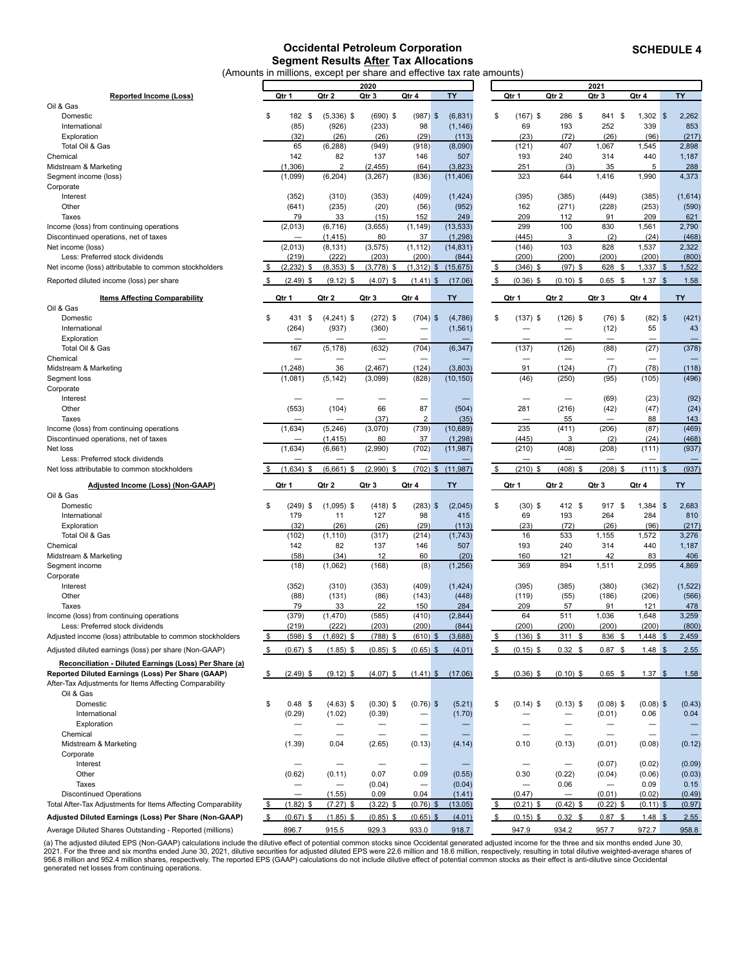#### **Occidental Petroleum Corporation Segment Results After Tax Allocations** (Amounts in millions, except per share and effective tax rate amounts)

<span id="page-8-0"></span>

|                                                               |       |                          |                          |              |                          | in millions, execpt per share and enceave tax rate |                          |                          |                          |                   |           |
|---------------------------------------------------------------|-------|--------------------------|--------------------------|--------------|--------------------------|----------------------------------------------------|--------------------------|--------------------------|--------------------------|-------------------|-----------|
|                                                               |       |                          |                          | 2020         |                          |                                                    |                          |                          | 2021                     |                   |           |
| <b>Reported Income (Loss)</b>                                 | Qtr 1 |                          | Qtr 2                    | Qtr 3        | Qtr 4                    | <b>TY</b>                                          | Qtr 1                    | Qtr 2                    | Qtr 3                    | Qtr 4             | TY        |
| Oil & Gas                                                     |       |                          |                          |              |                          |                                                    |                          |                          |                          |                   |           |
| Domestic                                                      | \$    | 182 \$                   | $(5,336)$ \$             | $(690)$ \$   | $(987)$ \$               | (6, 831)                                           | \$<br>$(167)$ \$         | 286 \$                   | 841 \$                   | $1,302$ \$        | 2,262     |
| International                                                 |       | (85)                     | (926)                    | (233)        | 98                       | (1, 146)                                           | 69                       | 193                      | 252                      | 339               | 853       |
| Exploration                                                   |       | (32)                     | (26)                     | (26)         | (29)                     | (113)                                              | (23)                     | (72)                     | (26)                     | (96)              | (217)     |
| Total Oil & Gas                                               |       | 65                       | (6, 288)                 | (949)        | (918)                    | (8,090)                                            | (121)                    | 407                      | 1,067                    | 1,545             | 2,898     |
|                                                               |       |                          |                          |              |                          |                                                    |                          |                          |                          |                   |           |
| Chemical                                                      |       | 142                      | 82                       | 137          | 146                      | 507                                                | 193                      | 240                      | 314                      | 440               | 1,187     |
| Midstream & Marketing                                         |       | (1, 306)                 | $\overline{2}$           | (2, 455)     | (64)                     | (3,823)                                            | 251                      | (3)                      | 35                       | 5                 | 288       |
| Segment income (loss)                                         |       | (1,099)                  | (6, 204)                 | (3, 267)     | (836)                    | (11, 406)                                          | 323                      | 644                      | 1,416                    | 1,990             | 4,373     |
| Corporate                                                     |       |                          |                          |              |                          |                                                    |                          |                          |                          |                   |           |
| Interest                                                      |       | (352)                    | (310)                    | (353)        | (409)                    | (1, 424)                                           | (395)                    | (385)                    | (449)                    | (385)             | (1,614)   |
| Other                                                         |       | (641)                    | (235)                    | (20)         | (56)                     | (952)                                              | 162                      | (271)                    | (228)                    | (253)             | (590)     |
|                                                               |       |                          |                          |              |                          |                                                    |                          |                          |                          |                   |           |
| Taxes                                                         |       | 79                       | 33                       | (15)         | 152                      | 249                                                | 209                      | 112                      | 91                       | 209               | 621       |
| Income (loss) from continuing operations                      |       | (2,013)                  | (6, 716)                 | (3,655)      | (1, 149)                 | (13, 533)                                          | 299                      | 100                      | 830                      | 1,561             | 2,790     |
| Discontinued operations, net of taxes                         |       |                          | (1, 415)                 | 80           | 37                       | (1, 298)                                           | (445)                    | 3                        | (2)                      | (24)              | (468)     |
| Net income (loss)                                             |       | (2,013)                  | (8, 131)                 | (3, 575)     | (1, 112)                 | (14, 831)                                          | (146)                    | 103                      | 828                      | 1,537             | 2,322     |
| Less: Preferred stock dividends                               |       | (219)                    | (222)                    | (203)        | (200)                    | (844)                                              | (200)                    | (200)                    | (200)                    | (200)             | (800)     |
| Net income (loss) attributable to common stockholders         | \$    | (2, 232)<br>\$           | $(8,353)$ \$             | $(3,778)$ \$ | (1, 312)                 | $\mathfrak{F}$<br>(15, 675)                        | \$<br>$(346)$ \$         | $(97)$ \$                | 628<br>\$                | $1,337$ \$        | 1,522     |
|                                                               |       |                          |                          |              |                          |                                                    |                          |                          |                          |                   |           |
| Reported diluted income (loss) per share                      | \$    | $(2.49)$ \$              | $(9.12)$ \$              | $(4.07)$ \$  | $(1.41)$ \$              | (17.06)                                            | \$<br>$(0.36)$ \$        | $(0.10)$ \$              | $0.65$ \$                | $1.37$ \$         | 1.58      |
|                                                               |       |                          |                          |              |                          |                                                    |                          |                          |                          |                   |           |
| <b>Items Affecting Comparability</b>                          | Qtr 1 |                          | Qtr 2                    | Qtr 3        | Qtr 4                    | <b>TY</b>                                          | Qtr 1                    | Qtr 2                    | Qtr 3                    | Qtr 4             | <b>TY</b> |
| Oil & Gas                                                     |       |                          |                          |              |                          |                                                    |                          |                          |                          |                   |           |
| Domestic                                                      | \$    | 431 \$                   | $(4,241)$ \$             | $(272)$ \$   | $(704)$ \$               | (4,786)                                            | \$<br>$(137)$ \$         | $(126)$ \$               | $(76)$ \$                | $(82)$ \$         | (421)     |
| International                                                 |       | (264)                    | (937)                    | (360)        | -                        | (1, 561)                                           |                          | $\overline{\phantom{0}}$ | (12)                     | 55                | 43        |
|                                                               |       |                          |                          |              |                          |                                                    |                          |                          |                          |                   |           |
| Exploration                                                   |       |                          |                          |              |                          |                                                    |                          |                          |                          |                   |           |
| Total Oil & Gas                                               |       | 167                      | (5, 178)                 | (632)        | (704)                    | (6, 347)                                           | (137)                    | (126)                    | (88)                     | (27)              | (378)     |
| Chemical                                                      |       | $\overline{\phantom{0}}$ |                          |              |                          |                                                    | $\overline{\phantom{0}}$ |                          | $\overline{\phantom{0}}$ |                   |           |
| Midstream & Marketing                                         |       | (1, 248)                 | 36                       | (2, 467)     | (124)                    | (3,803)                                            | 91                       | (124)                    | (7)                      | (78)              | (118)     |
| Segment loss                                                  |       | (1,081)                  | (5, 142)                 | (3,099)      | (828)                    | (10, 150)                                          | (46)                     | (250)                    | (95)                     | (105)             | (496)     |
| Corporate                                                     |       |                          |                          |              |                          |                                                    |                          |                          |                          |                   |           |
|                                                               |       |                          |                          |              |                          |                                                    |                          |                          |                          |                   |           |
| Interest                                                      |       |                          |                          |              |                          |                                                    |                          |                          | (69)                     | (23)              | (92)      |
| Other                                                         |       | (553)                    | (104)                    | 66           | 87                       | (504)                                              | 281                      | (216)                    | (42)                     | (47)              | (24)      |
| Taxes                                                         |       |                          |                          | (37)         | $\overline{2}$           | (35)                                               |                          | 55                       |                          | 88                | 143       |
| Income (loss) from continuing operations                      |       | (1,634)                  | (5, 246)                 | (3,070)      | (739)                    | (10, 689)                                          | 235                      | (411)                    | (206)                    | (87)              | (469)     |
| Discontinued operations, net of taxes                         |       |                          | (1, 415)                 | 80           | 37                       | (1, 298)                                           | (445)                    | 3                        | (2)                      | (24)              | (468)     |
| Net loss                                                      |       | (1,634)                  | (6,661)                  | (2,990)      | (702)                    | (11, 987)                                          | (210)                    | (408)                    | (208)                    | (111)             | (937)     |
|                                                               |       |                          |                          |              |                          |                                                    |                          |                          |                          |                   |           |
| Less: Preferred stock dividends                               |       |                          |                          |              | $\overline{\phantom{0}}$ |                                                    |                          | -                        |                          |                   |           |
| Net loss attributable to common stockholders                  |       | (1,634)<br>\$            | (6,661)<br>\$            | $(2,990)$ \$ | (702)                    | (11, 987)<br>$\mathfrak{F}$                        | \$<br>$(210)$ \$         | (408)<br>\$              | $(208)$ \$               | $(111)$ \$        | (937)     |
| Adjusted Income (Loss) (Non-GAAP)                             | Qtr 1 |                          | Qtr 2                    | Qtr 3        | Qtr 4                    | TY                                                 | Qtr 1                    | Qtr 2                    | Qtr 3                    | Qtr 4             | TY        |
|                                                               |       |                          |                          |              |                          |                                                    |                          |                          |                          |                   |           |
| Oil & Gas                                                     |       |                          |                          |              |                          |                                                    |                          |                          |                          |                   |           |
| Domestic                                                      | \$    | $(249)$ \$               | $(1,095)$ \$             | $(418)$ \$   | $(283)$ \$               | (2,045)                                            | \$<br>$(30)$ \$          | 412 \$                   | 917 \$                   | $1,384$ \$        | 2,683     |
| International                                                 |       | 179                      | 11                       | 127          | 98                       | 415                                                | 69                       | 193                      | 264                      | 284               | 810       |
| Exploration                                                   |       | (32)                     | (26)                     | (26)         | (29)                     | (113)                                              | (23)                     | (72)                     | (26)                     | (96)              | (217)     |
| Total Oil & Gas                                               |       | (102)                    | (1, 110)                 | (317)        | (214)                    | (1,743)                                            | 16                       | 533                      | 1,155                    | 1,572             | 3,276     |
| Chemical                                                      |       | 142                      | 82                       | 137          | 146                      | 507                                                | 193                      | 240                      | 314                      | 440               | 1,187     |
|                                                               |       |                          |                          |              |                          |                                                    |                          |                          |                          |                   |           |
| Midstream & Marketing                                         |       | (58)                     | (34)                     | 12           | 60                       | (20)                                               | 160                      | 121                      | 42                       | 83                | 406       |
| Segment income                                                |       | (18)                     | (1,062)                  | (168)        | (8)                      | (1, 256)                                           | 369                      | 894                      | 1,511                    | 2,095             | 4,869     |
| Corporate                                                     |       |                          |                          |              |                          |                                                    |                          |                          |                          |                   |           |
| Interest                                                      |       | (352)                    | (310)                    | (353)        | (409)                    | (1, 424)                                           | (395)                    | (385)                    | (380)                    | (362)             | (1, 522)  |
| Other                                                         |       | (88)                     | (131)                    | (86)         | (143)                    | (448)                                              | (119)                    | (55)                     | (186)                    | (206)             | (566)     |
| Taxes                                                         |       | 79                       | 33                       | 22           | 150                      | 284                                                | 209                      | 57                       | 91                       | 121               | 478       |
| Income (loss) from continuing operations                      |       | (379)                    | (1,470)                  | (585)        | (410)                    | (2, 844)                                           | 64                       | 511                      | 1,036                    | 1,648             | 3,259     |
|                                                               |       |                          |                          |              |                          |                                                    |                          |                          |                          |                   |           |
| Less: Preferred stock dividends                               |       | (219)                    | (222)                    | (203)        | (200)                    | (844)                                              | (200)                    | (200)                    | (200)                    | (200)             | (800)     |
| Adjusted income (loss) attributable to common stockholders    | \$    | (598)<br>\$              | $(1,692)$ \$             | $(788)$ \$   | (610)                    | (3,688)<br>\$                                      | \$<br>$(136)$ \$         | 311<br>\$                | 836<br>\$                | $1,448$ \$        | 2,459     |
| Adjusted diluted earnings (loss) per share (Non-GAAP)         | \$    | $(0.67)$ \$              | $(1.85)$ \$              | $(0.85)$ \$  | $(0.65)$ \$              | (4.01)                                             | \$<br>$(0.15)$ \$        | $0.32$ \$                | $0.87$ \$                | $1.48$ \$         | 2.55      |
|                                                               |       |                          |                          |              |                          |                                                    |                          |                          |                          |                   |           |
| Reconciliation - Diluted Earnings (Loss) Per Share (a)        |       |                          |                          |              |                          |                                                    |                          |                          |                          |                   |           |
| Reported Diluted Earnings (Loss) Per Share (GAAP)             | \$    | $(2.49)$ \$              | $(9.12)$ \$              | $(4.07)$ \$  | $(1.41)$ \$              | (17.06)                                            | \$<br>$(0.36)$ \$        | $(0.10)$ \$              | $0.65$ \$                | 1.37 <sup>5</sup> | 1.58      |
| After-Tax Adjustments for Items Affecting Comparability       |       |                          |                          |              |                          |                                                    |                          |                          |                          |                   |           |
| Oil & Gas                                                     |       |                          |                          |              |                          |                                                    |                          |                          |                          |                   |           |
|                                                               |       |                          |                          |              |                          |                                                    |                          |                          |                          |                   |           |
| Domestic                                                      | \$    | $0.48$ \$                | $(4.63)$ \$              | $(0.30)$ \$  | $(0.76)$ \$              | (5.21)                                             | \$<br>$(0.14)$ \$        | $(0.13)$ \$              | $(0.08)$ \$              | $(0.08)$ \$       | (0.43)    |
| International                                                 |       | (0.29)                   | (1.02)                   | (0.39)       |                          | (1.70)                                             |                          |                          | (0.01)                   | 0.06              | 0.04      |
| Exploration                                                   |       |                          |                          |              | $\overline{\phantom{0}}$ |                                                    |                          |                          |                          |                   |           |
| Chemical                                                      |       | $\overline{\phantom{0}}$ | $\overline{\phantom{0}}$ |              | $\overline{\phantom{0}}$ |                                                    |                          |                          | $\overline{\phantom{0}}$ | —                 |           |
| Midstream & Marketing                                         |       | (1.39)                   | 0.04                     | (2.65)       | (0.13)                   | (4.14)                                             | 0.10                     | (0.13)                   | (0.01)                   | (0.08)            | (0.12)    |
| Corporate                                                     |       |                          |                          |              |                          |                                                    |                          |                          |                          |                   |           |
|                                                               |       |                          |                          |              |                          |                                                    |                          |                          |                          |                   |           |
| Interest                                                      |       | —                        | -                        |              | -                        |                                                    |                          |                          | (0.07)                   | (0.02)            | (0.09)    |
| Other                                                         |       | (0.62)                   | (0.11)                   | 0.07         | 0.09                     | (0.55)                                             | 0.30                     | (0.22)                   | (0.04)                   | (0.06)            | (0.03)    |
| Taxes                                                         |       | —                        |                          | (0.04)       | $\overline{\phantom{0}}$ | (0.04)                                             | $\overline{\phantom{0}}$ | 0.06                     | $\overline{\phantom{0}}$ | 0.09              | 0.15      |
| <b>Discontinued Operations</b>                                |       |                          | (1.55)                   | 0.09         | 0.04                     | (1.41)                                             | (0.47)                   |                          | (0.01)                   | (0.02)            | (0.49)    |
| Total After-Tax Adjustments for Items Affecting Comparability | \$    | (1.82)<br>\$             | $(7.27)$ \$              | $(3.22)$ \$  | $(0.76)$ \$              | (13.05)                                            | \$<br>$(0.21)$ \$        | $(0.42)$ \$              | $(0.22)$ \$              | $(0.11)$ \$       | (0.97)    |

(a) The adjusted diluted EPS (Non-GAAP) calculations include the dilutive effect of potential common stocks since Occidental generated adjusted income for the three and six months ended June 30,<br>2021. For the three and six generated net losses from continuing operations.

**Adjusted Diluted Earnings (Loss) Per Share (Non-GAAP)** \$ (0.67) \$ (1.85) \$ (0.85) \$ (0.65) \$ (4.01) \$ (0.15) \$ 0.32 \$ 0.87 \$ 1.48 \$ 2.55 Average Diluted Shares Outstanding - Reported (millions) 896.7 915.5 929.3 933.0 918.7 947.9 934.2 957.7 972.7 958.8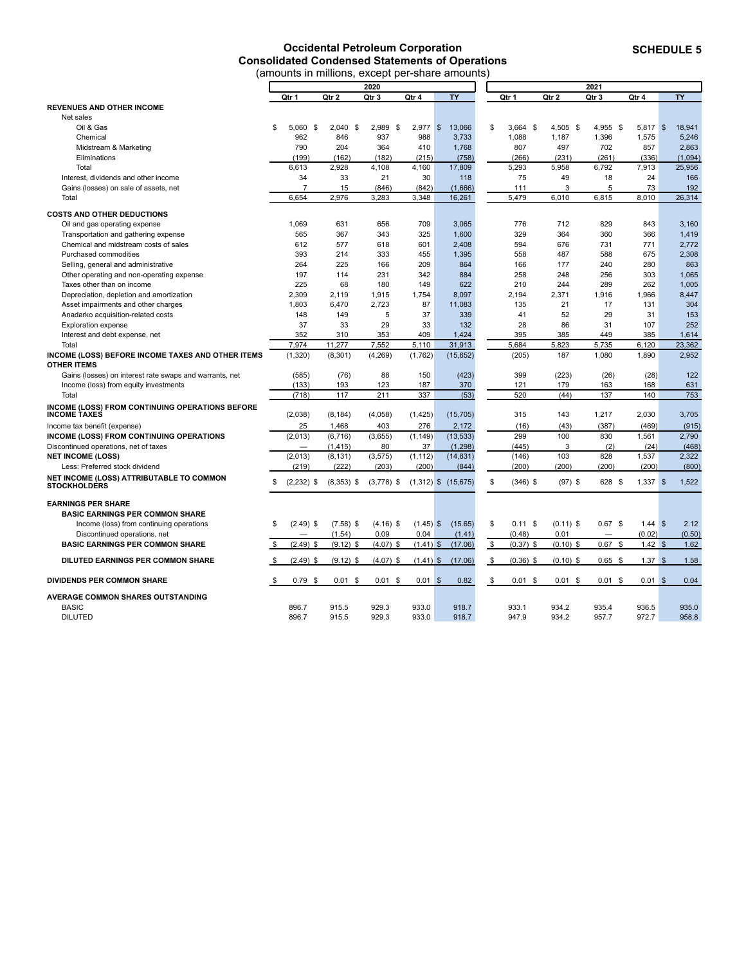# **Occidental Petroleum Corporation Consolidated Condensed Statements of Operations**

<span id="page-9-0"></span>

|                                                                 | (amounts in millions, except per-share amounts) |                |              |              |             |                         |            |             |             |           |                   |           |
|-----------------------------------------------------------------|-------------------------------------------------|----------------|--------------|--------------|-------------|-------------------------|------------|-------------|-------------|-----------|-------------------|-----------|
|                                                                 |                                                 |                |              | 2020         |             |                         |            |             | 2021        |           |                   |           |
|                                                                 |                                                 | Qtr 1          | Qtr 2        | Qtr 3        | Qtr 4       | <b>TY</b>               |            | Qtr 1       | Qtr 2       | Qtr 3     | Qtr 4             | <b>TY</b> |
| <b>REVENUES AND OTHER INCOME</b>                                |                                                 |                |              |              |             |                         |            |             |             |           |                   |           |
| Net sales                                                       |                                                 |                |              |              |             |                         |            |             |             |           |                   |           |
| Oil & Gas                                                       | \$.                                             | $5.060$ \$     | $2,040$ \$   | 2,989 \$     | $2,977$ \$  | 13,066                  | \$         | $3,664$ \$  | 4,505 \$    | 4,955 \$  | $5,817$ \$        | 18,941    |
| Chemical                                                        |                                                 | 962            | 846          | 937          | 988         | 3,733                   |            | 1,088       | 1,187       | 1,396     | 1,575             | 5,246     |
| Midstream & Marketing                                           |                                                 | 790            | 204          | 364          | 410         | 1,768                   |            | 807         | 497         | 702       | 857               | 2.863     |
| Eliminations                                                    |                                                 | (199)          | (162)        | (182)        | (215)       | (758)                   |            | (266)       | (231)       | (261)     | (336)             | (1,094)   |
| Total                                                           |                                                 | 6,613          | 2,928        | 4,108        | 4,160       | 17,809                  |            | 5,293       | 5,958       | 6,792     | 7,913             | 25,956    |
| Interest, dividends and other income                            |                                                 | 34             | 33           | 21           | 30          | 118                     |            | 75          | 49          | 18        | 24                | 166       |
| Gains (losses) on sale of assets, net                           |                                                 | $\overline{7}$ | 15           | (846)        | (842)       | (1,666)                 |            | 111         | 3           | 5         | 73                | 192       |
| Total                                                           |                                                 | 6,654          | 2,976        | 3,283        | 3,348       | 16,261                  |            | 5,479       | 6,010       | 6,815     | 8,010             | 26,314    |
| <b>COSTS AND OTHER DEDUCTIONS</b>                               |                                                 |                |              |              |             |                         |            |             |             |           |                   |           |
| Oil and gas operating expense                                   |                                                 | 1,069          | 631          | 656          | 709         | 3,065                   |            | 776         | 712         | 829       | 843               | 3,160     |
| Transportation and gathering expense                            |                                                 | 565            | 367          | 343          | 325         | 1,600                   |            | 329         | 364         | 360       | 366               | 1,419     |
| Chemical and midstream costs of sales                           |                                                 | 612            | 577          | 618          | 601         | 2,408                   |            | 594         | 676         | 731       | 771               | 2,772     |
| Purchased commodities                                           |                                                 | 393            | 214          | 333          | 455         | 1,395                   |            | 558         | 487         | 588       | 675               | 2,308     |
| Selling, general and administrative                             |                                                 | 264            | 225          | 166          | 209         | 864                     |            | 166         | 177         | 240       | 280               | 863       |
| Other operating and non-operating expense                       |                                                 | 197            | 114          | 231          | 342         | 884                     |            | 258         | 248         | 256       | 303               | 1,065     |
| Taxes other than on income                                      |                                                 | 225            | 68           | 180          | 149         | 622                     |            | 210         | 244         | 289       | 262               | 1,005     |
| Depreciation, depletion and amortization                        |                                                 | 2.309          | 2.119        | 1.915        | 1.754       | 8.097                   |            | 2.194       | 2.371       | 1.916     | 1.966             | 8.447     |
| Asset impairments and other charges                             |                                                 | 1,803          | 6,470        | 2,723        | 87          | 11,083                  |            | 135         | 21          | 17        | 131               | 304       |
| Anadarko acquisition-related costs                              |                                                 | 148            | 149          | 5            | 37          | 339                     |            | 41          | 52          | 29        | 31                | 153       |
| <b>Exploration expense</b>                                      |                                                 | 37             | 33           | 29           | 33          | 132                     |            | 28          | 86          | 31        | 107               | 252       |
| Interest and debt expense, net                                  |                                                 | 352            | 310          | 353          | 409         | 1.424                   |            | 395         | 385         | 449       | 385               | 1.614     |
| Total                                                           |                                                 | 7,974          | 11,277       | 7,552        | 5,110       | 31,913                  |            | 5,684       | 5,823       | 5,735     | 6,120             | 23,362    |
| INCOME (LOSS) BEFORE INCOME TAXES AND OTHER ITEMS               |                                                 | (1, 320)       | (8, 301)     | (4,269)      | (1,762)     | (15, 652)               |            | (205)       | 187         | 1,080     | 1,890             | 2,952     |
| <b>OTHER ITEMS</b>                                              |                                                 |                |              |              |             |                         |            |             |             |           |                   |           |
| Gains (losses) on interest rate swaps and warrants, net         |                                                 | (585)          | (76)         | 88           | 150         | (423)                   |            | 399         | (223)       | (26)      | (28)              | 122       |
| Income (loss) from equity investments                           |                                                 | (133)          | 193          | 123          | 187         | 370                     |            | 121         | 179         | 163       | 168               | 631       |
| Total                                                           |                                                 | (718)          | 117          | 211          | 337         | (53)                    |            | 520         | (44)        | 137       | 140               | 753       |
| INCOME (LOSS) FROM CONTINUING OPERATIONS BEFORE                 |                                                 |                |              |              |             |                         |            |             |             |           |                   |           |
| <b>INCOME TAXES</b>                                             |                                                 | (2,038)        | (8, 184)     | (4,058)      | (1, 425)    | (15, 705)               |            | 315         | 143         | 1,217     | 2,030             | 3,705     |
| Income tax benefit (expense)                                    |                                                 | 25             | 1,468        | 403          | 276         | 2,172                   |            | (16)        | (43)        | (387)     | (469)             | (915)     |
| INCOME (LOSS) FROM CONTINUING OPERATIONS                        |                                                 | (2,013)        | (6, 716)     | (3,655)      | (1, 149)    | (13, 533)               |            | 299         | 100         | 830       | 1,561             | 2,790     |
| Discontinued operations, net of taxes                           |                                                 |                | (1, 415)     | 80           | 37          | (1,298)                 |            | (445)       | 3           | (2)       | (24)              | (468)     |
| <b>NET INCOME (LOSS)</b>                                        |                                                 | (2,013)        | (8, 131)     | (3, 575)     | (1, 112)    | (14, 831)               |            | (146)       | 103         | 828       | 1,537             | 2,322     |
| Less: Preferred stock dividend                                  |                                                 | (219)          | (222)        | (203)        | (200)       | (844)                   |            | (200)       | (200)       | (200)     | (200)             | (800)     |
| NET INCOME (LOSS) ATTRIBUTABLE TO COMMON<br><b>STOCKHOLDERS</b> | \$                                              | $(2,232)$ \$   | $(8,353)$ \$ | $(3,778)$ \$ |             | $(1,312)$ \$ $(15,675)$ | \$         | $(346)$ \$  | $(97)$ \$   | 628 \$    | $1,337$ \$        | 1,522     |
| <b>EARNINGS PER SHARE</b>                                       |                                                 |                |              |              |             |                         |            |             |             |           |                   |           |
| <b>BASIC EARNINGS PER COMMON SHARE</b>                          |                                                 |                |              |              |             |                         |            |             |             |           |                   |           |
| Income (loss) from continuing operations                        | \$                                              | $(2.49)$ \$    | $(7.58)$ \$  | $(4.16)$ \$  | $(1.45)$ \$ | (15.65)                 | \$         | 0.11S       | $(0.11)$ \$ | $0.67$ \$ | $1.44$ \$         | 2.12      |
| Discontinued operations, net                                    |                                                 |                | (1.54)       | 0.09         | 0.04        | (1.41)                  |            | (0.48)      | 0.01        |           | (0.02)            | (0.50)    |
| <b>BASIC EARNINGS PER COMMON SHARE</b>                          | \$                                              | $(2.49)$ \$    | $(9.12)$ \$  | $(4.07)$ \$  | $(1.41)$ \$ | (17.06)                 | \$         | $(0.37)$ \$ | $(0.10)$ \$ | $0.67$ \$ | 1.42S             | 1.62      |
| <b>DILUTED EARNINGS PER COMMON SHARE</b>                        | \$                                              | $(2.49)$ \$    | $(9.12)$ \$  | $(4.07)$ \$  | $(1.41)$ \$ | (17.06)                 | \$         | $(0.36)$ \$ | $(0.10)$ \$ | $0.65$ \$ | 1.37 <sup>5</sup> | 1.58      |
| DIVIDENDS PER COMMON SHARE                                      | \$                                              | $0.79$ \$      | $0.01$ \$    | $0.01$ \$    | $0.01$ \$   | 0.82                    | $\sqrt{2}$ | $0.01$ \$   | $0.01$ \$   | $0.01$ \$ | $0.01$ \$         | 0.04      |
|                                                                 |                                                 |                |              |              |             |                         |            |             |             |           |                   |           |
| AVERAGE COMMON SHARES OUTSTANDING                               |                                                 |                |              |              |             |                         |            |             |             |           |                   |           |
| <b>BASIC</b>                                                    |                                                 | 896.7          | 915.5        | 929.3        | 933.0       | 918.7                   |            | 933.1       | 934.2       | 935.4     | 936.5             | 935.0     |
| <b>DILUTED</b>                                                  |                                                 | 896.7          | 915.5        | 929.3        | 933.0       | 918.7                   |            | 947.9       | 934.2       | 957.7     | 972.7             | 958.8     |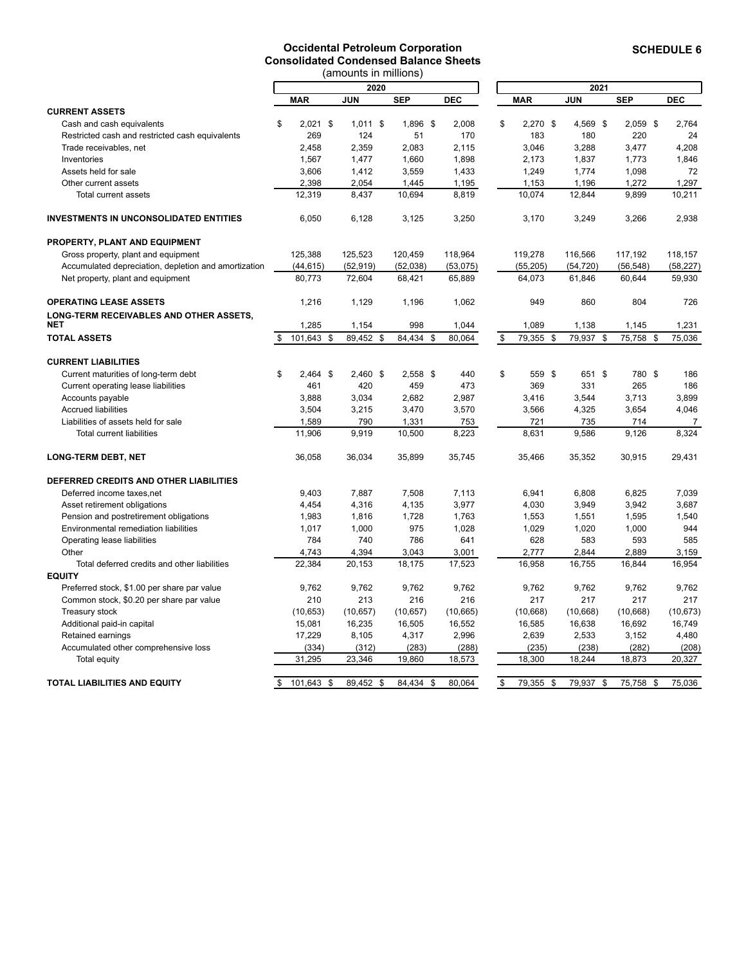#### **Occidental Petroleum Corporation Consolidated Condensed Balance Sheets**

<span id="page-10-0"></span>

|                                                      |                  | (amounts in millions) |            |            |                  |            |      |            |            |
|------------------------------------------------------|------------------|-----------------------|------------|------------|------------------|------------|------|------------|------------|
|                                                      |                  | 2020                  |            |            |                  |            | 2021 |            |            |
|                                                      | <b>MAR</b>       | <b>JUN</b>            | <b>SEP</b> | <b>DEC</b> | <b>MAR</b>       | <b>JUN</b> |      | <b>SEP</b> | <b>DEC</b> |
| <b>CURRENT ASSETS</b>                                |                  |                       |            |            |                  |            |      |            |            |
| Cash and cash equivalents                            | \$<br>$2,021$ \$ | $1.011$ \$            | 1,896 \$   | 2.008      | \$<br>$2,270$ \$ | 4,569 \$   |      | $2,059$ \$ | 2.764      |
| Restricted cash and restricted cash equivalents      | 269              | 124                   | 51         | 170        | 183              | 180        |      | 220        | 24         |
| Trade receivables, net                               | 2,458            | 2,359                 | 2,083      | 2,115      | 3,046            | 3,288      |      | 3,477      | 4,208      |
| Inventories                                          | 1,567            | 1,477                 | 1,660      | 1,898      | 2,173            | 1,837      |      | 1,773      | 1,846      |
| Assets held for sale                                 | 3,606            | 1,412                 | 3,559      | 1,433      | 1,249            | 1,774      |      | 1,098      | 72         |
| Other current assets                                 | 2,398            | 2,054                 | 1,445      | 1,195      | 1,153            | 1,196      |      | 1,272      | 1,297      |
| Total current assets                                 | 12,319           | 8,437                 | 10,694     | 8,819      | 10,074           | 12,844     |      | 9,899      | 10,211     |
| <b>INVESTMENTS IN UNCONSOLIDATED ENTITIES</b>        | 6,050            | 6,128                 | 3,125      | 3,250      | 3,170            | 3,249      |      | 3,266      | 2,938      |
| PROPERTY, PLANT AND EQUIPMENT                        |                  |                       |            |            |                  |            |      |            |            |
| Gross property, plant and equipment                  | 125,388          | 125,523               | 120,459    | 118,964    | 119,278          | 116,566    |      | 117,192    | 118,157    |
| Accumulated depreciation, depletion and amortization | (44, 615)        | (52, 919)             | (52,038)   | (53,075)   | (55, 205)        | (54, 720)  |      | (56, 548)  | (58, 227)  |
| Net property, plant and equipment                    | 80,773           | 72,604                | 68,421     | 65,889     | 64,073           | 61,846     |      | 60,644     | 59,930     |
| <b>OPERATING LEASE ASSETS</b>                        | 1,216            | 1,129                 | 1,196      | 1,062      | 949              | 860        |      | 804        | 726        |
| LONG-TERM RECEIVABLES AND OTHER ASSETS,<br>NET       | 1,285            | 1,154                 | 998        | 1,044      | 1,089            | 1,138      |      | 1,145      | 1,231      |
| <b>TOTAL ASSETS</b>                                  | \$<br>101,643 \$ | 89,452 \$             | 84,434 \$  | 80,064     | \$<br>79,355 \$  | 79,937 \$  |      | 75,758 \$  | 75,036     |
| <b>CURRENT LIABILITIES</b>                           |                  |                       |            |            |                  |            |      |            |            |
| Current maturities of long-term debt                 | \$<br>$2,464$ \$ | 2,460 \$              | $2,558$ \$ | 440        | \$<br>559 \$     | 651 \$     |      | 780 \$     | 186        |
| Current operating lease liabilities                  | 461              | 420                   | 459        | 473        | 369              | 331        |      | 265        | 186        |
| Accounts payable                                     | 3,888            | 3,034                 | 2,682      | 2,987      | 3,416            | 3,544      |      | 3,713      | 3,899      |
| <b>Accrued liabilities</b>                           | 3,504            | 3,215                 | 3,470      | 3,570      | 3,566            | 4,325      |      | 3,654      | 4,046      |
| Liabilities of assets held for sale                  | 1,589            | 790                   | 1,331      | 753        | 721              | 735        |      | 714        | 7          |
| <b>Total current liabilities</b>                     | 11.906           | 9,919                 | 10,500     | 8,223      | 8,631            | 9,586      |      | 9,126      | 8,324      |
| <b>LONG-TERM DEBT, NET</b>                           | 36,058           | 36,034                | 35,899     | 35,745     | 35,466           | 35,352     |      | 30,915     | 29,431     |
| DEFERRED CREDITS AND OTHER LIABILITIES               |                  |                       |            |            |                  |            |      |            |            |
| Deferred income taxes, net                           | 9,403            | 7,887                 | 7,508      | 7,113      | 6,941            | 6,808      |      | 6,825      | 7,039      |
| Asset retirement obligations                         | 4,454            | 4,316                 | 4,135      | 3,977      | 4,030            | 3,949      |      | 3,942      | 3,687      |
| Pension and postretirement obligations               | 1,983            | 1,816                 | 1,728      | 1,763      | 1,553            | 1,551      |      | 1,595      | 1,540      |
| Environmental remediation liabilities                | 1,017            | 1,000                 | 975        | 1,028      | 1,029            | 1,020      |      | 1,000      | 944        |
| Operating lease liabilities                          | 784              | 740                   | 786        | 641        | 628              | 583        |      | 593        | 585        |
| Other                                                | 4,743            | 4,394                 | 3,043      | 3,001      | 2,777            | 2,844      |      | 2,889      | 3,159      |
| Total deferred credits and other liabilities         | 22,384           | 20,153                | 18,175     | 17,523     | 16,958           | 16,755     |      | 16,844     | 16,954     |
| <b>EQUITY</b>                                        |                  |                       |            |            |                  |            |      |            |            |
| Preferred stock, \$1.00 per share par value          | 9,762            | 9,762                 | 9,762      | 9,762      | 9,762            | 9,762      |      | 9,762      | 9,762      |
| Common stock, \$0.20 per share par value             | 210              | 213                   | 216        | 216        | 217              | 217        |      | 217        | 217        |
| Treasury stock                                       | (10, 653)        | (10, 657)             | (10, 657)  | (10, 665)  | (10, 668)        | (10, 668)  |      | (10, 668)  | (10, 673)  |
| Additional paid-in capital                           | 15,081           | 16,235                | 16,505     | 16,552     | 16,585           | 16,638     |      | 16,692     | 16,749     |
| Retained earnings                                    | 17,229           | 8,105                 | 4,317      | 2,996      | 2,639            | 2,533      |      | 3,152      | 4,480      |
| Accumulated other comprehensive loss                 | (334)            | (312)                 | (283)      | (288)      | (235)            | (238)      |      | (282)      | (208)      |
| Total equity                                         | 31,295           | 23,346                | 19,860     | 18,573     | 18,300           | 18,244     |      | 18,873     | 20,327     |
| <b>TOTAL LIABILITIES AND EQUITY</b>                  | \$<br>101,643 \$ | 89,452 \$             | 84,434 \$  | 80,064     | \$<br>79,355 \$  | 79,937 \$  |      | 75,758 \$  | 75,036     |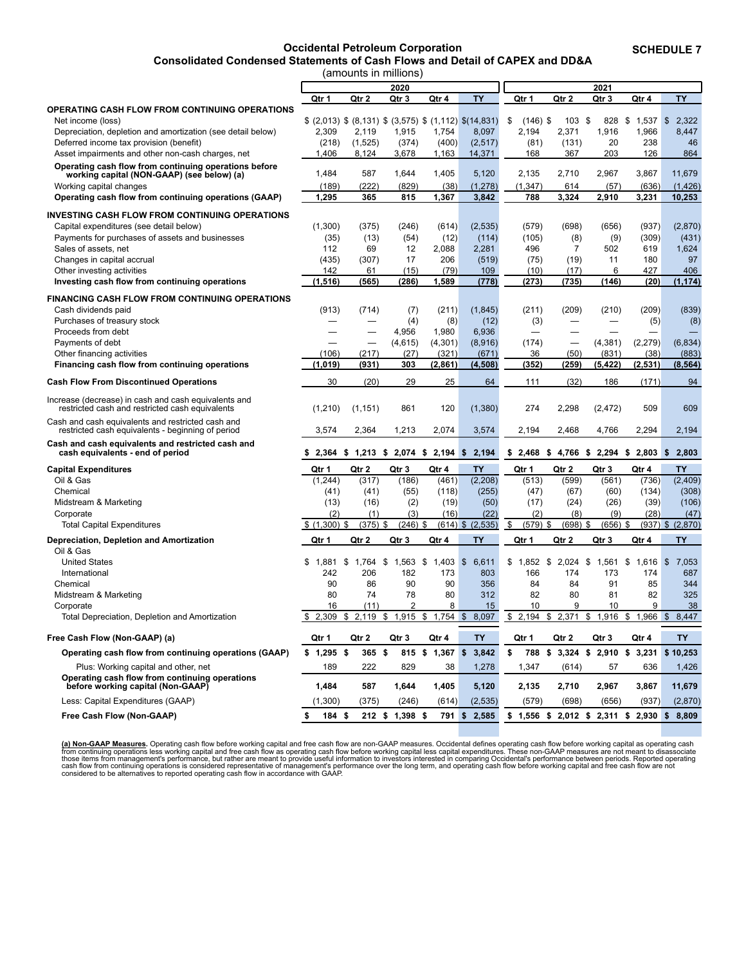#### **Occidental Petroleum Corporation**

**Consolidated Condensed Statements of Cash Flows and Detail of CAPEX and DD&A**

**SCHEDULE 7**

<span id="page-11-0"></span>

|                                                                                                         |                     | (amounts in millions)                        |                    |                    |                                                                |                                        |                |                                        |                    |                      |
|---------------------------------------------------------------------------------------------------------|---------------------|----------------------------------------------|--------------------|--------------------|----------------------------------------------------------------|----------------------------------------|----------------|----------------------------------------|--------------------|----------------------|
|                                                                                                         |                     |                                              | 2020               |                    |                                                                |                                        |                | 2021                                   |                    |                      |
|                                                                                                         | Qtr 1               | Qtr 2                                        | Qtr 3              | Qtr 4              | <b>TY</b>                                                      | Qtr 1                                  | Qtr 2          | Qtr 3                                  | Qtr 4              | <b>TY</b>            |
| <b>OPERATING CASH FLOW FROM CONTINUING OPERATIONS</b>                                                   |                     |                                              |                    |                    |                                                                |                                        |                |                                        |                    |                      |
| Net income (loss)                                                                                       |                     |                                              |                    |                    | $(2,013)$ \$ $(8,131)$ \$ $(3,575)$ \$ $(1,112)$ \$ $(14,831)$ | \$<br>$(146)$ \$                       | 103            | \$<br>828                              | $1,537$ \$<br>\$   | 2,322                |
| Depreciation, depletion and amortization (see detail below)                                             | 2,309               | 2,119                                        | 1,915              | 1,754              | 8,097                                                          | 2,194                                  | 2,371          | 1,916                                  | 1,966              | 8,447                |
| Deferred income tax provision (benefit)                                                                 | (218)               | (1,525)                                      | (374)              | (400)              | (2, 517)                                                       | (81)                                   | (131)          | 20                                     | 238                | 46                   |
| Asset impairments and other non-cash charges, net                                                       | 1,406               | 8,124                                        | 3,678              | 1,163              | 14,371                                                         | 168                                    | 367            | 203                                    | 126                | 864                  |
| Operating cash flow from continuing operations before                                                   |                     |                                              |                    |                    |                                                                |                                        |                |                                        |                    |                      |
| working capital (NON-GAAP) (see below) (a)                                                              | 1,484               | 587                                          | 1,644              | 1,405              | 5,120                                                          | 2,135                                  | 2,710          | 2,967                                  | 3,867              | 11,679               |
| Working capital changes                                                                                 | (189)               | (222)                                        | (829)              | (38)               | (1, 278)                                                       | (1, 347)                               | 614            | (57)                                   | (636)              | (1, 426)             |
| Operating cash flow from continuing operations (GAAP)                                                   | 1,295               | 365                                          | 815                | 1,367              | 3,842                                                          | 788                                    | 3,324          | 2,910                                  | 3,231              | 10,253               |
| <b>INVESTING CASH FLOW FROM CONTINUING OPERATIONS</b>                                                   |                     |                                              |                    |                    |                                                                |                                        |                |                                        |                    |                      |
| Capital expenditures (see detail below)                                                                 | (1,300)             | (375)                                        | (246)              | (614)              | (2, 535)                                                       | (579)                                  | (698)          | (656)                                  | (937)              | (2,870)              |
| Payments for purchases of assets and businesses                                                         | (35)                | (13)                                         | (54)               | (12)               | (114)                                                          | (105)                                  | (8)            | (9)                                    | (309)              | (431)                |
| Sales of assets, net                                                                                    | 112                 | 69                                           | 12                 | 2,088              | 2,281                                                          | 496                                    | $\overline{7}$ | 502                                    | 619                | 1,624                |
| Changes in capital accrual                                                                              | (435)               | (307)                                        | 17                 | 206                | (519)                                                          | (75)                                   | (19)           | 11                                     | 180                | 97                   |
| Other investing activities                                                                              | 142                 | 61                                           | (15)               | (79)               | 109                                                            | (10)                                   | (17)           | 6                                      | 427                | 406                  |
| Investing cash flow from continuing operations                                                          | (1, 516)            | (565)                                        | (286)              | 1,589              | (778)                                                          | (273)                                  | (735)          | (146)                                  | (20)               | (1, 174)             |
|                                                                                                         |                     |                                              |                    |                    |                                                                |                                        |                |                                        |                    |                      |
| <b>FINANCING CASH FLOW FROM CONTINUING OPERATIONS</b>                                                   |                     |                                              |                    |                    |                                                                |                                        |                |                                        |                    |                      |
| Cash dividends paid                                                                                     | (913)               | (714)                                        | (7)                | (211)              | (1, 845)                                                       | (211)                                  | (209)          | (210)                                  | (209)              | (839)                |
| Purchases of treasury stock                                                                             |                     |                                              | (4)                | (8)                | (12)                                                           | (3)                                    |                |                                        | (5)                | (8)                  |
| Proceeds from debt                                                                                      |                     |                                              | 4,956              | 1,980              | 6,936                                                          |                                        |                |                                        |                    |                      |
| Payments of debt                                                                                        |                     | $\overline{\phantom{0}}$                     | (4,615)            | (4, 301)           | (8,916)                                                        | (174)                                  |                | (4, 381)                               | (2, 279)           | (6, 834)             |
| Other financing activities                                                                              | (106)               | (217)                                        | (27)               | (321)              | (671)                                                          | 36                                     | (50)           | (831)                                  | (38)               | (883)                |
| Financing cash flow from continuing operations                                                          | (1,019)             | (931)                                        | 303                | (2.861)            | (4, 508)                                                       | (352)                                  | (259)          | (5, 422)                               | (2, 531)           | (8, 564)             |
| <b>Cash Flow From Discontinued Operations</b>                                                           | 30                  | (20)                                         | 29                 | 25                 | 64                                                             | 111                                    | (32)           | 186                                    | (171)              | 94                   |
| Increase (decrease) in cash and cash equivalents and<br>restricted cash and restricted cash equivalents | (1, 210)            | (1, 151)                                     | 861                | 120                | (1, 380)                                                       | 274                                    | 2,298          | (2, 472)                               | 509                | 609                  |
| Cash and cash equivalents and restricted cash and<br>restricted cash equivalents - beginning of period  | 3,574               | 2,364                                        | 1,213              | 2,074              | 3,574                                                          | 2,194                                  | 2,468          | 4,766                                  | 2,294              | 2,194                |
| Cash and cash equivalents and restricted cash and                                                       |                     |                                              |                    |                    |                                                                |                                        |                |                                        |                    |                      |
| cash equivalents - end of period                                                                        |                     | $$2,364$ $$1,213$ $$2,074$ $$2,194$ $$2,194$ |                    |                    |                                                                | $$2,468$ \$ 4,766 \$ 2,294 \$ 2,803 \$ |                |                                        |                    | 2,803                |
| <b>Capital Expenditures</b>                                                                             | Qtr 1               | Qtr 2                                        | Qtr 3              | Qtr 4              | <b>TY</b>                                                      | Qtr 1                                  | Qtr 2          | Qtr 3                                  | Qtr 4              | <b>TY</b>            |
| Oil & Gas                                                                                               | (1, 244)            | (317)                                        | (186)              | (461)              | (2, 208)                                                       | (513)                                  | (599)          | (561)                                  | (736)              | (2, 409)             |
| Chemical                                                                                                | (41)                | (41)                                         | (55)               | (118)              | (255)                                                          | (47)                                   | (67)           | (60)                                   | (134)              | (308)                |
| Midstream & Marketing                                                                                   | (13)                | (16)                                         | (2)                | (19)               | (50)                                                           | (17)                                   | (24)           | (26)                                   | (39)               | (106)                |
| Corporate                                                                                               | (2)                 | (1)                                          | (3)                | (16)               | (22)                                                           | (2)                                    | (8)            | (9)                                    | (28)               | (47)                 |
| <b>Total Capital Expenditures</b>                                                                       | $$(1,300)$ \$       | (375)                                        | \$<br>$(246)$ \$   |                    | $(614)$ \$ $(2,535)$                                           | \$<br>$(579)$ \$                       | (698)          | \$<br>$(656)$ \$                       |                    | $(937)$ \$ $(2,870)$ |
| Depreciation, Depletion and Amortization                                                                | Qtr 1               | Qtr 2                                        | Qtr 3              | Qtr 4              | TY.                                                            | Qtr 1                                  | Qtr 2          | Qtr 3                                  | Qtr 4              | <b>TY</b>            |
| Oil & Gas                                                                                               | \$                  |                                              |                    |                    |                                                                | \$1.852                                | \$             |                                        |                    | $\sqrt{3}$           |
| <b>United States</b><br>International                                                                   | 1,881<br>242        | \$<br>1,764<br>206                           | \$<br>1,563<br>182 | \$<br>1,403<br>173 | $\mathfrak{s}$<br>6,611<br>803                                 | 166                                    | 2,024<br>174   | \$<br>1,561<br>173                     | \$<br>1,616<br>174 | 7,053<br>687         |
| Chemical                                                                                                | 90                  | 86                                           | 90                 | 90                 | 356                                                            | 84                                     | 84             | 91                                     | 85                 | 344                  |
| Midstream & Marketing                                                                                   | 80                  | 74                                           | 78                 | 80                 | 312                                                            | 82                                     | 80             | 81                                     | 82                 | 325                  |
|                                                                                                         | 16                  | (11)                                         | 2                  | 8                  | 15                                                             | 10                                     | 9              | 10                                     | 9                  | 38                   |
| Corporate<br>Total Depreciation, Depletion and Amortization                                             | 2,309               | $\frac{1}{2}$<br>2,119                       | $\frac{1}{2}$      |                    | 1,915 \$ 1,754 \$ 8,097                                        | $$2,194$ \$ 2,371                      |                | $$1,916$ $$1,966$ $$8,447$             |                    |                      |
|                                                                                                         | $\hat{\mathcal{P}}$ |                                              |                    |                    |                                                                |                                        |                |                                        |                    |                      |
| Free Cash Flow (Non-GAAP) (a)                                                                           | Qtr 1               | Qtr 2                                        | Qtr 3              | Qtr 4              | <b>TY</b>                                                      | Qtr 1                                  | Qtr 2          | Qtr 3                                  | Qtr 4              | TY                   |
| Operating cash flow from continuing operations (GAAP)                                                   | $$1,295$ \$         | $365$ \$                                     |                    | 815 \$ 1,367 \$    | 3,842                                                          | \$                                     |                | 788 \$ 3,324 \$ 2,910                  |                    | $$3,231$ $$10,253$   |
| Plus: Working capital and other, net<br>Operating cash flow from continuing operations                  | 189                 | 222                                          | 829                | 38                 | 1,278                                                          | 1,347                                  | (614)          | 57                                     | 636                | 1,426                |
| before working capital (Non-GAAP)                                                                       | 1,484               | 587                                          | 1,644              | 1,405              | 5,120                                                          | 2,135                                  | 2,710          | 2,967                                  | 3,867              | 11,679               |
| Less: Capital Expenditures (GAAP)                                                                       | (1,300)             | (375)                                        | (246)              | (614)              | (2, 535)                                                       | (579)                                  | (698)          | (656)                                  | (937)              | (2,870)              |
| Free Cash Flow (Non-GAAP)                                                                               | \$<br>184 \$        |                                              | 212 \$ 1,398 \$    | 791 \$             | 2,585                                                          |                                        |                | $$1,556$ \$ 2,012 \$ 2,311 \$ 2,930 \$ |                    | 8,809                |

(a) Non-GAAP Measures. Operating cash flow before working capital and free cash flow are non-GAAP measures. Occidental defines operating cash from continuing operations less working caph<br>from continuing operations less wor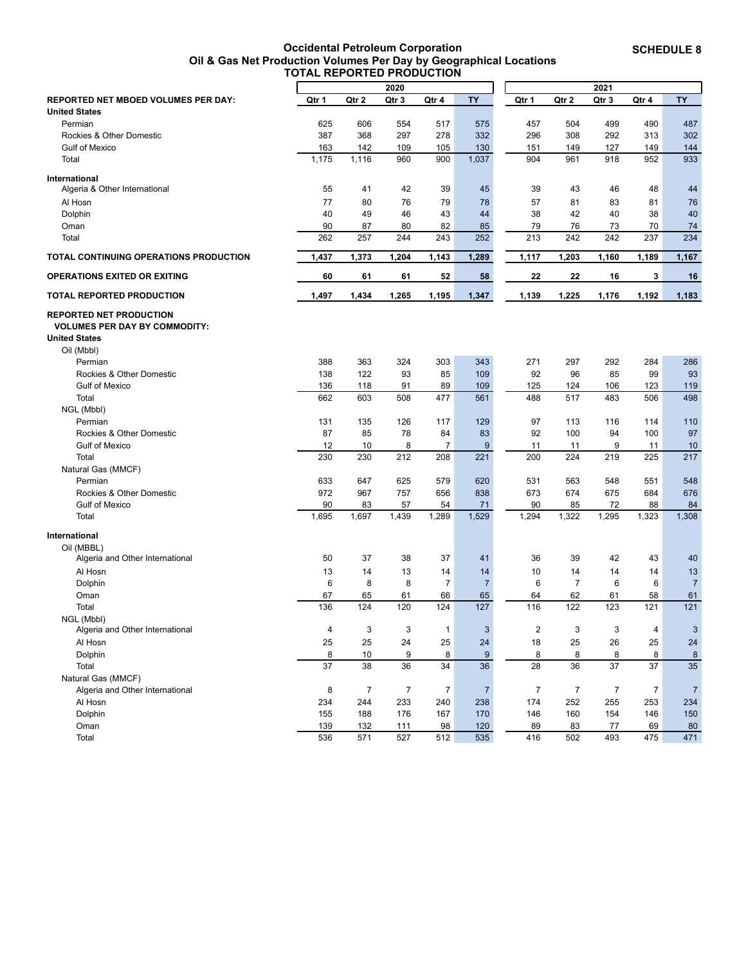**Occidental Petroleum Corporation Oil & Gas Net Production Volumes Per Day by Geographical Locations TOTAL REPORTED PRODUCTION**

<span id="page-12-0"></span>

| 2020<br>2021<br><b>TY</b><br><b>TY</b><br><b>REPORTED NET MBOED VOLUMES PER DAY:</b><br>Qtr 2<br>Qtr 3<br>Qtr 1<br>Qtr 2<br>Qtr 3<br>Qtr 4<br>Qtr 1<br>Qtr 4<br><b>United States</b><br>625<br>554<br>457<br>499<br>490<br>487<br>Permian<br>606<br>517<br>575<br>504<br>302<br>387<br>368<br>297<br>278<br>332<br>296<br>308<br>292<br>313<br>Rockies & Other Domestic<br>163<br>142<br>130<br>151<br>127<br>144<br><b>Gulf of Mexico</b><br>109<br>105<br>149<br>149<br>1,175<br>1,116<br>960<br>900<br>1,037<br>904<br>961<br>918<br>952<br>933<br>Total<br>55<br>41<br>42<br>39<br>45<br>39<br>43<br>46<br>48<br>44<br>Algeria & Other International<br>57<br>77<br>80<br>76<br>79<br>78<br>81<br>83<br>81<br>76<br>Al Hosn<br>43<br>40<br>49<br>46<br>44<br>38<br>42<br>40<br>38<br>40<br>Dolphin<br>90<br>87<br>80<br>82<br>85<br>79<br>76<br>73<br>74<br>Oman<br>70<br>262<br>257<br>213<br>242<br>234<br>244<br>243<br>252<br>242<br>237<br>Total<br>1,437<br>1,373<br>1,289<br>1,117<br>1,204<br>1,143<br>1,203<br>1,160<br>1,189<br>1,167<br>60<br>61<br>58<br>22<br>22<br>16<br><b>OPERATIONS EXITED OR EXITING</b><br>61<br>52<br>3<br>16<br>1,497<br>1,434<br>1,265<br>1,195<br>1,347<br>1,139<br>1,225<br>1,176<br>TOTAL REPORTED PRODUCTION<br>1,192<br>1,183<br><b>VOLUMES PER DAY BY COMMODITY:</b><br>Oil (Mbbl)<br>388<br>363<br>324<br>303<br>343<br>271<br>297<br>292<br>284<br>286<br>Permian<br>85<br>109<br>92<br>85<br>93<br>Rockies & Other Domestic<br>138<br>122<br>93<br>96<br>99<br>89<br>109<br>125<br>119<br><b>Gulf of Mexico</b><br>136<br>118<br>91<br>124<br>106<br>123<br>498<br>662<br>603<br>508<br>477<br>561<br>488<br>517<br>483<br>506<br>Total<br>NGL (Mbbl)<br>131<br>135<br>129<br>97<br>110<br>Permian<br>126<br>117<br>113<br>116<br>114<br>Rockies & Other Domestic<br>87<br>85<br>78<br>84<br>83<br>92<br>100<br>94<br>100<br>97<br>12<br>8<br>9<br>10<br>7<br>11<br>11<br>9<br>10<br><b>Gulf of Mexico</b><br>11<br>230<br>217<br>230<br>212<br>208<br>221<br>200<br>224<br>219<br>225<br>Total<br>Natural Gas (MMCF)<br>633<br>625<br>579<br>620<br>548<br>548<br>Permian<br>647<br>531<br>563<br>551<br>972<br>757<br>673<br>675<br>Rockies & Other Domestic<br>967<br>656<br>838<br>674<br>684<br>676<br>90<br>83<br>90<br>72<br>88<br>84<br><b>Gulf of Mexico</b><br>57<br>54<br>71<br>85<br>1,695<br>1,697<br>1,294<br>1,322<br>1,295<br>1,308<br>1,439<br>1,529<br>1,323<br>Total<br>1,289<br>International<br>Oil (MBBL)<br>50<br>37<br>37<br>36<br>39<br>42<br>43<br>40<br>Algeria and Other International<br>38<br>41<br>Al Hosn<br>13<br>14<br>13<br>14<br>10<br>13<br>14<br>14<br>14<br>14<br>6<br>8<br>8<br>7<br>6<br>$\overline{7}$<br>6<br>6<br>Dolphin<br>$\overline{7}$<br>$\overline{7}$<br>67<br>65<br>61<br>66<br>65<br>62<br>61<br>58<br>61<br>Oman<br>64<br>136<br>Total<br>124<br>120<br>124<br>127<br>116<br>122<br>123<br>121<br>121<br>NGL (Mbbl)<br>3<br>$\overline{\mathbf{c}}$<br>$\overline{\mathbf{4}}$<br>3<br>$\mathbf{1}$<br>$\mathbf{3}$<br>3<br>3<br>4<br>$\mathbf{3}$<br>Algeria and Other International<br>25<br>25<br>25<br>24<br>18<br>25<br>26<br>25<br>$24\,$<br>Al Hosn<br>24<br>8<br>10<br>9<br>8<br>$\boldsymbol{9}$<br>8<br>8<br>8<br>8<br>Dolphin<br>8<br>37<br>36<br>36<br>36<br>35<br>38<br>34<br>28<br>37<br>37<br>Total<br>Natural Gas (MMCF)<br>8<br>$\overline{7}$<br>$\boldsymbol{7}$<br>$\overline{7}$<br>$\overline{7}$<br>$\overline{7}$<br>$\boldsymbol{7}$<br>$\overline{7}$<br>$\overline{7}$<br>Algeria and Other International<br>$\overline{7}$<br>244<br>233<br>252<br>255<br>Al Hosn<br>234<br>240<br>238<br>174<br>253<br>234<br>Dolphin<br>155<br>188<br>176<br>167<br>170<br>146<br>160<br>154<br>146<br>150<br>Oman<br>139<br>132<br>98<br>120<br>89<br>83<br>77<br>69<br>80<br>111<br>471<br>536<br>571<br>527<br>512<br>535<br>416<br>502<br>493<br>475<br>Total |                                               |  |  |  |  |  |
|-------------------------------------------------------------------------------------------------------------------------------------------------------------------------------------------------------------------------------------------------------------------------------------------------------------------------------------------------------------------------------------------------------------------------------------------------------------------------------------------------------------------------------------------------------------------------------------------------------------------------------------------------------------------------------------------------------------------------------------------------------------------------------------------------------------------------------------------------------------------------------------------------------------------------------------------------------------------------------------------------------------------------------------------------------------------------------------------------------------------------------------------------------------------------------------------------------------------------------------------------------------------------------------------------------------------------------------------------------------------------------------------------------------------------------------------------------------------------------------------------------------------------------------------------------------------------------------------------------------------------------------------------------------------------------------------------------------------------------------------------------------------------------------------------------------------------------------------------------------------------------------------------------------------------------------------------------------------------------------------------------------------------------------------------------------------------------------------------------------------------------------------------------------------------------------------------------------------------------------------------------------------------------------------------------------------------------------------------------------------------------------------------------------------------------------------------------------------------------------------------------------------------------------------------------------------------------------------------------------------------------------------------------------------------------------------------------------------------------------------------------------------------------------------------------------------------------------------------------------------------------------------------------------------------------------------------------------------------------------------------------------------------------------------------------------------------------------------------------------------------------------------------------------------------------------------------------------------------------------------------------------------------------------------------------------------------------------------------------------------------------------------------------------------------------------------------------------------------------------------------------------------------------------------------------------------------------------------------------------------------------------------------------------------------------------------------------------------------------------------------------------------------------------------------------------------------------------------------------------------------------------------|-----------------------------------------------|--|--|--|--|--|
|                                                                                                                                                                                                                                                                                                                                                                                                                                                                                                                                                                                                                                                                                                                                                                                                                                                                                                                                                                                                                                                                                                                                                                                                                                                                                                                                                                                                                                                                                                                                                                                                                                                                                                                                                                                                                                                                                                                                                                                                                                                                                                                                                                                                                                                                                                                                                                                                                                                                                                                                                                                                                                                                                                                                                                                                                                                                                                                                                                                                                                                                                                                                                                                                                                                                                                                                                                                                                                                                                                                                                                                                                                                                                                                                                                                                                                                                                           |                                               |  |  |  |  |  |
|                                                                                                                                                                                                                                                                                                                                                                                                                                                                                                                                                                                                                                                                                                                                                                                                                                                                                                                                                                                                                                                                                                                                                                                                                                                                                                                                                                                                                                                                                                                                                                                                                                                                                                                                                                                                                                                                                                                                                                                                                                                                                                                                                                                                                                                                                                                                                                                                                                                                                                                                                                                                                                                                                                                                                                                                                                                                                                                                                                                                                                                                                                                                                                                                                                                                                                                                                                                                                                                                                                                                                                                                                                                                                                                                                                                                                                                                                           |                                               |  |  |  |  |  |
|                                                                                                                                                                                                                                                                                                                                                                                                                                                                                                                                                                                                                                                                                                                                                                                                                                                                                                                                                                                                                                                                                                                                                                                                                                                                                                                                                                                                                                                                                                                                                                                                                                                                                                                                                                                                                                                                                                                                                                                                                                                                                                                                                                                                                                                                                                                                                                                                                                                                                                                                                                                                                                                                                                                                                                                                                                                                                                                                                                                                                                                                                                                                                                                                                                                                                                                                                                                                                                                                                                                                                                                                                                                                                                                                                                                                                                                                                           |                                               |  |  |  |  |  |
|                                                                                                                                                                                                                                                                                                                                                                                                                                                                                                                                                                                                                                                                                                                                                                                                                                                                                                                                                                                                                                                                                                                                                                                                                                                                                                                                                                                                                                                                                                                                                                                                                                                                                                                                                                                                                                                                                                                                                                                                                                                                                                                                                                                                                                                                                                                                                                                                                                                                                                                                                                                                                                                                                                                                                                                                                                                                                                                                                                                                                                                                                                                                                                                                                                                                                                                                                                                                                                                                                                                                                                                                                                                                                                                                                                                                                                                                                           |                                               |  |  |  |  |  |
|                                                                                                                                                                                                                                                                                                                                                                                                                                                                                                                                                                                                                                                                                                                                                                                                                                                                                                                                                                                                                                                                                                                                                                                                                                                                                                                                                                                                                                                                                                                                                                                                                                                                                                                                                                                                                                                                                                                                                                                                                                                                                                                                                                                                                                                                                                                                                                                                                                                                                                                                                                                                                                                                                                                                                                                                                                                                                                                                                                                                                                                                                                                                                                                                                                                                                                                                                                                                                                                                                                                                                                                                                                                                                                                                                                                                                                                                                           |                                               |  |  |  |  |  |
|                                                                                                                                                                                                                                                                                                                                                                                                                                                                                                                                                                                                                                                                                                                                                                                                                                                                                                                                                                                                                                                                                                                                                                                                                                                                                                                                                                                                                                                                                                                                                                                                                                                                                                                                                                                                                                                                                                                                                                                                                                                                                                                                                                                                                                                                                                                                                                                                                                                                                                                                                                                                                                                                                                                                                                                                                                                                                                                                                                                                                                                                                                                                                                                                                                                                                                                                                                                                                                                                                                                                                                                                                                                                                                                                                                                                                                                                                           |                                               |  |  |  |  |  |
|                                                                                                                                                                                                                                                                                                                                                                                                                                                                                                                                                                                                                                                                                                                                                                                                                                                                                                                                                                                                                                                                                                                                                                                                                                                                                                                                                                                                                                                                                                                                                                                                                                                                                                                                                                                                                                                                                                                                                                                                                                                                                                                                                                                                                                                                                                                                                                                                                                                                                                                                                                                                                                                                                                                                                                                                                                                                                                                                                                                                                                                                                                                                                                                                                                                                                                                                                                                                                                                                                                                                                                                                                                                                                                                                                                                                                                                                                           |                                               |  |  |  |  |  |
|                                                                                                                                                                                                                                                                                                                                                                                                                                                                                                                                                                                                                                                                                                                                                                                                                                                                                                                                                                                                                                                                                                                                                                                                                                                                                                                                                                                                                                                                                                                                                                                                                                                                                                                                                                                                                                                                                                                                                                                                                                                                                                                                                                                                                                                                                                                                                                                                                                                                                                                                                                                                                                                                                                                                                                                                                                                                                                                                                                                                                                                                                                                                                                                                                                                                                                                                                                                                                                                                                                                                                                                                                                                                                                                                                                                                                                                                                           | International                                 |  |  |  |  |  |
|                                                                                                                                                                                                                                                                                                                                                                                                                                                                                                                                                                                                                                                                                                                                                                                                                                                                                                                                                                                                                                                                                                                                                                                                                                                                                                                                                                                                                                                                                                                                                                                                                                                                                                                                                                                                                                                                                                                                                                                                                                                                                                                                                                                                                                                                                                                                                                                                                                                                                                                                                                                                                                                                                                                                                                                                                                                                                                                                                                                                                                                                                                                                                                                                                                                                                                                                                                                                                                                                                                                                                                                                                                                                                                                                                                                                                                                                                           |                                               |  |  |  |  |  |
|                                                                                                                                                                                                                                                                                                                                                                                                                                                                                                                                                                                                                                                                                                                                                                                                                                                                                                                                                                                                                                                                                                                                                                                                                                                                                                                                                                                                                                                                                                                                                                                                                                                                                                                                                                                                                                                                                                                                                                                                                                                                                                                                                                                                                                                                                                                                                                                                                                                                                                                                                                                                                                                                                                                                                                                                                                                                                                                                                                                                                                                                                                                                                                                                                                                                                                                                                                                                                                                                                                                                                                                                                                                                                                                                                                                                                                                                                           |                                               |  |  |  |  |  |
|                                                                                                                                                                                                                                                                                                                                                                                                                                                                                                                                                                                                                                                                                                                                                                                                                                                                                                                                                                                                                                                                                                                                                                                                                                                                                                                                                                                                                                                                                                                                                                                                                                                                                                                                                                                                                                                                                                                                                                                                                                                                                                                                                                                                                                                                                                                                                                                                                                                                                                                                                                                                                                                                                                                                                                                                                                                                                                                                                                                                                                                                                                                                                                                                                                                                                                                                                                                                                                                                                                                                                                                                                                                                                                                                                                                                                                                                                           |                                               |  |  |  |  |  |
|                                                                                                                                                                                                                                                                                                                                                                                                                                                                                                                                                                                                                                                                                                                                                                                                                                                                                                                                                                                                                                                                                                                                                                                                                                                                                                                                                                                                                                                                                                                                                                                                                                                                                                                                                                                                                                                                                                                                                                                                                                                                                                                                                                                                                                                                                                                                                                                                                                                                                                                                                                                                                                                                                                                                                                                                                                                                                                                                                                                                                                                                                                                                                                                                                                                                                                                                                                                                                                                                                                                                                                                                                                                                                                                                                                                                                                                                                           |                                               |  |  |  |  |  |
|                                                                                                                                                                                                                                                                                                                                                                                                                                                                                                                                                                                                                                                                                                                                                                                                                                                                                                                                                                                                                                                                                                                                                                                                                                                                                                                                                                                                                                                                                                                                                                                                                                                                                                                                                                                                                                                                                                                                                                                                                                                                                                                                                                                                                                                                                                                                                                                                                                                                                                                                                                                                                                                                                                                                                                                                                                                                                                                                                                                                                                                                                                                                                                                                                                                                                                                                                                                                                                                                                                                                                                                                                                                                                                                                                                                                                                                                                           |                                               |  |  |  |  |  |
|                                                                                                                                                                                                                                                                                                                                                                                                                                                                                                                                                                                                                                                                                                                                                                                                                                                                                                                                                                                                                                                                                                                                                                                                                                                                                                                                                                                                                                                                                                                                                                                                                                                                                                                                                                                                                                                                                                                                                                                                                                                                                                                                                                                                                                                                                                                                                                                                                                                                                                                                                                                                                                                                                                                                                                                                                                                                                                                                                                                                                                                                                                                                                                                                                                                                                                                                                                                                                                                                                                                                                                                                                                                                                                                                                                                                                                                                                           | <b>TOTAL CONTINUING OPERATIONS PRODUCTION</b> |  |  |  |  |  |
|                                                                                                                                                                                                                                                                                                                                                                                                                                                                                                                                                                                                                                                                                                                                                                                                                                                                                                                                                                                                                                                                                                                                                                                                                                                                                                                                                                                                                                                                                                                                                                                                                                                                                                                                                                                                                                                                                                                                                                                                                                                                                                                                                                                                                                                                                                                                                                                                                                                                                                                                                                                                                                                                                                                                                                                                                                                                                                                                                                                                                                                                                                                                                                                                                                                                                                                                                                                                                                                                                                                                                                                                                                                                                                                                                                                                                                                                                           |                                               |  |  |  |  |  |
|                                                                                                                                                                                                                                                                                                                                                                                                                                                                                                                                                                                                                                                                                                                                                                                                                                                                                                                                                                                                                                                                                                                                                                                                                                                                                                                                                                                                                                                                                                                                                                                                                                                                                                                                                                                                                                                                                                                                                                                                                                                                                                                                                                                                                                                                                                                                                                                                                                                                                                                                                                                                                                                                                                                                                                                                                                                                                                                                                                                                                                                                                                                                                                                                                                                                                                                                                                                                                                                                                                                                                                                                                                                                                                                                                                                                                                                                                           |                                               |  |  |  |  |  |
|                                                                                                                                                                                                                                                                                                                                                                                                                                                                                                                                                                                                                                                                                                                                                                                                                                                                                                                                                                                                                                                                                                                                                                                                                                                                                                                                                                                                                                                                                                                                                                                                                                                                                                                                                                                                                                                                                                                                                                                                                                                                                                                                                                                                                                                                                                                                                                                                                                                                                                                                                                                                                                                                                                                                                                                                                                                                                                                                                                                                                                                                                                                                                                                                                                                                                                                                                                                                                                                                                                                                                                                                                                                                                                                                                                                                                                                                                           |                                               |  |  |  |  |  |
|                                                                                                                                                                                                                                                                                                                                                                                                                                                                                                                                                                                                                                                                                                                                                                                                                                                                                                                                                                                                                                                                                                                                                                                                                                                                                                                                                                                                                                                                                                                                                                                                                                                                                                                                                                                                                                                                                                                                                                                                                                                                                                                                                                                                                                                                                                                                                                                                                                                                                                                                                                                                                                                                                                                                                                                                                                                                                                                                                                                                                                                                                                                                                                                                                                                                                                                                                                                                                                                                                                                                                                                                                                                                                                                                                                                                                                                                                           | <b>REPORTED NET PRODUCTION</b>                |  |  |  |  |  |
|                                                                                                                                                                                                                                                                                                                                                                                                                                                                                                                                                                                                                                                                                                                                                                                                                                                                                                                                                                                                                                                                                                                                                                                                                                                                                                                                                                                                                                                                                                                                                                                                                                                                                                                                                                                                                                                                                                                                                                                                                                                                                                                                                                                                                                                                                                                                                                                                                                                                                                                                                                                                                                                                                                                                                                                                                                                                                                                                                                                                                                                                                                                                                                                                                                                                                                                                                                                                                                                                                                                                                                                                                                                                                                                                                                                                                                                                                           |                                               |  |  |  |  |  |
|                                                                                                                                                                                                                                                                                                                                                                                                                                                                                                                                                                                                                                                                                                                                                                                                                                                                                                                                                                                                                                                                                                                                                                                                                                                                                                                                                                                                                                                                                                                                                                                                                                                                                                                                                                                                                                                                                                                                                                                                                                                                                                                                                                                                                                                                                                                                                                                                                                                                                                                                                                                                                                                                                                                                                                                                                                                                                                                                                                                                                                                                                                                                                                                                                                                                                                                                                                                                                                                                                                                                                                                                                                                                                                                                                                                                                                                                                           | <b>United States</b>                          |  |  |  |  |  |
|                                                                                                                                                                                                                                                                                                                                                                                                                                                                                                                                                                                                                                                                                                                                                                                                                                                                                                                                                                                                                                                                                                                                                                                                                                                                                                                                                                                                                                                                                                                                                                                                                                                                                                                                                                                                                                                                                                                                                                                                                                                                                                                                                                                                                                                                                                                                                                                                                                                                                                                                                                                                                                                                                                                                                                                                                                                                                                                                                                                                                                                                                                                                                                                                                                                                                                                                                                                                                                                                                                                                                                                                                                                                                                                                                                                                                                                                                           |                                               |  |  |  |  |  |
|                                                                                                                                                                                                                                                                                                                                                                                                                                                                                                                                                                                                                                                                                                                                                                                                                                                                                                                                                                                                                                                                                                                                                                                                                                                                                                                                                                                                                                                                                                                                                                                                                                                                                                                                                                                                                                                                                                                                                                                                                                                                                                                                                                                                                                                                                                                                                                                                                                                                                                                                                                                                                                                                                                                                                                                                                                                                                                                                                                                                                                                                                                                                                                                                                                                                                                                                                                                                                                                                                                                                                                                                                                                                                                                                                                                                                                                                                           |                                               |  |  |  |  |  |
|                                                                                                                                                                                                                                                                                                                                                                                                                                                                                                                                                                                                                                                                                                                                                                                                                                                                                                                                                                                                                                                                                                                                                                                                                                                                                                                                                                                                                                                                                                                                                                                                                                                                                                                                                                                                                                                                                                                                                                                                                                                                                                                                                                                                                                                                                                                                                                                                                                                                                                                                                                                                                                                                                                                                                                                                                                                                                                                                                                                                                                                                                                                                                                                                                                                                                                                                                                                                                                                                                                                                                                                                                                                                                                                                                                                                                                                                                           |                                               |  |  |  |  |  |
|                                                                                                                                                                                                                                                                                                                                                                                                                                                                                                                                                                                                                                                                                                                                                                                                                                                                                                                                                                                                                                                                                                                                                                                                                                                                                                                                                                                                                                                                                                                                                                                                                                                                                                                                                                                                                                                                                                                                                                                                                                                                                                                                                                                                                                                                                                                                                                                                                                                                                                                                                                                                                                                                                                                                                                                                                                                                                                                                                                                                                                                                                                                                                                                                                                                                                                                                                                                                                                                                                                                                                                                                                                                                                                                                                                                                                                                                                           |                                               |  |  |  |  |  |
|                                                                                                                                                                                                                                                                                                                                                                                                                                                                                                                                                                                                                                                                                                                                                                                                                                                                                                                                                                                                                                                                                                                                                                                                                                                                                                                                                                                                                                                                                                                                                                                                                                                                                                                                                                                                                                                                                                                                                                                                                                                                                                                                                                                                                                                                                                                                                                                                                                                                                                                                                                                                                                                                                                                                                                                                                                                                                                                                                                                                                                                                                                                                                                                                                                                                                                                                                                                                                                                                                                                                                                                                                                                                                                                                                                                                                                                                                           |                                               |  |  |  |  |  |
|                                                                                                                                                                                                                                                                                                                                                                                                                                                                                                                                                                                                                                                                                                                                                                                                                                                                                                                                                                                                                                                                                                                                                                                                                                                                                                                                                                                                                                                                                                                                                                                                                                                                                                                                                                                                                                                                                                                                                                                                                                                                                                                                                                                                                                                                                                                                                                                                                                                                                                                                                                                                                                                                                                                                                                                                                                                                                                                                                                                                                                                                                                                                                                                                                                                                                                                                                                                                                                                                                                                                                                                                                                                                                                                                                                                                                                                                                           |                                               |  |  |  |  |  |
|                                                                                                                                                                                                                                                                                                                                                                                                                                                                                                                                                                                                                                                                                                                                                                                                                                                                                                                                                                                                                                                                                                                                                                                                                                                                                                                                                                                                                                                                                                                                                                                                                                                                                                                                                                                                                                                                                                                                                                                                                                                                                                                                                                                                                                                                                                                                                                                                                                                                                                                                                                                                                                                                                                                                                                                                                                                                                                                                                                                                                                                                                                                                                                                                                                                                                                                                                                                                                                                                                                                                                                                                                                                                                                                                                                                                                                                                                           |                                               |  |  |  |  |  |
|                                                                                                                                                                                                                                                                                                                                                                                                                                                                                                                                                                                                                                                                                                                                                                                                                                                                                                                                                                                                                                                                                                                                                                                                                                                                                                                                                                                                                                                                                                                                                                                                                                                                                                                                                                                                                                                                                                                                                                                                                                                                                                                                                                                                                                                                                                                                                                                                                                                                                                                                                                                                                                                                                                                                                                                                                                                                                                                                                                                                                                                                                                                                                                                                                                                                                                                                                                                                                                                                                                                                                                                                                                                                                                                                                                                                                                                                                           |                                               |  |  |  |  |  |
|                                                                                                                                                                                                                                                                                                                                                                                                                                                                                                                                                                                                                                                                                                                                                                                                                                                                                                                                                                                                                                                                                                                                                                                                                                                                                                                                                                                                                                                                                                                                                                                                                                                                                                                                                                                                                                                                                                                                                                                                                                                                                                                                                                                                                                                                                                                                                                                                                                                                                                                                                                                                                                                                                                                                                                                                                                                                                                                                                                                                                                                                                                                                                                                                                                                                                                                                                                                                                                                                                                                                                                                                                                                                                                                                                                                                                                                                                           |                                               |  |  |  |  |  |
|                                                                                                                                                                                                                                                                                                                                                                                                                                                                                                                                                                                                                                                                                                                                                                                                                                                                                                                                                                                                                                                                                                                                                                                                                                                                                                                                                                                                                                                                                                                                                                                                                                                                                                                                                                                                                                                                                                                                                                                                                                                                                                                                                                                                                                                                                                                                                                                                                                                                                                                                                                                                                                                                                                                                                                                                                                                                                                                                                                                                                                                                                                                                                                                                                                                                                                                                                                                                                                                                                                                                                                                                                                                                                                                                                                                                                                                                                           |                                               |  |  |  |  |  |
|                                                                                                                                                                                                                                                                                                                                                                                                                                                                                                                                                                                                                                                                                                                                                                                                                                                                                                                                                                                                                                                                                                                                                                                                                                                                                                                                                                                                                                                                                                                                                                                                                                                                                                                                                                                                                                                                                                                                                                                                                                                                                                                                                                                                                                                                                                                                                                                                                                                                                                                                                                                                                                                                                                                                                                                                                                                                                                                                                                                                                                                                                                                                                                                                                                                                                                                                                                                                                                                                                                                                                                                                                                                                                                                                                                                                                                                                                           |                                               |  |  |  |  |  |
|                                                                                                                                                                                                                                                                                                                                                                                                                                                                                                                                                                                                                                                                                                                                                                                                                                                                                                                                                                                                                                                                                                                                                                                                                                                                                                                                                                                                                                                                                                                                                                                                                                                                                                                                                                                                                                                                                                                                                                                                                                                                                                                                                                                                                                                                                                                                                                                                                                                                                                                                                                                                                                                                                                                                                                                                                                                                                                                                                                                                                                                                                                                                                                                                                                                                                                                                                                                                                                                                                                                                                                                                                                                                                                                                                                                                                                                                                           |                                               |  |  |  |  |  |
|                                                                                                                                                                                                                                                                                                                                                                                                                                                                                                                                                                                                                                                                                                                                                                                                                                                                                                                                                                                                                                                                                                                                                                                                                                                                                                                                                                                                                                                                                                                                                                                                                                                                                                                                                                                                                                                                                                                                                                                                                                                                                                                                                                                                                                                                                                                                                                                                                                                                                                                                                                                                                                                                                                                                                                                                                                                                                                                                                                                                                                                                                                                                                                                                                                                                                                                                                                                                                                                                                                                                                                                                                                                                                                                                                                                                                                                                                           |                                               |  |  |  |  |  |
|                                                                                                                                                                                                                                                                                                                                                                                                                                                                                                                                                                                                                                                                                                                                                                                                                                                                                                                                                                                                                                                                                                                                                                                                                                                                                                                                                                                                                                                                                                                                                                                                                                                                                                                                                                                                                                                                                                                                                                                                                                                                                                                                                                                                                                                                                                                                                                                                                                                                                                                                                                                                                                                                                                                                                                                                                                                                                                                                                                                                                                                                                                                                                                                                                                                                                                                                                                                                                                                                                                                                                                                                                                                                                                                                                                                                                                                                                           |                                               |  |  |  |  |  |
|                                                                                                                                                                                                                                                                                                                                                                                                                                                                                                                                                                                                                                                                                                                                                                                                                                                                                                                                                                                                                                                                                                                                                                                                                                                                                                                                                                                                                                                                                                                                                                                                                                                                                                                                                                                                                                                                                                                                                                                                                                                                                                                                                                                                                                                                                                                                                                                                                                                                                                                                                                                                                                                                                                                                                                                                                                                                                                                                                                                                                                                                                                                                                                                                                                                                                                                                                                                                                                                                                                                                                                                                                                                                                                                                                                                                                                                                                           |                                               |  |  |  |  |  |
|                                                                                                                                                                                                                                                                                                                                                                                                                                                                                                                                                                                                                                                                                                                                                                                                                                                                                                                                                                                                                                                                                                                                                                                                                                                                                                                                                                                                                                                                                                                                                                                                                                                                                                                                                                                                                                                                                                                                                                                                                                                                                                                                                                                                                                                                                                                                                                                                                                                                                                                                                                                                                                                                                                                                                                                                                                                                                                                                                                                                                                                                                                                                                                                                                                                                                                                                                                                                                                                                                                                                                                                                                                                                                                                                                                                                                                                                                           |                                               |  |  |  |  |  |
|                                                                                                                                                                                                                                                                                                                                                                                                                                                                                                                                                                                                                                                                                                                                                                                                                                                                                                                                                                                                                                                                                                                                                                                                                                                                                                                                                                                                                                                                                                                                                                                                                                                                                                                                                                                                                                                                                                                                                                                                                                                                                                                                                                                                                                                                                                                                                                                                                                                                                                                                                                                                                                                                                                                                                                                                                                                                                                                                                                                                                                                                                                                                                                                                                                                                                                                                                                                                                                                                                                                                                                                                                                                                                                                                                                                                                                                                                           |                                               |  |  |  |  |  |
|                                                                                                                                                                                                                                                                                                                                                                                                                                                                                                                                                                                                                                                                                                                                                                                                                                                                                                                                                                                                                                                                                                                                                                                                                                                                                                                                                                                                                                                                                                                                                                                                                                                                                                                                                                                                                                                                                                                                                                                                                                                                                                                                                                                                                                                                                                                                                                                                                                                                                                                                                                                                                                                                                                                                                                                                                                                                                                                                                                                                                                                                                                                                                                                                                                                                                                                                                                                                                                                                                                                                                                                                                                                                                                                                                                                                                                                                                           |                                               |  |  |  |  |  |
|                                                                                                                                                                                                                                                                                                                                                                                                                                                                                                                                                                                                                                                                                                                                                                                                                                                                                                                                                                                                                                                                                                                                                                                                                                                                                                                                                                                                                                                                                                                                                                                                                                                                                                                                                                                                                                                                                                                                                                                                                                                                                                                                                                                                                                                                                                                                                                                                                                                                                                                                                                                                                                                                                                                                                                                                                                                                                                                                                                                                                                                                                                                                                                                                                                                                                                                                                                                                                                                                                                                                                                                                                                                                                                                                                                                                                                                                                           |                                               |  |  |  |  |  |
|                                                                                                                                                                                                                                                                                                                                                                                                                                                                                                                                                                                                                                                                                                                                                                                                                                                                                                                                                                                                                                                                                                                                                                                                                                                                                                                                                                                                                                                                                                                                                                                                                                                                                                                                                                                                                                                                                                                                                                                                                                                                                                                                                                                                                                                                                                                                                                                                                                                                                                                                                                                                                                                                                                                                                                                                                                                                                                                                                                                                                                                                                                                                                                                                                                                                                                                                                                                                                                                                                                                                                                                                                                                                                                                                                                                                                                                                                           |                                               |  |  |  |  |  |
|                                                                                                                                                                                                                                                                                                                                                                                                                                                                                                                                                                                                                                                                                                                                                                                                                                                                                                                                                                                                                                                                                                                                                                                                                                                                                                                                                                                                                                                                                                                                                                                                                                                                                                                                                                                                                                                                                                                                                                                                                                                                                                                                                                                                                                                                                                                                                                                                                                                                                                                                                                                                                                                                                                                                                                                                                                                                                                                                                                                                                                                                                                                                                                                                                                                                                                                                                                                                                                                                                                                                                                                                                                                                                                                                                                                                                                                                                           |                                               |  |  |  |  |  |
|                                                                                                                                                                                                                                                                                                                                                                                                                                                                                                                                                                                                                                                                                                                                                                                                                                                                                                                                                                                                                                                                                                                                                                                                                                                                                                                                                                                                                                                                                                                                                                                                                                                                                                                                                                                                                                                                                                                                                                                                                                                                                                                                                                                                                                                                                                                                                                                                                                                                                                                                                                                                                                                                                                                                                                                                                                                                                                                                                                                                                                                                                                                                                                                                                                                                                                                                                                                                                                                                                                                                                                                                                                                                                                                                                                                                                                                                                           |                                               |  |  |  |  |  |
|                                                                                                                                                                                                                                                                                                                                                                                                                                                                                                                                                                                                                                                                                                                                                                                                                                                                                                                                                                                                                                                                                                                                                                                                                                                                                                                                                                                                                                                                                                                                                                                                                                                                                                                                                                                                                                                                                                                                                                                                                                                                                                                                                                                                                                                                                                                                                                                                                                                                                                                                                                                                                                                                                                                                                                                                                                                                                                                                                                                                                                                                                                                                                                                                                                                                                                                                                                                                                                                                                                                                                                                                                                                                                                                                                                                                                                                                                           |                                               |  |  |  |  |  |
|                                                                                                                                                                                                                                                                                                                                                                                                                                                                                                                                                                                                                                                                                                                                                                                                                                                                                                                                                                                                                                                                                                                                                                                                                                                                                                                                                                                                                                                                                                                                                                                                                                                                                                                                                                                                                                                                                                                                                                                                                                                                                                                                                                                                                                                                                                                                                                                                                                                                                                                                                                                                                                                                                                                                                                                                                                                                                                                                                                                                                                                                                                                                                                                                                                                                                                                                                                                                                                                                                                                                                                                                                                                                                                                                                                                                                                                                                           |                                               |  |  |  |  |  |
|                                                                                                                                                                                                                                                                                                                                                                                                                                                                                                                                                                                                                                                                                                                                                                                                                                                                                                                                                                                                                                                                                                                                                                                                                                                                                                                                                                                                                                                                                                                                                                                                                                                                                                                                                                                                                                                                                                                                                                                                                                                                                                                                                                                                                                                                                                                                                                                                                                                                                                                                                                                                                                                                                                                                                                                                                                                                                                                                                                                                                                                                                                                                                                                                                                                                                                                                                                                                                                                                                                                                                                                                                                                                                                                                                                                                                                                                                           |                                               |  |  |  |  |  |
|                                                                                                                                                                                                                                                                                                                                                                                                                                                                                                                                                                                                                                                                                                                                                                                                                                                                                                                                                                                                                                                                                                                                                                                                                                                                                                                                                                                                                                                                                                                                                                                                                                                                                                                                                                                                                                                                                                                                                                                                                                                                                                                                                                                                                                                                                                                                                                                                                                                                                                                                                                                                                                                                                                                                                                                                                                                                                                                                                                                                                                                                                                                                                                                                                                                                                                                                                                                                                                                                                                                                                                                                                                                                                                                                                                                                                                                                                           |                                               |  |  |  |  |  |
|                                                                                                                                                                                                                                                                                                                                                                                                                                                                                                                                                                                                                                                                                                                                                                                                                                                                                                                                                                                                                                                                                                                                                                                                                                                                                                                                                                                                                                                                                                                                                                                                                                                                                                                                                                                                                                                                                                                                                                                                                                                                                                                                                                                                                                                                                                                                                                                                                                                                                                                                                                                                                                                                                                                                                                                                                                                                                                                                                                                                                                                                                                                                                                                                                                                                                                                                                                                                                                                                                                                                                                                                                                                                                                                                                                                                                                                                                           |                                               |  |  |  |  |  |
|                                                                                                                                                                                                                                                                                                                                                                                                                                                                                                                                                                                                                                                                                                                                                                                                                                                                                                                                                                                                                                                                                                                                                                                                                                                                                                                                                                                                                                                                                                                                                                                                                                                                                                                                                                                                                                                                                                                                                                                                                                                                                                                                                                                                                                                                                                                                                                                                                                                                                                                                                                                                                                                                                                                                                                                                                                                                                                                                                                                                                                                                                                                                                                                                                                                                                                                                                                                                                                                                                                                                                                                                                                                                                                                                                                                                                                                                                           |                                               |  |  |  |  |  |
|                                                                                                                                                                                                                                                                                                                                                                                                                                                                                                                                                                                                                                                                                                                                                                                                                                                                                                                                                                                                                                                                                                                                                                                                                                                                                                                                                                                                                                                                                                                                                                                                                                                                                                                                                                                                                                                                                                                                                                                                                                                                                                                                                                                                                                                                                                                                                                                                                                                                                                                                                                                                                                                                                                                                                                                                                                                                                                                                                                                                                                                                                                                                                                                                                                                                                                                                                                                                                                                                                                                                                                                                                                                                                                                                                                                                                                                                                           |                                               |  |  |  |  |  |
|                                                                                                                                                                                                                                                                                                                                                                                                                                                                                                                                                                                                                                                                                                                                                                                                                                                                                                                                                                                                                                                                                                                                                                                                                                                                                                                                                                                                                                                                                                                                                                                                                                                                                                                                                                                                                                                                                                                                                                                                                                                                                                                                                                                                                                                                                                                                                                                                                                                                                                                                                                                                                                                                                                                                                                                                                                                                                                                                                                                                                                                                                                                                                                                                                                                                                                                                                                                                                                                                                                                                                                                                                                                                                                                                                                                                                                                                                           |                                               |  |  |  |  |  |
|                                                                                                                                                                                                                                                                                                                                                                                                                                                                                                                                                                                                                                                                                                                                                                                                                                                                                                                                                                                                                                                                                                                                                                                                                                                                                                                                                                                                                                                                                                                                                                                                                                                                                                                                                                                                                                                                                                                                                                                                                                                                                                                                                                                                                                                                                                                                                                                                                                                                                                                                                                                                                                                                                                                                                                                                                                                                                                                                                                                                                                                                                                                                                                                                                                                                                                                                                                                                                                                                                                                                                                                                                                                                                                                                                                                                                                                                                           |                                               |  |  |  |  |  |
|                                                                                                                                                                                                                                                                                                                                                                                                                                                                                                                                                                                                                                                                                                                                                                                                                                                                                                                                                                                                                                                                                                                                                                                                                                                                                                                                                                                                                                                                                                                                                                                                                                                                                                                                                                                                                                                                                                                                                                                                                                                                                                                                                                                                                                                                                                                                                                                                                                                                                                                                                                                                                                                                                                                                                                                                                                                                                                                                                                                                                                                                                                                                                                                                                                                                                                                                                                                                                                                                                                                                                                                                                                                                                                                                                                                                                                                                                           |                                               |  |  |  |  |  |
|                                                                                                                                                                                                                                                                                                                                                                                                                                                                                                                                                                                                                                                                                                                                                                                                                                                                                                                                                                                                                                                                                                                                                                                                                                                                                                                                                                                                                                                                                                                                                                                                                                                                                                                                                                                                                                                                                                                                                                                                                                                                                                                                                                                                                                                                                                                                                                                                                                                                                                                                                                                                                                                                                                                                                                                                                                                                                                                                                                                                                                                                                                                                                                                                                                                                                                                                                                                                                                                                                                                                                                                                                                                                                                                                                                                                                                                                                           |                                               |  |  |  |  |  |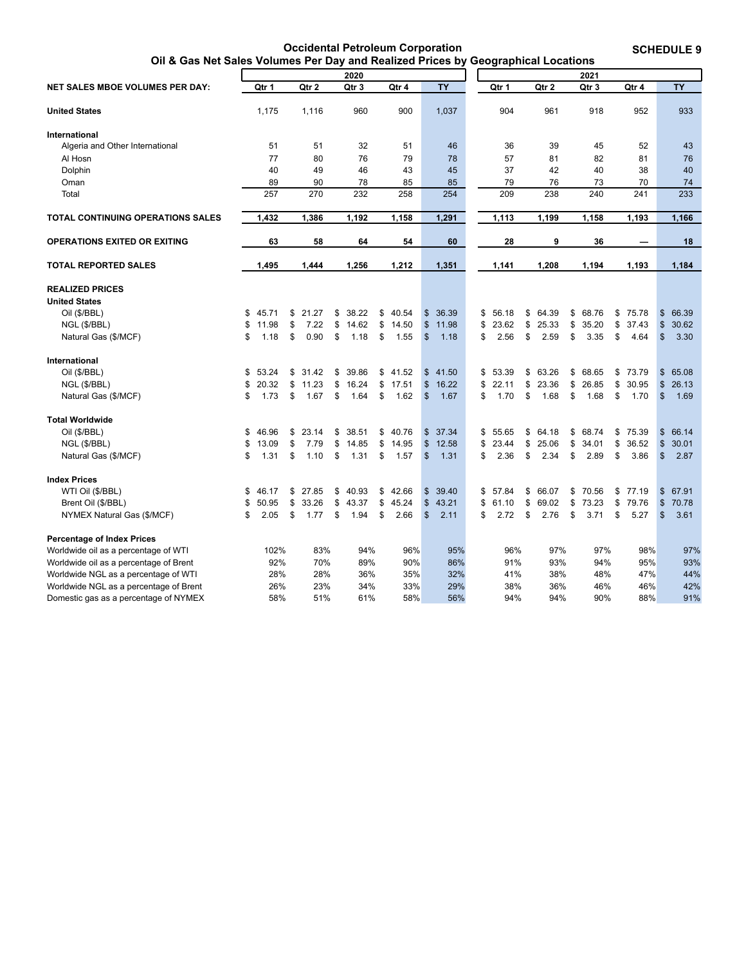**Occidental Petroleum Corporation Oil & Gas Net Sales Volumes Per Day and Realized Prices by Geographical Locations**  **SCHEDULE 9**

<span id="page-13-0"></span>

|                                          |             |             |             |             |               |           | ູ           |             |             |             |                         |           |
|------------------------------------------|-------------|-------------|-------------|-------------|---------------|-----------|-------------|-------------|-------------|-------------|-------------------------|-----------|
|                                          |             |             | 2020        |             |               |           |             |             | 2021        |             |                         |           |
| NET SALES MBOE VOLUMES PER DAY:          | Qtr 1       | Qtr 2       | Qtr 3       | Qtr 4       |               | <b>TY</b> | Qtr 1       | Qtr 2       | Qtr 3       | Qtr 4       |                         | <b>TY</b> |
|                                          |             |             |             |             |               |           |             |             |             |             |                         |           |
| <b>United States</b>                     | 1,175       | 1,116       | 960         | 900         |               | 1,037     | 904         | 961         | 918         | 952         |                         | 933       |
| International                            |             |             |             |             |               |           |             |             |             |             |                         |           |
| Algeria and Other International          | 51          | 51          | 32          | 51          |               | 46        | 36          | 39          | 45          | 52          |                         | 43        |
| Al Hosn                                  | 77          | 80          | 76          | 79          |               | 78        | 57          | 81          | 82          | 81          |                         | 76        |
| Dolphin                                  | 40          | 49          | 46          | 43          |               | 45        | 37          | 42          | 40          | 38          |                         | 40        |
| Oman                                     | 89          | 90          | 78          | 85          |               | 85        | 79          | 76          | 73          | 70          |                         | 74        |
| Total                                    | 257         | 270         | 232         | 258         |               | 254       | 209         | 238         | 240         | 241         |                         | 233       |
| <b>TOTAL CONTINUING OPERATIONS SALES</b> | 1,432       | 1,386       | 1,192       | 1,158       |               | 1,291     | 1,113       | 1,199       | 1,158       | 1,193       |                         | 1,166     |
| <b>OPERATIONS EXITED OR EXITING</b>      | 63          | 58          | 64          | 54          |               | 60        | 28          | 9           | 36          |             |                         | 18        |
| <b>TOTAL REPORTED SALES</b>              | 1,495       | 1,444       | 1,256       | 1,212       |               | 1,351     | 1,141       | 1,208       | 1,194       | 1,193       |                         | 1,184     |
| <b>REALIZED PRICES</b>                   |             |             |             |             |               |           |             |             |             |             |                         |           |
| <b>United States</b>                     |             |             |             |             |               |           |             |             |             |             |                         |           |
| Oil (\$/BBL)                             | \$<br>45.71 | \$<br>21.27 | \$<br>38.22 | \$<br>40.54 | \$            | 36.39     | \$<br>56.18 | \$<br>64.39 | \$<br>68.76 | \$<br>75.78 | $\mathfrak{S}$          | 66.39     |
| NGL (\$/BBL)                             | \$<br>11.98 | \$<br>7.22  | \$<br>14.62 | \$<br>14.50 | \$            | 11.98     | \$<br>23.62 | \$<br>25.33 | \$<br>35.20 | \$<br>37.43 | $\mathfrak{S}$          | 30.62     |
| Natural Gas (\$/MCF)                     | \$<br>1.18  | \$<br>0.90  | \$<br>1.18  | \$<br>1.55  | \$            | 1.18      | \$<br>2.56  | \$<br>2.59  | \$<br>3.35  | \$<br>4.64  | $\mathfrak{S}$          | 3.30      |
| International                            |             |             |             |             |               |           |             |             |             |             |                         |           |
| Oil (\$/BBL)                             | \$<br>53.24 | \$<br>31.42 | \$<br>39.86 | \$<br>41.52 | $\$\$         | 41.50     | \$<br>53.39 | \$<br>63.26 | \$<br>68.65 | \$<br>73.79 | $\mathfrak{S}$          | 65.08     |
| NGL (\$/BBL)                             | \$<br>20.32 | \$<br>11.23 | \$<br>16.24 | \$<br>17.51 | \$            | 16.22     | \$<br>22.11 | \$<br>23.36 | \$<br>26.85 | \$<br>30.95 | $\mathfrak{S}$          | 26.13     |
| Natural Gas (\$/MCF)                     | \$<br>1.73  | \$<br>1.67  | \$<br>1.64  | \$<br>1.62  | \$            | 1.67      | \$<br>1.70  | \$<br>1.68  | \$<br>1.68  | \$<br>1.70  | $\sqrt[6]{\frac{1}{2}}$ | 1.69      |
| <b>Total Worldwide</b>                   |             |             |             |             |               |           |             |             |             |             |                         |           |
| Oil (\$/BBL)                             | \$<br>46.96 | \$<br>23.14 | \$<br>38.51 | \$<br>40.76 | $\$\$         | 37.34     | \$<br>55.65 | \$<br>64.18 | \$<br>68.74 | \$<br>75.39 | $\mathfrak{S}$          | 66.14     |
| NGL (\$/BBL)                             | \$<br>13.09 | \$<br>7.79  | \$<br>14.85 | \$<br>14.95 | \$            | 12.58     | \$<br>23.44 | \$<br>25.06 | \$<br>34.01 | \$<br>36.52 | $\mathfrak{S}$          | 30.01     |
| Natural Gas (\$/MCF)                     | \$<br>1.31  | \$<br>1.10  | \$<br>1.31  | \$<br>1.57  | \$            | 1.31      | \$<br>2.36  | \$<br>2.34  | \$<br>2.89  | \$<br>3.86  | $\mathfrak{S}$          | 2.87      |
| <b>Index Prices</b>                      |             |             |             |             |               |           |             |             |             |             |                         |           |
| WTI Oil (\$/BBL)                         | \$<br>46.17 | \$<br>27.85 | \$<br>40.93 | \$<br>42.66 | $\mathfrak s$ | 39.40     | \$<br>57.84 | \$<br>66.07 | \$<br>70.56 | \$<br>77.19 | $\mathfrak{S}$          | 67.91     |
| Brent Oil (\$/BBL)                       | \$<br>50.95 | \$<br>33.26 | \$<br>43.37 | \$<br>45.24 | \$            | 43.21     | \$<br>61.10 | \$<br>69.02 | \$<br>73.23 | \$<br>79.76 | $\mathsf{\$}$           | 70.78     |
| NYMEX Natural Gas (\$/MCF)               | \$<br>2.05  | \$<br>1.77  | \$<br>1.94  | \$<br>2.66  | \$            | 2.11      | \$<br>2.72  | \$<br>2.76  | \$<br>3.71  | \$<br>5.27  | $\mathfrak{S}$          | 3.61      |
| <b>Percentage of Index Prices</b>        |             |             |             |             |               |           |             |             |             |             |                         |           |
| Worldwide oil as a percentage of WTI     | 102%        | 83%         | 94%         | 96%         |               | 95%       | 96%         | 97%         | 97%         | 98%         |                         | 97%       |
| Worldwide oil as a percentage of Brent   | 92%         | 70%         | 89%         | 90%         |               | 86%       | 91%         | 93%         | 94%         | 95%         |                         | 93%       |
| Worldwide NGL as a percentage of WTI     | 28%         | 28%         | 36%         | 35%         |               | 32%       | 41%         | 38%         | 48%         | 47%         |                         | 44%       |
| Worldwide NGL as a percentage of Brent   | 26%         | 23%         | 34%         | 33%         |               | 29%       | 38%         | 36%         | 46%         | 46%         |                         | 42%       |
| Domestic gas as a percentage of NYMEX    | 58%         | 51%         | 61%         | 58%         |               | 56%       | 94%         | 94%         | 90%         | 88%         |                         | 91%       |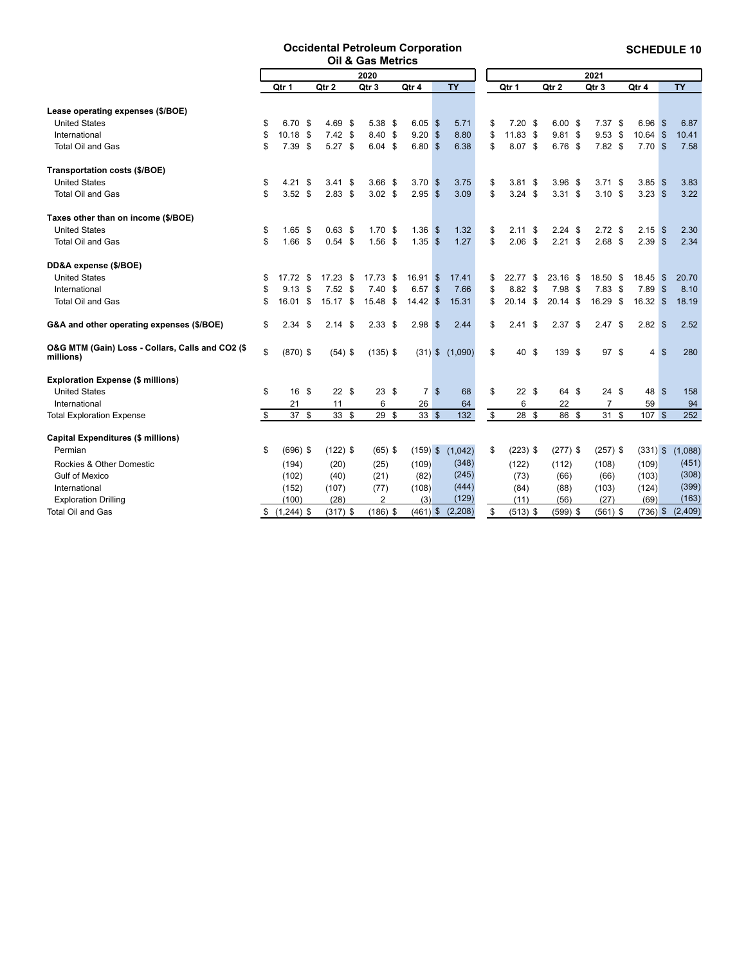#### **Occidental Petroleum Corporation Oil & Gas Metrics**

**SCHEDULE 10**

<span id="page-14-0"></span>

|                                                               | 2020 |            |    |                   | 2021              |      |            |              |                     |                         |     |            |      |                   |            |                    |           |
|---------------------------------------------------------------|------|------------|----|-------------------|-------------------|------|------------|--------------|---------------------|-------------------------|-----|------------|------|-------------------|------------|--------------------|-----------|
|                                                               |      | Qtr 1      |    | Qtr 2             | Qtr 3             |      | Qtr 4      |              | <b>TY</b>           | Qtr 1                   |     | Qtr 2      |      | Qtr 3             | Qtr 4      |                    | <b>TY</b> |
| Lease operating expenses (\$/BOE)                             |      |            |    |                   |                   |      |            |              |                     |                         |     |            |      |                   |            |                    |           |
| <b>United States</b>                                          | \$   | 6.70 \$    |    | $4.69$ \$         | 5.38 \$           |      | 6.05       | $\mathbf{s}$ | 5.71                | \$<br>$7.20$ \$         |     | 6.00       | - \$ | $7.37$ \$         | 6.96       | <b>S</b>           | 6.87      |
| International                                                 | \$   | $10.18$ \$ |    | $7.42$ \$         | 8.40 \$           |      | 9.20       | $\mathbf{s}$ | 8.80                | \$<br>$11.83$ \$        |     | 9.81       | -\$  | $9.53$ \$         | 10.64      | $\sqrt{3}$         | 10.41     |
| <b>Total Oil and Gas</b>                                      | \$   | $7.39$ \$  |    | $5.27$ \$         | $6.04$ \$         |      | 6.80S      |              | 6.38                | \$<br>8.07 \$           |     | 6.76       | - \$ | $7.82$ \$         | $7.70$ \$  |                    | 7.58      |
| Transportation costs (\$/BOE)                                 |      |            |    |                   |                   |      |            |              |                     |                         |     |            |      |                   |            |                    |           |
| <b>United States</b>                                          | \$   | 4.21       | \$ | $3.41 \text{ } $$ | 3.66 <sup>5</sup> |      | 3.70S      |              | 3.75                | \$<br>3.81 <sup>5</sup> |     | 3.96       | - \$ | $3.71$ \$         | 3.85       | <b>S</b>           | 3.83      |
| <b>Total Oil and Gas</b>                                      | \$   | $3.52$ \$  |    | $2.83$ \$         | $3.02$ \$         |      | $2.95$ \$  |              | 3.09                | \$<br>$3.24$ \$         |     | $3.31$ \$  |      | 3.10 <sup>5</sup> | $3.23$ \$  |                    | 3.22      |
| Taxes other than on income (\$/BOE)                           |      |            |    |                   |                   |      |            |              |                     |                         |     |            |      |                   |            |                    |           |
| <b>United States</b>                                          | \$   | $1.65$ \$  |    | $0.63$ \$         | $1.70$ \$         |      | 1.36       | $\mathbf{s}$ | 1.32                | \$<br>$2.11$ \$         |     | 2.24       | - \$ | $2.72$ \$         | 2.15       | <b>S</b>           | 2.30      |
| Total Oil and Gas                                             | \$   | $1.66$ \$  |    | $0.54$ \$         | $1.56$ \$         |      | 1.35S      |              | 1.27                | \$<br>$2.06$ \$         |     | $2.21$ \$  |      | $2.68$ \$         | $2.39$ \$  |                    | 2.34      |
| DD&A expense (\$/BOE)                                         |      |            |    |                   |                   |      |            |              |                     |                         |     |            |      |                   |            |                    |           |
| <b>United States</b>                                          | \$   | 17.72      | \$ | $17.23$ \$        | 17.73             | - \$ | 16.91      | $\sqrt{3}$   | 17.41               | \$<br>22.77             | \$  | 23.16      | \$   | 18.50 \$          | 18.45      | <b>S</b>           | 20.70     |
| International                                                 | \$   | 9.13       | \$ | $7.52$ \$         | 7.40              | - \$ | 6.57       | $\mathbf{s}$ | 7.66                | \$<br>8.82 \$           |     | 7.98       | - \$ | $7.83$ \$         | 7.89       | $\mathbf{\hat{s}}$ | 8.10      |
| Total Oil and Gas                                             | \$   | 16.01 \$   |    | 15.17 \$          | 15.48             | - \$ | 14.42      | $\mathbf{s}$ | 15.31               | \$<br>20.14             | \$  | 20.14      | \$   | 16.29 \$          | 16.32 S    |                    | 18.19     |
| G&A and other operating expenses (\$/BOE)                     | \$   | $2.34$ \$  |    | $2.14$ \$         | 2.33 <sup>5</sup> |      | 2.98       | <b>S</b>     | 2.44                | \$<br>2.41              | -\$ | 2.37       | \$   | 2.47S             | $2.82$ \$  |                    | 2.52      |
| O&G MTM (Gain) Loss - Collars, Calls and CO2 (\$<br>millions) | \$   | $(870)$ \$ |    | $(54)$ \$         | $(135)$ \$        |      |            |              | $(31)$ \$ $(1,090)$ | \$<br>40 \$             |     | 139 \$     |      | 97 \$             | 4S         |                    | 280       |
| <b>Exploration Expense (\$ millions)</b>                      |      |            |    |                   |                   |      |            |              |                     |                         |     |            |      |                   |            |                    |           |
| <b>United States</b>                                          | \$   | 16 \$      |    | 22S               | $23 \text{ } $$   |      | 7 \$       |              | 68                  | \$<br>22S               |     | 64 \$      |      | $24 \text{ } $$   | 48 \$      |                    | 158       |
| International                                                 |      | 21         |    | 11                | 6                 |      | 26         |              | 64                  | 6                       |     | 22         |      | $\overline{7}$    | 59         |                    | 94        |
| <b>Total Exploration Expense</b>                              | \$   | 37S        |    | $33 \quad$ \$     | 29S               |      | 33S        |              | 132                 | \$<br>28 \$             |     | 86 \$      |      | 31S               | 107        | $\mathbf{s}$       | 252       |
| <b>Capital Expenditures (\$ millions)</b>                     |      |            |    |                   |                   |      |            |              |                     |                         |     |            |      |                   |            |                    |           |
| Permian                                                       | \$   | $(696)$ \$ |    | $(122)$ \$        | $(65)$ \$         |      | $(159)$ \$ |              | (1,042)             | \$<br>$(223)$ \$        |     | $(277)$ \$ |      | $(257)$ \$        | $(331)$ \$ |                    | (1,088)   |
| Rockies & Other Domestic                                      |      | (194)      |    | (20)              | (25)              |      | (109)      |              | (348)               | (122)                   |     | (112)      |      | (108)             | (109)      |                    | (451)     |
| <b>Gulf of Mexico</b>                                         |      | (102)      |    | (40)              | (21)              |      | (82)       |              | (245)               | (73)                    |     | (66)       |      | (66)              | (103)      |                    | (308)     |
| International                                                 |      | (152)      |    | (107)             | (77)              |      | (108)      |              | (444)               | (84)                    |     | (88)       |      | (103)             | (124)      |                    | (399)     |
| <b>Exploration Drilling</b>                                   |      | (100)      |    | (28)              | $\overline{2}$    |      | (3)        |              | (129)               | (11)                    |     | (56)       |      | (27)              | (69)       |                    | (163)     |
| <b>Total Oil and Gas</b>                                      |      | \$(1,244)  |    | $(317)$ \$        | $(186)$ \$        |      | $(461)$ \$ |              | (2,208)             | \$<br>$(513)$ \$        |     | $(599)$ \$ |      | $(561)$ \$        | $(736)$ \$ |                    | (2,409)   |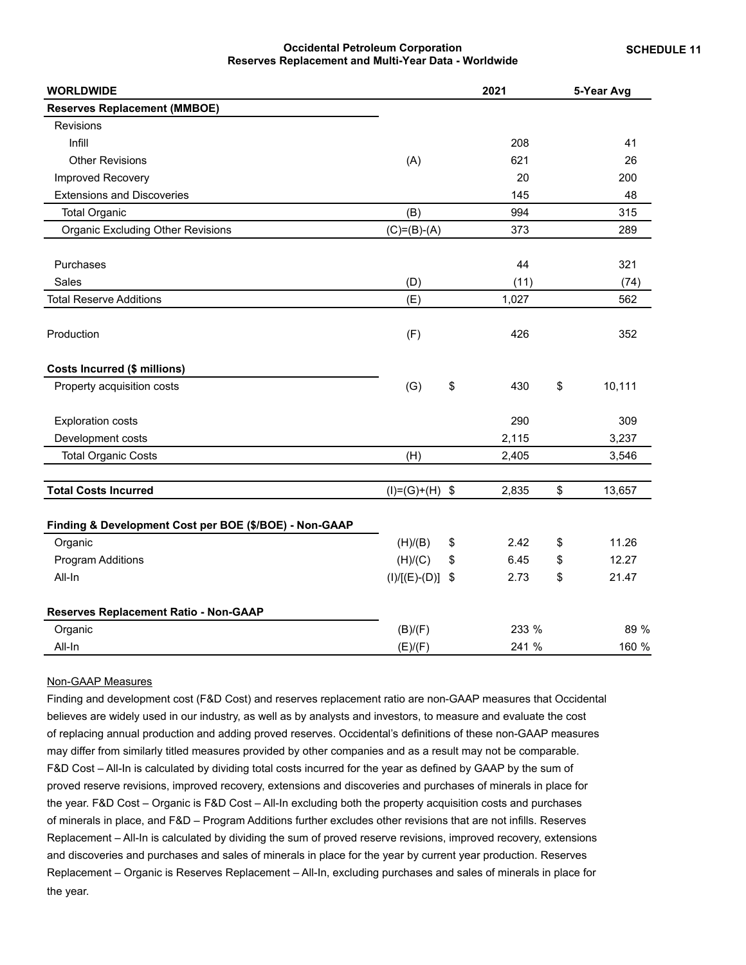### **Occidental Petroleum Corporation Reserves Replacement and Multi-Year Data - Worldwide**

<span id="page-15-0"></span>

| <b>WORLDWIDE</b>                                       |                  | 2021       | 5-Year Avg   |
|--------------------------------------------------------|------------------|------------|--------------|
| <b>Reserves Replacement (MMBOE)</b>                    |                  |            |              |
| <b>Revisions</b>                                       |                  |            |              |
| Infill                                                 |                  | 208        | 41           |
| <b>Other Revisions</b>                                 | (A)              | 621        | 26           |
| Improved Recovery                                      |                  | 20         | 200          |
| <b>Extensions and Discoveries</b>                      |                  | 145        | 48           |
| <b>Total Organic</b>                                   | (B)              | 994        | 315          |
| <b>Organic Excluding Other Revisions</b>               | $(C)=(B)-(A)$    | 373        | 289          |
| Purchases                                              |                  | 44         | 321          |
| Sales                                                  | (D)              | (11)       | (74)         |
| <b>Total Reserve Additions</b>                         | (E)              | 1,027      | 562          |
| Production                                             | (F)              | 426        | 352          |
| Costs Incurred (\$ millions)                           |                  |            |              |
| Property acquisition costs                             | (G)              | \$<br>430  | \$<br>10,111 |
| <b>Exploration costs</b>                               |                  | 290        | 309          |
| Development costs                                      |                  | 2,115      | 3,237        |
| <b>Total Organic Costs</b>                             | (H)              | 2,405      | 3,546        |
| <b>Total Costs Incurred</b>                            | $(I)=(G)+(H)$ \$ | 2,835      | \$<br>13,657 |
| Finding & Development Cost per BOE (\$/BOE) - Non-GAAP |                  |            |              |
| Organic                                                | (H)/(B)          | \$<br>2.42 | \$<br>11.26  |
| <b>Program Additions</b>                               | (H)/(C)          | \$<br>6.45 | \$<br>12.27  |
| All-In                                                 | $(I)/[(E)-(D)]$  | \$<br>2.73 | \$<br>21.47  |
| Reserves Replacement Ratio - Non-GAAP                  |                  |            |              |
| Organic                                                | (B)/(F)          | 233 %      | 89 %         |
| All-In                                                 | (E)/(F)          | 241 %      | 160 %        |

### Non-GAAP Measures

Finding and development cost (F&D Cost) and reserves replacement ratio are non-GAAP measures that Occidental believes are widely used in our industry, as well as by analysts and investors, to measure and evaluate the cost of replacing annual production and adding proved reserves. Occidental's definitions of these non-GAAP measures may differ from similarly titled measures provided by other companies and as a result may not be comparable. F&D Cost – All-In is calculated by dividing total costs incurred for the year as defined by GAAP by the sum of proved reserve revisions, improved recovery, extensions and discoveries and purchases of minerals in place for the year. F&D Cost – Organic is F&D Cost – All-In excluding both the property acquisition costs and purchases of minerals in place, and F&D – Program Additions further excludes other revisions that are not infills. Reserves Replacement – All-In is calculated by dividing the sum of proved reserve revisions, improved recovery, extensions and discoveries and purchases and sales of minerals in place for the year by current year production. Reserves Replacement – Organic is Reserves Replacement – All-In, excluding purchases and sales of minerals in place for the year.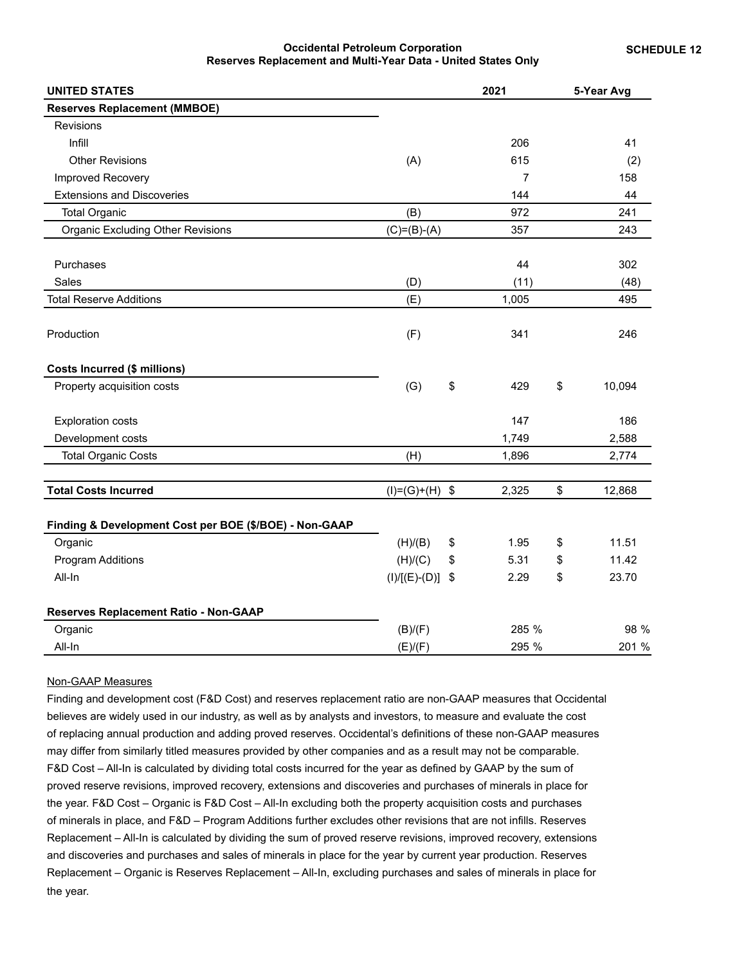#### **Occidental Petroleum Corporation Reserves Replacement and Multi-Year Data - United States Only**

<span id="page-16-0"></span>

| <b>UNITED STATES</b>                                   |                  | 2021           | 5-Year Avg   |
|--------------------------------------------------------|------------------|----------------|--------------|
| <b>Reserves Replacement (MMBOE)</b>                    |                  |                |              |
| <b>Revisions</b>                                       |                  |                |              |
| Infill                                                 |                  | 206            | 41           |
| <b>Other Revisions</b>                                 | (A)              | 615            | (2)          |
| Improved Recovery                                      |                  | $\overline{7}$ | 158          |
| <b>Extensions and Discoveries</b>                      |                  | 144            | 44           |
| <b>Total Organic</b>                                   | (B)              | 972            | 241          |
| <b>Organic Excluding Other Revisions</b>               | $(C)= (B)-(A)$   | 357            | 243          |
| Purchases                                              |                  | 44             | 302          |
| <b>Sales</b>                                           | (D)              | (11)           | (48)         |
| <b>Total Reserve Additions</b>                         | (E)              | 1,005          | 495          |
| Production                                             | (F)              | 341            | 246          |
| <b>Costs Incurred (\$ millions)</b>                    |                  |                |              |
| Property acquisition costs                             | (G)              | \$<br>429      | \$<br>10,094 |
| <b>Exploration costs</b>                               |                  | 147            | 186          |
| Development costs                                      |                  | 1,749          | 2,588        |
| <b>Total Organic Costs</b>                             | (H)              | 1,896          | 2,774        |
| <b>Total Costs Incurred</b>                            | $(I)=(G)+(H)$ \$ | 2,325          | \$<br>12,868 |
| Finding & Development Cost per BOE (\$/BOE) - Non-GAAP |                  |                |              |
| Organic                                                | (H)/(B)          | \$<br>1.95     | \$<br>11.51  |
| <b>Program Additions</b>                               | (H)/(C)          | \$<br>5.31     | \$<br>11.42  |
| All-In                                                 | $(I)/[(E)-(D)]$  | \$<br>2.29     | \$<br>23.70  |
| Reserves Replacement Ratio - Non-GAAP                  |                  |                |              |
| Organic                                                | (B)/(F)          | 285 %          | 98 %         |
| All-In                                                 | (E)/(F)          | 295 %          | 201 %        |

#### Non-GAAP Measures

Finding and development cost (F&D Cost) and reserves replacement ratio are non-GAAP measures that Occidental believes are widely used in our industry, as well as by analysts and investors, to measure and evaluate the cost of replacing annual production and adding proved reserves. Occidental's definitions of these non-GAAP measures may differ from similarly titled measures provided by other companies and as a result may not be comparable. F&D Cost – All-In is calculated by dividing total costs incurred for the year as defined by GAAP by the sum of proved reserve revisions, improved recovery, extensions and discoveries and purchases of minerals in place for the year. F&D Cost – Organic is F&D Cost – All-In excluding both the property acquisition costs and purchases of minerals in place, and F&D – Program Additions further excludes other revisions that are not infills. Reserves Replacement – All-In is calculated by dividing the sum of proved reserve revisions, improved recovery, extensions and discoveries and purchases and sales of minerals in place for the year by current year production. Reserves Replacement – Organic is Reserves Replacement – All-In, excluding purchases and sales of minerals in place for the year.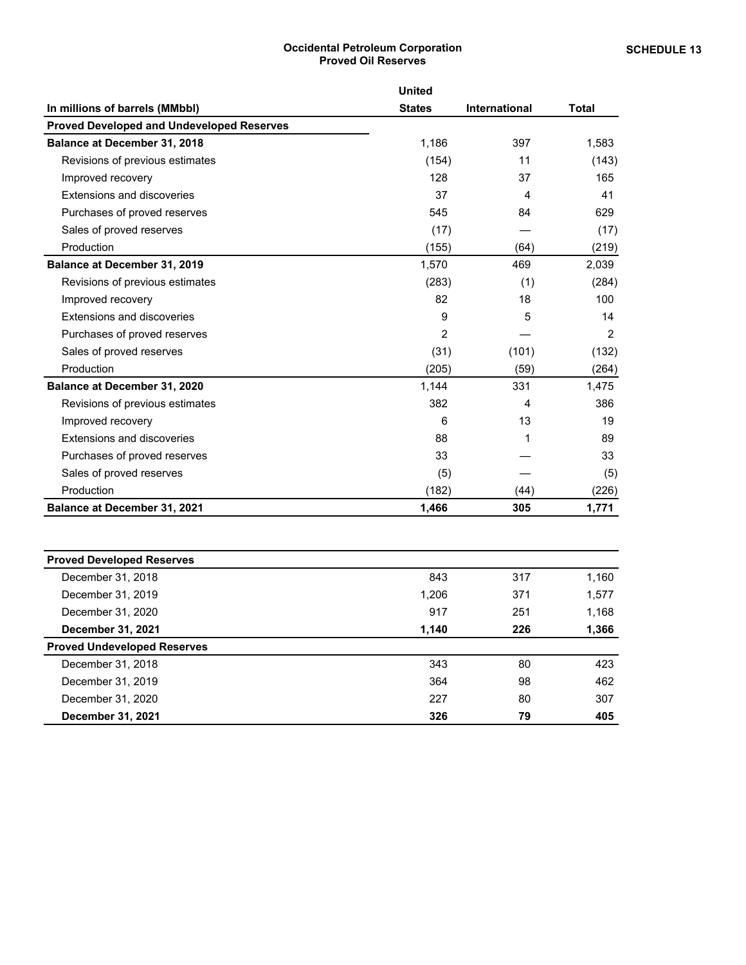# **Occidental Petroleum Corporation Proved Oil Reserves**

<span id="page-17-0"></span>

|                                                  | <b>United</b>  |                      |                |
|--------------------------------------------------|----------------|----------------------|----------------|
| In millions of barrels (MMbbl)                   | <b>States</b>  | <b>International</b> | <b>Total</b>   |
| <b>Proved Developed and Undeveloped Reserves</b> |                |                      |                |
| Balance at December 31, 2018                     | 1,186          | 397                  | 1,583          |
| Revisions of previous estimates                  | (154)          | 11                   | (143)          |
| Improved recovery                                | 128            | 37                   | 165            |
| <b>Extensions and discoveries</b>                | 37             | 4                    | 41             |
| Purchases of proved reserves                     | 545            | 84                   | 629            |
| Sales of proved reserves                         | (17)           |                      | (17)           |
| Production                                       | (155)          | (64)                 | (219)          |
| <b>Balance at December 31, 2019</b>              | 1,570          | 469                  | 2,039          |
| Revisions of previous estimates                  | (283)          | (1)                  | (284)          |
| Improved recovery                                | 82             | 18                   | 100            |
| Extensions and discoveries                       | 9              | 5                    | 14             |
| Purchases of proved reserves                     | $\overline{2}$ |                      | $\overline{2}$ |
| Sales of proved reserves                         | (31)           | (101)                | (132)          |
| Production                                       | (205)          | (59)                 | (264)          |
| Balance at December 31, 2020                     | 1,144          | 331                  | 1,475          |
| Revisions of previous estimates                  | 382            | 4                    | 386            |
| Improved recovery                                | 6              | 13                   | 19             |
| Extensions and discoveries                       | 88             |                      | 89             |
| Purchases of proved reserves                     | 33             |                      | 33             |
| Sales of proved reserves                         | (5)            |                      | (5)            |
| Production                                       | (182)          | (44)                 | (226)          |
| <b>Balance at December 31, 2021</b>              | 1,466          | 305                  | 1,771          |

| <b>Proved Developed Reserves</b>   |       |     |       |
|------------------------------------|-------|-----|-------|
| December 31, 2018                  | 843   | 317 | 1,160 |
| December 31, 2019                  | 1,206 | 371 | 1,577 |
| December 31, 2020                  | 917   | 251 | 1,168 |
| December 31, 2021                  | 1,140 | 226 | 1,366 |
| <b>Proved Undeveloped Reserves</b> |       |     |       |
| December 31, 2018                  | 343   | 80  | 423   |
| December 31, 2019                  | 364   | 98  | 462   |
| December 31, 2020                  | 227   | 80  | 307   |
| December 31, 2021                  | 326   | 79  | 405   |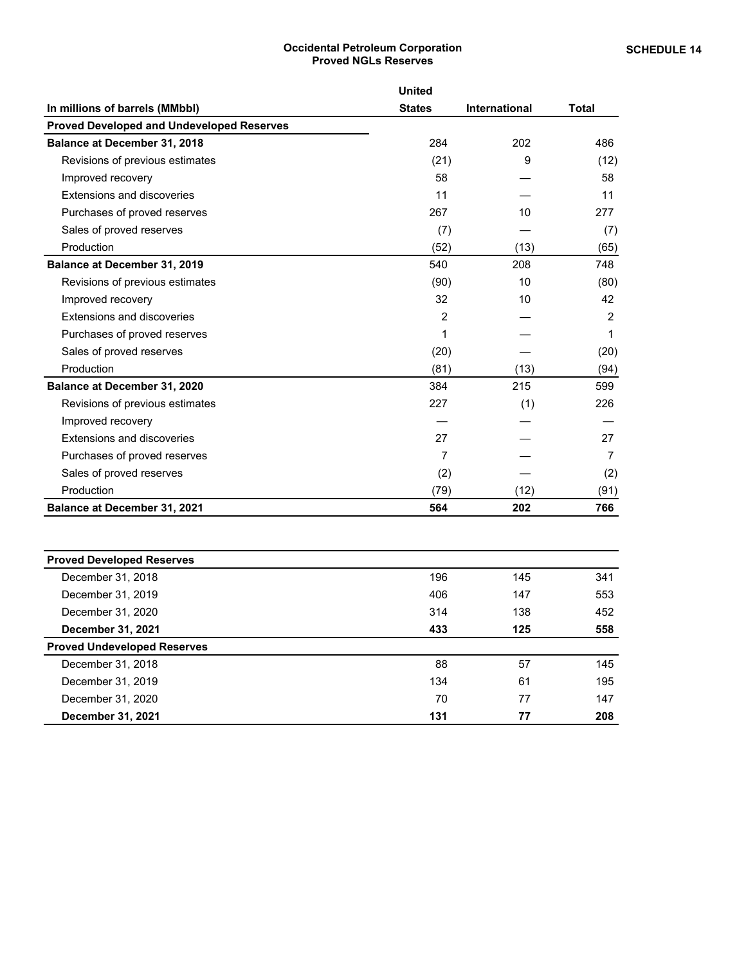# **Occidental Petroleum Corporation Proved NGLs Reserves**

<span id="page-18-0"></span>

|                                                  | <b>United</b>  |                      |              |
|--------------------------------------------------|----------------|----------------------|--------------|
| In millions of barrels (MMbbl)                   | <b>States</b>  | <b>International</b> | <b>Total</b> |
| <b>Proved Developed and Undeveloped Reserves</b> |                |                      |              |
| <b>Balance at December 31, 2018</b>              | 284            | 202                  | 486          |
| Revisions of previous estimates                  | (21)           | 9                    | (12)         |
| Improved recovery                                | 58             |                      | 58           |
| Extensions and discoveries                       | 11             |                      | 11           |
| Purchases of proved reserves                     | 267            | 10                   | 277          |
| Sales of proved reserves                         | (7)            |                      | (7)          |
| Production                                       | (52)           | (13)                 | (65)         |
| <b>Balance at December 31, 2019</b>              | 540            | 208                  | 748          |
| Revisions of previous estimates                  | (90)           | 10                   | (80)         |
| Improved recovery                                | 32             | 10                   | 42           |
| Extensions and discoveries                       | $\overline{2}$ |                      | 2            |
| Purchases of proved reserves                     | 1              |                      | 1            |
| Sales of proved reserves                         | (20)           |                      | (20)         |
| Production                                       | (81)           | (13)                 | (94)         |
| <b>Balance at December 31, 2020</b>              | 384            | 215                  | 599          |
| Revisions of previous estimates                  | 227            | (1)                  | 226          |
| Improved recovery                                |                |                      |              |
| <b>Extensions and discoveries</b>                | 27             |                      | 27           |
| Purchases of proved reserves                     | 7              |                      | 7            |
| Sales of proved reserves                         | (2)            |                      | (2)          |
| Production                                       | (79)           | (12)                 | (91)         |
| Balance at December 31, 2021                     | 564            | 202                  | 766          |

| <b>Proved Developed Reserves</b>   |     |     |     |
|------------------------------------|-----|-----|-----|
| December 31, 2018                  | 196 | 145 | 341 |
| December 31, 2019                  | 406 | 147 | 553 |
| December 31, 2020                  | 314 | 138 | 452 |
| December 31, 2021                  | 433 | 125 | 558 |
| <b>Proved Undeveloped Reserves</b> |     |     |     |
| December 31, 2018                  | 88  | 57  | 145 |
| December 31, 2019                  | 134 | 61  | 195 |
| December 31, 2020                  | 70  | 77  | 147 |
| <b>December 31, 2021</b>           | 131 | 77  | 208 |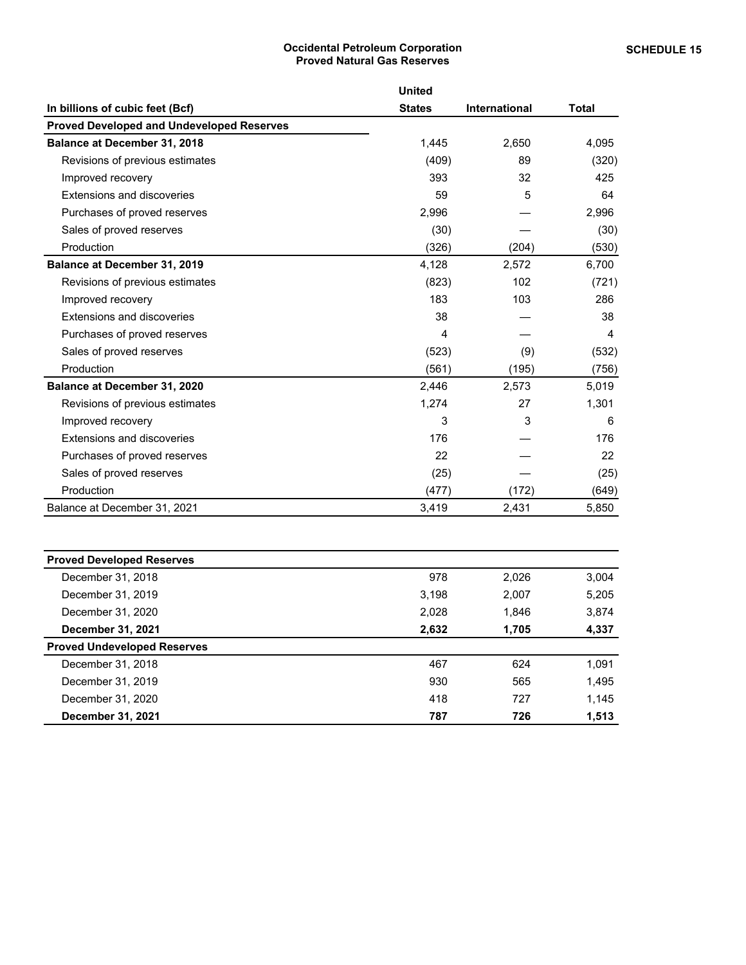### **Occidental Petroleum Corporation Proved Natural Gas Reserves**

<span id="page-19-0"></span>

|                                                  | <b>United</b> |                      |              |
|--------------------------------------------------|---------------|----------------------|--------------|
| In billions of cubic feet (Bcf)                  | <b>States</b> | <b>International</b> | <b>Total</b> |
| <b>Proved Developed and Undeveloped Reserves</b> |               |                      |              |
| <b>Balance at December 31, 2018</b>              | 1,445         | 2,650                | 4,095        |
| Revisions of previous estimates                  | (409)         | 89                   | (320)        |
| Improved recovery                                | 393           | 32                   | 425          |
| Extensions and discoveries                       | 59            | 5                    | 64           |
| Purchases of proved reserves                     | 2,996         |                      | 2,996        |
| Sales of proved reserves                         | (30)          |                      | (30)         |
| Production                                       | (326)         | (204)                | (530)        |
| <b>Balance at December 31, 2019</b>              | 4,128         | 2,572                | 6,700        |
| Revisions of previous estimates                  | (823)         | 102                  | (721)        |
| Improved recovery                                | 183           | 103                  | 286          |
| Extensions and discoveries                       | 38            |                      | 38           |
| Purchases of proved reserves                     | 4             |                      | 4            |
| Sales of proved reserves                         | (523)         | (9)                  | (532)        |
| Production                                       | (561)         | (195)                | (756)        |
| Balance at December 31, 2020                     | 2,446         | 2,573                | 5,019        |
| Revisions of previous estimates                  | 1,274         | 27                   | 1,301        |
| Improved recovery                                | 3             | 3                    | 6            |
| Extensions and discoveries                       | 176           |                      | 176          |
| Purchases of proved reserves                     | 22            |                      | 22           |
| Sales of proved reserves                         | (25)          |                      | (25)         |
| Production                                       | (477)         | (172)                | (649)        |
| Balance at December 31, 2021                     | 3,419         | 2,431                | 5,850        |

| <b>Proved Developed Reserves</b>   |       |       |       |
|------------------------------------|-------|-------|-------|
| December 31, 2018                  | 978   | 2,026 | 3,004 |
| December 31, 2019                  | 3.198 | 2,007 | 5,205 |
| December 31, 2020                  | 2.028 | 1,846 | 3,874 |
| December 31, 2021                  | 2,632 | 1,705 | 4,337 |
| <b>Proved Undeveloped Reserves</b> |       |       |       |
| December 31, 2018                  | 467   | 624   | 1,091 |
| December 31, 2019                  | 930   | 565   | 1,495 |
| December 31, 2020                  | 418   | 727   | 1,145 |
| <b>December 31, 2021</b>           | 787   | 726   | 1,513 |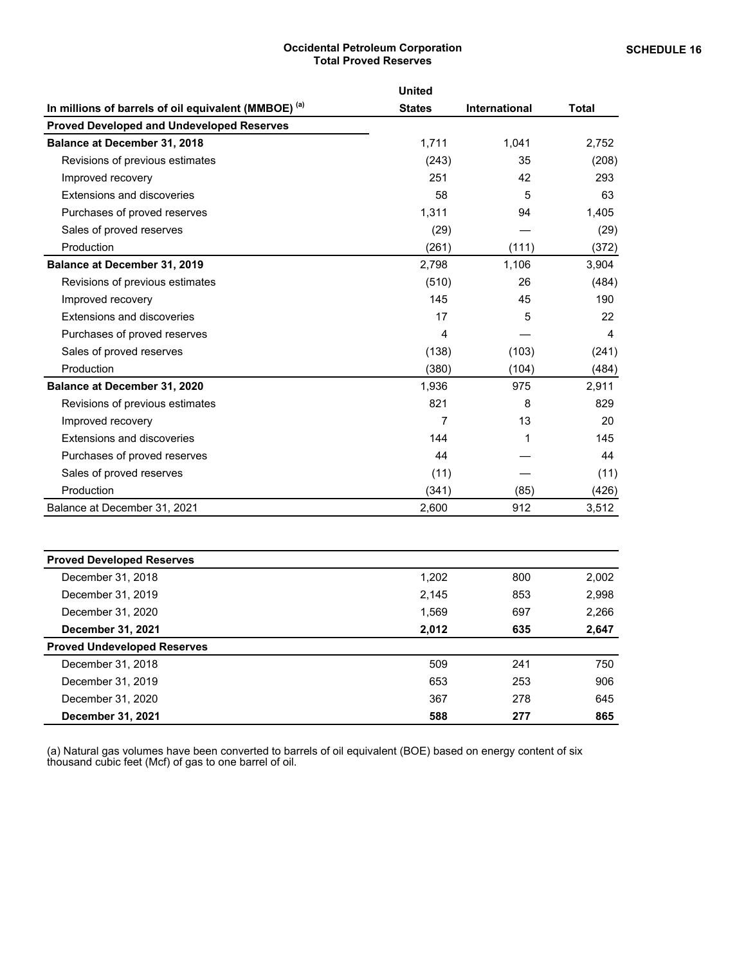#### **Occidental Petroleum Corporation Total Proved Reserves**

<span id="page-20-0"></span>

|                                                      | <b>United</b> |               |              |
|------------------------------------------------------|---------------|---------------|--------------|
| In millions of barrels of oil equivalent (MMBOE) (a) | <b>States</b> | International | <b>Total</b> |
| <b>Proved Developed and Undeveloped Reserves</b>     |               |               |              |
| <b>Balance at December 31, 2018</b>                  | 1,711         | 1,041         | 2,752        |
| Revisions of previous estimates                      | (243)         | 35            | (208)        |
| Improved recovery                                    | 251           | 42            | 293          |
| Extensions and discoveries                           | 58            | 5             | 63           |
| Purchases of proved reserves                         | 1,311         | 94            | 1,405        |
| Sales of proved reserves                             | (29)          |               | (29)         |
| Production                                           | (261)         | (111)         | (372)        |
| Balance at December 31, 2019                         | 2,798         | 1,106         | 3,904        |
| Revisions of previous estimates                      | (510)         | 26            | (484)        |
| Improved recovery                                    | 145           | 45            | 190          |
| Extensions and discoveries                           | 17            | 5             | 22           |
| Purchases of proved reserves                         | 4             |               | 4            |
| Sales of proved reserves                             | (138)         | (103)         | (241)        |
| Production                                           | (380)         | (104)         | (484)        |
| Balance at December 31, 2020                         | 1,936         | 975           | 2,911        |
| Revisions of previous estimates                      | 821           | 8             | 829          |
| Improved recovery                                    | 7             | 13            | 20           |
| Extensions and discoveries                           | 144           | 1             | 145          |
| Purchases of proved reserves                         | 44            |               | 44           |
| Sales of proved reserves                             | (11)          |               | (11)         |
| Production                                           | (341)         | (85)          | (426)        |
| Balance at December 31, 2021                         | 2,600         | 912           | 3,512        |

| <b>Proved Developed Reserves</b>   |       |     |       |
|------------------------------------|-------|-----|-------|
| December 31, 2018                  | 1,202 | 800 | 2,002 |
| December 31, 2019                  | 2,145 | 853 | 2,998 |
| December 31, 2020                  | 1.569 | 697 | 2,266 |
| <b>December 31, 2021</b>           | 2,012 | 635 | 2,647 |
| <b>Proved Undeveloped Reserves</b> |       |     |       |
| December 31, 2018                  | 509   | 241 | 750   |
| December 31, 2019                  | 653   | 253 | 906   |
| December 31, 2020                  | 367   | 278 | 645   |
| <b>December 31, 2021</b>           | 588   | 277 | 865   |

(a) Natural gas volumes have been converted to barrels of oil equivalent (BOE) based on energy content of six thousand cubic feet (Mcf) of gas to one barrel of oil.